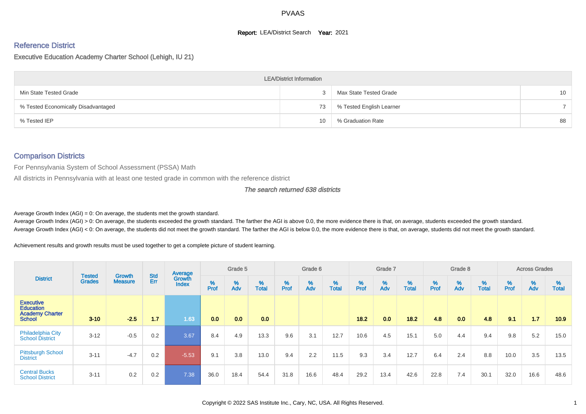#### **Report: LEA/District Search Year: 2021**

# Reference District

#### Executive Education Academy Charter School (Lehigh, IU 21)

|                                     | <b>LEA/District Information</b> |                          |                 |
|-------------------------------------|---------------------------------|--------------------------|-----------------|
| Min State Tested Grade              |                                 | Max State Tested Grade   | 10 <sup>°</sup> |
| % Tested Economically Disadvantaged | 73                              | % Tested English Learner |                 |
| % Tested IEP                        | 10                              | % Graduation Rate        | 88              |

#### Comparison Districts

For Pennsylvania System of School Assessment (PSSA) Math

All districts in Pennsylvania with at least one tested grade in common with the reference district

#### The search returned 638 districts

Average Growth Index  $(AGI) = 0$ : On average, the students met the growth standard.

Average Growth Index (AGI) > 0: On average, the students exceeded the growth standard. The farther the AGI is above 0.0, the more evidence there is that, on average, students exceeded the growth standard. Average Growth Index (AGI) < 0: On average, the students did not meet the growth standard. The farther the AGI is below 0.0, the more evidence there is that, on average, students did not meet the growth standard.

Achievement results and growth results must be used together to get a complete picture of student learning.

|                                                                                 |                                |                                 |            | Average                       |           | Grade 5  |                   |           | Grade 6  |                   |           | Grade 7  |                   |          | Grade 8  |                   |           | <b>Across Grades</b> |                   |
|---------------------------------------------------------------------------------|--------------------------------|---------------------------------|------------|-------------------------------|-----------|----------|-------------------|-----------|----------|-------------------|-----------|----------|-------------------|----------|----------|-------------------|-----------|----------------------|-------------------|
| <b>District</b>                                                                 | <b>Tested</b><br><b>Grades</b> | <b>Growth</b><br><b>Measure</b> | Std<br>Err | <b>Growth</b><br><b>Index</b> | %<br>Prof | %<br>Adv | %<br><b>Total</b> | %<br>Prof | %<br>Adv | %<br><b>Total</b> | %<br>Prof | %<br>Adv | %<br><b>Total</b> | $%$ Prof | %<br>Adv | %<br><b>Total</b> | %<br>Prof | %<br>Adv             | ℅<br><b>Total</b> |
| <b>Executive</b><br><b>Education</b><br><b>Academy Charter</b><br><b>School</b> | $3 - 10$                       | $-2.5$                          | 1.7        | 1.63                          | 0.0       | 0.0      | 0.0               |           |          |                   | 18.2      | 0.0      | 18.2              | 4.8      | 0.0      | 4.8               | 9.1       | 1.7                  | 10.9              |
| Philadelphia City<br><b>School District</b>                                     | $3 - 12$                       | $-0.5$                          | 0.2        | 3.67                          | 8.4       | 4.9      | 13.3              | 9.6       | 3.1      | 12.7              | 10.6      | 4.5      | 15.1              | 5.0      | 4.4      | 9.4               | 9.8       | 5.2                  | 15.0              |
| <b>Pittsburgh School</b><br><b>District</b>                                     | $3 - 11$                       | $-4.7$                          | 0.2        | $-5.53$                       | 9.1       | 3.8      | 13.0              | 9.4       | 2.2      | 11.5              | 9.3       | 3.4      | 12.7              | 6.4      | 2.4      | 8.8               | 10.0      | 3.5                  | 13.5              |
| <b>Central Bucks</b><br><b>School District</b>                                  | $3 - 11$                       | 0.2                             | 0.2        | 7.38                          | 36.0      | 18.4     | 54.4              | 31.8      | 16.6     | 48.4              | 29.2      | 13.4     | 42.6              | 22.8     | 7.4      | 30.1              | 32.0      | 16.6                 | 48.6              |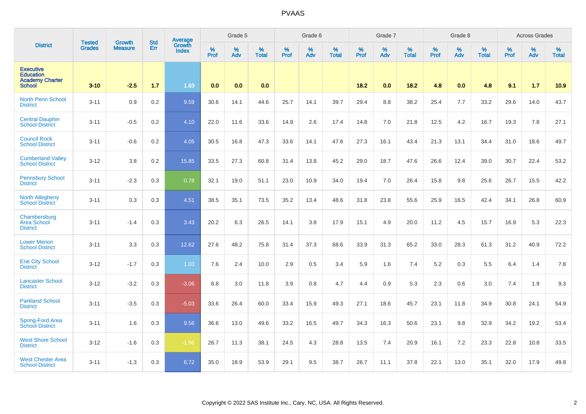|                                                                                 | <b>Tested</b> | <b>Growth</b>  | <b>Std</b> | Average                |           | Grade 5  |                      |           | Grade 6  |                   |           | Grade 7          |                   |           | Grade 8  |                   |           | <b>Across Grades</b> |                   |
|---------------------------------------------------------------------------------|---------------|----------------|------------|------------------------|-----------|----------|----------------------|-----------|----------|-------------------|-----------|------------------|-------------------|-----------|----------|-------------------|-----------|----------------------|-------------------|
| <b>District</b>                                                                 | <b>Grades</b> | <b>Measure</b> | Err        | Growth<br><b>Index</b> | %<br>Prof | %<br>Adv | $\%$<br><b>Total</b> | %<br>Prof | %<br>Adv | %<br><b>Total</b> | %<br>Prof | %<br>Adv         | %<br><b>Total</b> | %<br>Prof | %<br>Adv | %<br><b>Total</b> | %<br>Prof | %<br>Adv             | %<br><b>Total</b> |
| <b>Executive</b><br><b>Education</b><br><b>Academy Charter</b><br><b>School</b> | $3 - 10$      | $-2.5$         | 1.7        | 1.63                   | 0.0       | 0.0      | 0.0                  |           |          |                   | 18.2      | 0.0 <sub>1</sub> | 18.2              | 4.8       | 0.0      | 4.8               | 9.1       | 1.7                  | 10.9              |
| <b>North Penn School</b><br><b>District</b>                                     | $3 - 11$      | 0.9            | 0.2        | 9.59                   | 30.6      | 14.1     | 44.6                 | 25.7      | 14.1     | 39.7              | 29.4      | 8.8              | 38.2              | 25.4      | 7.7      | 33.2              | 29.6      | 14.0                 | 43.7              |
| <b>Central Dauphin</b><br><b>School District</b>                                | $3 - 11$      | $-0.5$         | 0.2        | 4.10                   | 22.0      | 11.6     | 33.6                 | 14.9      | 2.6      | 17.4              | 14.8      | 7.0              | 21.8              | 12.5      | 4.2      | 16.7              | 19.3      | 7.8                  | 27.1              |
| <b>Council Rock</b><br><b>School District</b>                                   | $3 - 11$      | $-0.6$         | 0.2        | 4.05                   | 30.5      | 16.8     | 47.3                 | 33.6      | 14.1     | 47.6              | 27.3      | 16.1             | 43.4              | 21.3      | 13.1     | 34.4              | 31.0      | 18.6                 | 49.7              |
| <b>Cumberland Valley</b><br><b>School District</b>                              | $3 - 12$      | 3.8            | 0.2        | 15.85                  | 33.5      | 27.3     | 60.8                 | 31.4      | 13.8     | 45.2              | 29.0      | 18.7             | 47.6              | 26.6      | 12.4     | 39.0              | 30.7      | 22.4                 | 53.2              |
| <b>Pennsbury School</b><br><b>District</b>                                      | $3 - 11$      | $-2.3$         | 0.3        | 0.78                   | 32.1      | 19.0     | 51.1                 | 23.0      | 10.9     | 34.0              | 19.4      | 7.0              | 26.4              | 15.8      | 9.8      | 25.6              | 26.7      | 15.5                 | 42.2              |
| <b>North Allegheny</b><br><b>School District</b>                                | $3 - 11$      | 0.3            | 0.3        | 4.51                   | 38.5      | 35.1     | 73.5                 | 35.2      | 13.4     | 48.6              | 31.8      | 23.8             | 55.6              | 25.9      | 16.5     | 42.4              | 34.1      | 26.8                 | 60.9              |
| Chambersburg<br><b>Area School</b><br><b>District</b>                           | $3 - 11$      | $-1.4$         | 0.3        | 3.43                   | 20.2      | 6.3      | 26.5                 | 14.1      | 3.8      | 17.9              | 15.1      | 4.9              | 20.0              | 11.2      | 4.5      | 15.7              | 16.9      | 5.3                  | 22.3              |
| <b>Lower Merion</b><br><b>School District</b>                                   | $3 - 11$      | 3.3            | 0.3        | 12.62                  | 27.6      | 48.2     | 75.8                 | 31.4      | 37.3     | 68.6              | 33.9      | 31.3             | 65.2              | 33.0      | 28.3     | 61.3              | 31.2      | 40.9                 | 72.2              |
| <b>Erie City School</b><br><b>District</b>                                      | $3 - 12$      | $-1.7$         | 0.3        | 1.03                   | 7.6       | 2.4      | 10.0                 | 2.9       | 0.5      | 3.4               | 5.9       | 1.6              | 7.4               | 5.2       | 0.3      | 5.5               | 6.4       | 1.4                  | 7.8               |
| <b>Lancaster School</b><br><b>District</b>                                      | $3 - 12$      | $-3.2$         | 0.3        | $-3.06$                | 8.8       | 3.0      | 11.8                 | 3.9       | 0.8      | 4.7               | 4.4       | 0.9              | 5.3               | 2.3       | 0.6      | 3.0               | 7.4       | 1.9                  | 9.3               |
| <b>Parkland School</b><br><b>District</b>                                       | $3 - 11$      | $-3.5$         | 0.3        | $-5.03$                | 33.6      | 26.4     | 60.0                 | 33.4      | 15.9     | 49.3              | 27.1      | 18.6             | 45.7              | 23.1      | 11.8     | 34.9              | 30.8      | 24.1                 | 54.9              |
| <b>Spring-Ford Area</b><br><b>School District</b>                               | $3 - 11$      | 1.6            | 0.3        | 9.56                   | 36.6      | 13.0     | 49.6                 | 33.2      | 16.5     | 49.7              | 34.3      | 16.3             | 50.6              | 23.1      | 9.8      | 32.9              | 34.2      | 19.2                 | 53.4              |
| <b>West Shore School</b><br><b>District</b>                                     | $3 - 12$      | $-1.6$         | 0.3        | $-1.96$                | 26.7      | 11.3     | 38.1                 | 24.5      | 4.3      | 28.8              | 13.5      | 7.4              | 20.9              | 16.1      | 7.2      | 23.3              | 22.8      | 10.8                 | 33.5              |
| <b>West Chester Area</b><br><b>School District</b>                              | $3 - 11$      | $-1.3$         | 0.3        | 6.72                   | 35.0      | 18.9     | 53.9                 | 29.1      | 9.5      | 38.7              | 26.7      | 11.1             | 37.8              | 22.1      | 13.0     | 35.1              | 32.0      | 17.9                 | 49.8              |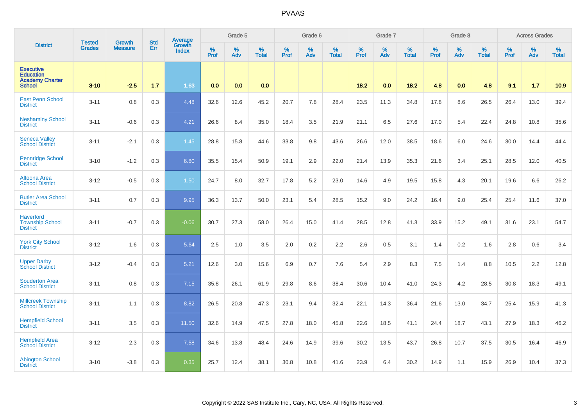|                                                                                 | <b>Tested</b> | <b>Growth</b>  | <b>Std</b> | Average                |           | Grade 5  |                      |           | Grade 6  |                   |           | Grade 7  |                   |           | Grade 8  |                   |           | <b>Across Grades</b> |                   |
|---------------------------------------------------------------------------------|---------------|----------------|------------|------------------------|-----------|----------|----------------------|-----------|----------|-------------------|-----------|----------|-------------------|-----------|----------|-------------------|-----------|----------------------|-------------------|
| <b>District</b>                                                                 | <b>Grades</b> | <b>Measure</b> | Err        | Growth<br><b>Index</b> | %<br>Prof | %<br>Adv | $\%$<br><b>Total</b> | %<br>Prof | %<br>Adv | %<br><b>Total</b> | %<br>Prof | %<br>Adv | %<br><b>Total</b> | %<br>Prof | %<br>Adv | %<br><b>Total</b> | %<br>Prof | %<br>Adv             | %<br><b>Total</b> |
| <b>Executive</b><br><b>Education</b><br><b>Academy Charter</b><br><b>School</b> | $3 - 10$      | $-2.5$         | 1.7        | 1.63                   | 0.0       | 0.0      | 0.0                  |           |          |                   | 18.2      | 0.0      | 18.2              | 4.8       | 0.0      | 4.8               | 9.1       | 1.7                  | 10.9              |
| <b>East Penn School</b><br><b>District</b>                                      | $3 - 11$      | 0.8            | 0.3        | 4.48                   | 32.6      | 12.6     | 45.2                 | 20.7      | 7.8      | 28.4              | 23.5      | 11.3     | 34.8              | 17.8      | 8.6      | 26.5              | 26.4      | 13.0                 | 39.4              |
| <b>Neshaminy School</b><br><b>District</b>                                      | $3 - 11$      | $-0.6$         | 0.3        | 4.21                   | 26.6      | 8.4      | 35.0                 | 18.4      | 3.5      | 21.9              | 21.1      | 6.5      | 27.6              | 17.0      | 5.4      | 22.4              | 24.8      | 10.8                 | 35.6              |
| <b>Seneca Valley</b><br><b>School District</b>                                  | $3 - 11$      | $-2.1$         | 0.3        | 1.45                   | 28.8      | 15.8     | 44.6                 | 33.8      | 9.8      | 43.6              | 26.6      | 12.0     | 38.5              | 18.6      | 6.0      | 24.6              | 30.0      | 14.4                 | 44.4              |
| <b>Pennridge School</b><br><b>District</b>                                      | $3 - 10$      | $-1.2$         | 0.3        | 6.80                   | 35.5      | 15.4     | 50.9                 | 19.1      | 2.9      | 22.0              | 21.4      | 13.9     | 35.3              | 21.6      | 3.4      | 25.1              | 28.5      | 12.0                 | 40.5              |
| Altoona Area<br><b>School District</b>                                          | $3 - 12$      | $-0.5$         | 0.3        | 1.50                   | 24.7      | 8.0      | 32.7                 | 17.8      | 5.2      | 23.0              | 14.6      | 4.9      | 19.5              | 15.8      | 4.3      | 20.1              | 19.6      | 6.6                  | 26.2              |
| <b>Butler Area School</b><br><b>District</b>                                    | $3 - 11$      | 0.7            | 0.3        | 9.95                   | 36.3      | 13.7     | 50.0                 | 23.1      | 5.4      | 28.5              | 15.2      | 9.0      | 24.2              | 16.4      | 9.0      | 25.4              | 25.4      | 11.6                 | 37.0              |
| <b>Haverford</b><br><b>Township School</b><br><b>District</b>                   | $3 - 11$      | $-0.7$         | 0.3        | $-0.06$                | 30.7      | 27.3     | 58.0                 | 26.4      | 15.0     | 41.4              | 28.5      | 12.8     | 41.3              | 33.9      | 15.2     | 49.1              | 31.6      | 23.1                 | 54.7              |
| <b>York City School</b><br><b>District</b>                                      | $3 - 12$      | 1.6            | 0.3        | 5.64                   | 2.5       | 1.0      | 3.5                  | 2.0       | 0.2      | 2.2               | 2.6       | 0.5      | 3.1               | 1.4       | 0.2      | 1.6               | 2.8       | 0.6                  | 3.4               |
| <b>Upper Darby</b><br><b>School District</b>                                    | $3 - 12$      | $-0.4$         | 0.3        | 5.21                   | 12.6      | 3.0      | 15.6                 | 6.9       | 0.7      | 7.6               | 5.4       | 2.9      | 8.3               | 7.5       | 1.4      | 8.8               | 10.5      | 2.2                  | 12.8              |
| <b>Souderton Area</b><br><b>School District</b>                                 | $3 - 11$      | 0.8            | 0.3        | 7.15                   | 35.8      | 26.1     | 61.9                 | 29.8      | 8.6      | 38.4              | 30.6      | 10.4     | 41.0              | 24.3      | 4.2      | 28.5              | 30.8      | 18.3                 | 49.1              |
| <b>Millcreek Township</b><br><b>School District</b>                             | $3 - 11$      | 1.1            | 0.3        | 8.82                   | 26.5      | 20.8     | 47.3                 | 23.1      | 9.4      | 32.4              | 22.1      | 14.3     | 36.4              | 21.6      | 13.0     | 34.7              | 25.4      | 15.9                 | 41.3              |
| <b>Hempfield School</b><br><b>District</b>                                      | $3 - 11$      | 3.5            | 0.3        | 11.50                  | 32.6      | 14.9     | 47.5                 | 27.8      | 18.0     | 45.8              | 22.6      | 18.5     | 41.1              | 24.4      | 18.7     | 43.1              | 27.9      | 18.3                 | 46.2              |
| <b>Hempfield Area</b><br><b>School District</b>                                 | $3 - 12$      | 2.3            | 0.3        | 7.58                   | 34.6      | 13.8     | 48.4                 | 24.6      | 14.9     | 39.6              | 30.2      | 13.5     | 43.7              | 26.8      | 10.7     | 37.5              | 30.5      | 16.4                 | 46.9              |
| <b>Abington School</b><br><b>District</b>                                       | $3 - 10$      | $-3.8$         | 0.3        | 0.35                   | 25.7      | 12.4     | 38.1                 | 30.8      | 10.8     | 41.6              | 23.9      | 6.4      | 30.2              | 14.9      | 1.1      | 15.9              | 26.9      | 10.4                 | 37.3              |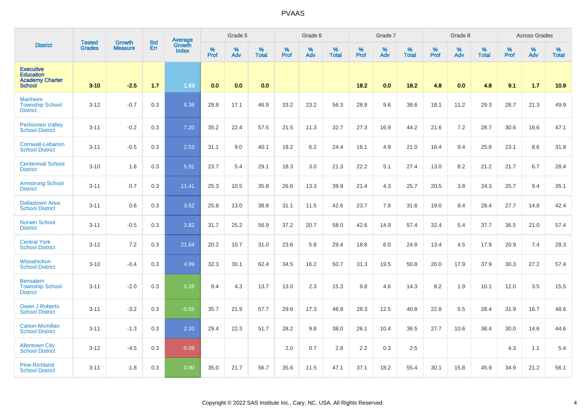|                                                                                 | <b>Tested</b> | <b>Growth</b>  | <b>Std</b> | Average<br>Growth |           | Grade 5  |                   |           | Grade 6  |                   |           | Grade 7  |                   |           | Grade 8  |                   |           | <b>Across Grades</b> |                   |
|---------------------------------------------------------------------------------|---------------|----------------|------------|-------------------|-----------|----------|-------------------|-----------|----------|-------------------|-----------|----------|-------------------|-----------|----------|-------------------|-----------|----------------------|-------------------|
| <b>District</b>                                                                 | <b>Grades</b> | <b>Measure</b> | Err        | <b>Index</b>      | %<br>Prof | %<br>Adv | %<br><b>Total</b> | %<br>Prof | %<br>Adv | %<br><b>Total</b> | %<br>Prof | %<br>Adv | %<br><b>Total</b> | %<br>Prof | %<br>Adv | %<br><b>Total</b> | %<br>Prof | %<br>Adv             | %<br><b>Total</b> |
| <b>Executive</b><br><b>Education</b><br><b>Academy Charter</b><br><b>School</b> | $3 - 10$      | $-2.5$         | 1.7        | 1.63              | 0.0       | 0.0      | 0.0               |           |          |                   | 18.2      | 0.0      | 18.2              | 4.8       | 0.0      | 4.8               | 9.1       | 1.7                  | 10.9              |
| <b>Manheim</b><br><b>Township School</b><br><b>District</b>                     | $3 - 12$      | $-0.7$         | 0.3        | 6.38              | 29.8      | 17.1     | 46.9              | 33.2      | 23.2     | 56.3              | 28.9      | 9.6      | 38.6              | 18.1      | 11.2     | 29.3              | 28.7      | 21.3                 | 49.9              |
| <b>Perkiomen Valley</b><br><b>School District</b>                               | $3 - 11$      | $-0.2$         | 0.3        | 7.20              | 35.2      | 22.4     | 57.5              | 21.5      | 11.3     | 32.7              | 27.3      | 16.9     | 44.2              | 21.6      | 7.2      | 28.7              | 30.6      | 16.6                 | 47.1              |
| Cornwall-Lebanon<br><b>School District</b>                                      | $3 - 11$      | $-0.5$         | 0.3        | 2.53              | 31.1      | 9.0      | 40.1              | 18.2      | 6.2      | 24.4              | 16.1      | 4.9      | 21.0              | 16.4      | 9.4      | 25.8              | 23.1      | 8.6                  | 31.8              |
| <b>Centennial School</b><br><b>District</b>                                     | $3 - 10$      | 1.6            | 0.3        | 5.91              | 23.7      | 5.4      | 29.1              | 18.3      | 3.0      | 21.3              | 22.2      | 5.1      | 27.4              | 13.0      | 8.2      | 21.2              | 21.7      | 6.7                  | 28.4              |
| <b>Armstrong School</b><br><b>District</b>                                      | $3 - 11$      | 0.7            | 0.3        | 11.41             | 25.3      | 10.5     | 35.8              | 26.6      | 13.3     | 39.9              | 21.4      | 4.3      | 25.7              | 20.5      | 3.8      | 24.3              | 25.7      | 9.4                  | 35.1              |
| <b>Dallastown Area</b><br><b>School District</b>                                | $3 - 11$      | 0.6            | 0.3        | 3.62              | 25.8      | 13.0     | 38.8              | 31.1      | 11.5     | 42.6              | 23.7      | 7.8      | 31.6              | 19.0      | 9.4      | 28.4              | 27.7      | 14.8                 | 42.4              |
| <b>Norwin School</b><br><b>District</b>                                         | $3 - 11$      | $-0.5$         | 0.3        | 3.82              | 31.7      | 25.2     | 56.9              | 37.2      | 20.7     | 58.0              | 42.6      | 14.9     | 57.4              | 32.4      | 5.4      | 37.7              | 36.5      | 21.0                 | 57.4              |
| <b>Central York</b><br><b>School District</b>                                   | $3 - 12$      | 7.2            | 0.3        | 21.64             | 20.2      | 10.7     | 31.0              | 23.6      | 5.8      | 29.4              | 18.8      | 6.0      | 24.8              | 13.4      | 4.5      | 17.9              | 20.9      | 7.4                  | 28.3              |
| Wissahickon<br><b>School District</b>                                           | $3 - 10$      | $-0.4$         | 0.3        | 4.99              | 32.3      | 30.1     | 62.4              | 34.5      | 16.2     | 50.7              | 31.3      | 19.5     | 50.8              | 20.0      | 17.9     | 37.9              | 30.3      | 27.2                 | 57.4              |
| <b>Bensalem</b><br><b>Township School</b><br><b>District</b>                    | $3 - 11$      | $-2.0$         | 0.3        | 0.26              | 9.4       | 4.3      | 13.7              | 13.0      | 2.3      | 15.3              | 9.8       | 4.6      | 14.3              | 8.2       | 1.9      | 10.1              | 12.0      | 3.5                  | 15.5              |
| <b>Owen J Roberts</b><br><b>School District</b>                                 | $3 - 11$      | $-3.2$         | 0.3        | $-0.55$           | 35.7      | 21.9     | 57.7              | 29.6      | 17.3     | 46.9              | 28.3      | 12.5     | 40.8              | 22.8      | 5.5      | 28.4              | 31.9      | 16.7                 | 48.6              |
| Canon-Mcmillan<br><b>School District</b>                                        | $3 - 11$      | $-1.3$         | 0.3        | 2.20              | 29.4      | 22.3     | 51.7              | 28.2      | 9.8      | 38.0              | 26.1      | 10.4     | 36.5              | 27.7      | 10.6     | 38.4              | 30.0      | 14.6                 | 44.6              |
| <b>Allentown City</b><br><b>School District</b>                                 | $3 - 12$      | $-4.5$         | 0.3        | $-9.09$           |           |          |                   | 2.0       | 0.7      | 2.8               | 2.2       | 0.3      | 2.5               |           |          |                   | 4.3       | 1.1                  | 5.4               |
| <b>Pine-Richland</b><br><b>School District</b>                                  | $3 - 11$      | $-1.8$         | 0.3        | 0.90              | 35.0      | 21.7     | 56.7              | 35.6      | 11.5     | 47.1              | 37.1      | 18.2     | 55.4              | 30.1      | 15.8     | 45.9              | 34.9      | 21.2                 | 56.1              |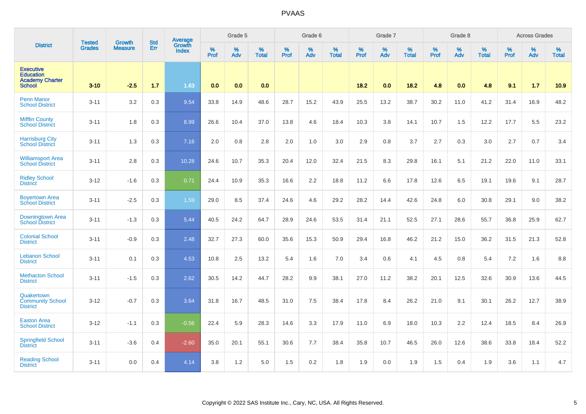|                                                                                 | <b>Tested</b> | <b>Growth</b>  | <b>Std</b> | Average<br>Growth |                     | Grade 5  |                   |                     | Grade 6  |                   |           | Grade 7  |                   |              | Grade 8  |                   |                     | <b>Across Grades</b> |                   |
|---------------------------------------------------------------------------------|---------------|----------------|------------|-------------------|---------------------|----------|-------------------|---------------------|----------|-------------------|-----------|----------|-------------------|--------------|----------|-------------------|---------------------|----------------------|-------------------|
| <b>District</b>                                                                 | <b>Grades</b> | <b>Measure</b> | Err        | <b>Index</b>      | $\%$<br><b>Prof</b> | %<br>Adv | %<br><b>Total</b> | $\%$<br><b>Prof</b> | %<br>Adv | %<br><b>Total</b> | %<br>Prof | %<br>Adv | %<br><b>Total</b> | $\%$<br>Prof | %<br>Adv | %<br><b>Total</b> | $\%$<br><b>Prof</b> | %<br>Adv             | %<br><b>Total</b> |
| <b>Executive</b><br><b>Education</b><br><b>Academy Charter</b><br><b>School</b> | $3 - 10$      | $-2.5$         | 1.7        | 1.63              | 0.0                 | 0.0      | 0.0               |                     |          |                   | 18.2      | 0.0      | 18.2              | 4.8          | 0.0      | 4.8               | 9.1                 | 1.7                  | 10.9              |
| <b>Penn Manor</b><br><b>School District</b>                                     | $3 - 11$      | 3.2            | 0.3        | 9.54              | 33.8                | 14.9     | 48.6              | 28.7                | 15.2     | 43.9              | 25.5      | 13.2     | 38.7              | 30.2         | 11.0     | 41.2              | 31.4                | 16.9                 | 48.2              |
| <b>Mifflin County</b><br><b>School District</b>                                 | $3 - 11$      | 1.8            | 0.3        | 8.99              | 26.6                | 10.4     | 37.0              | 13.8                | 4.6      | 18.4              | 10.3      | 3.8      | 14.1              | 10.7         | 1.5      | 12.2              | 17.7                | 5.5                  | 23.2              |
| <b>Harrisburg City</b><br><b>School District</b>                                | $3 - 11$      | 1.3            | 0.3        | 7.16              | 2.0                 | 0.8      | 2.8               | 2.0                 | 1.0      | 3.0               | 2.9       | 0.8      | 3.7               | 2.7          | 0.3      | 3.0               | 2.7                 | 0.7                  | 3.4               |
| <b>Williamsport Area</b><br><b>School District</b>                              | $3 - 11$      | 2.8            | 0.3        | 10.28             | 24.6                | 10.7     | 35.3              | 20.4                | 12.0     | 32.4              | 21.5      | 8.3      | 29.8              | 16.1         | 5.1      | 21.2              | 22.0                | 11.0                 | 33.1              |
| <b>Ridley School</b><br><b>District</b>                                         | $3 - 12$      | $-1.6$         | 0.3        | 0.71              | 24.4                | 10.9     | 35.3              | 16.6                | 2.2      | 18.8              | 11.2      | 6.6      | 17.8              | 12.6         | 6.5      | 19.1              | 19.6                | 9.1                  | 28.7              |
| <b>Boyertown Area</b><br><b>School District</b>                                 | $3 - 11$      | $-2.5$         | 0.3        | 1.59              | 29.0                | 8.5      | 37.4              | 24.6                | 4.6      | 29.2              | 28.2      | 14.4     | 42.6              | 24.8         | 6.0      | 30.8              | 29.1                | 9.0                  | 38.2              |
| Downingtown Area<br><b>School District</b>                                      | $3 - 11$      | $-1.3$         | 0.3        | 5.44              | 40.5                | 24.2     | 64.7              | 28.9                | 24.6     | 53.5              | 31.4      | 21.1     | 52.5              | 27.1         | 28.6     | 55.7              | 36.8                | 25.9                 | 62.7              |
| <b>Colonial School</b><br><b>District</b>                                       | $3 - 11$      | $-0.9$         | 0.3        | 2.48              | 32.7                | 27.3     | 60.0              | 35.6                | 15.3     | 50.9              | 29.4      | 16.8     | 46.2              | 21.2         | 15.0     | 36.2              | 31.5                | 21.3                 | 52.8              |
| <b>Lebanon School</b><br><b>District</b>                                        | $3 - 11$      | 0.1            | 0.3        | 4.53              | 10.8                | 2.5      | 13.2              | 5.4                 | 1.6      | 7.0               | 3.4       | 0.6      | 4.1               | 4.5          | 0.8      | 5.4               | 7.2                 | 1.6                  | 8.8               |
| <b>Methacton School</b><br><b>District</b>                                      | $3 - 11$      | $-1.5$         | 0.3        | 2.62              | 30.5                | 14.2     | 44.7              | 28.2                | 9.9      | 38.1              | 27.0      | 11.2     | 38.2              | 20.1         | 12.5     | 32.6              | 30.9                | 13.6                 | 44.5              |
| Quakertown<br><b>Community School</b><br><b>District</b>                        | $3 - 12$      | $-0.7$         | 0.3        | 3.64              | 31.8                | 16.7     | 48.5              | 31.0                | 7.5      | 38.4              | 17.8      | 8.4      | 26.2              | 21.0         | 9.1      | 30.1              | 26.2                | 12.7                 | 38.9              |
| <b>Easton Area</b><br><b>School District</b>                                    | $3 - 12$      | $-1.1$         | 0.3        | $-0.56$           | 22.4                | 5.9      | 28.3              | 14.6                | 3.3      | 17.9              | 11.0      | 6.9      | 18.0              | 10.3         | 2.2      | 12.4              | 18.5                | 8.4                  | 26.9              |
| <b>Springfield School</b><br><b>District</b>                                    | $3 - 11$      | $-3.6$         | 0.4        | $-2.60$           | 35.0                | 20.1     | 55.1              | 30.6                | 7.7      | 38.4              | 35.8      | 10.7     | 46.5              | 26.0         | 12.6     | 38.6              | 33.8                | 18.4                 | 52.2              |
| <b>Reading School</b><br><b>District</b>                                        | $3 - 11$      | 0.0            | 0.4        | 4.14              | 3.8                 | 1.2      | 5.0               | 1.5                 | 0.2      | 1.8               | 1.9       | 0.0      | 1.9               | 1.5          | 0.4      | 1.9               | 3.6                 | 1.1                  | 4.7               |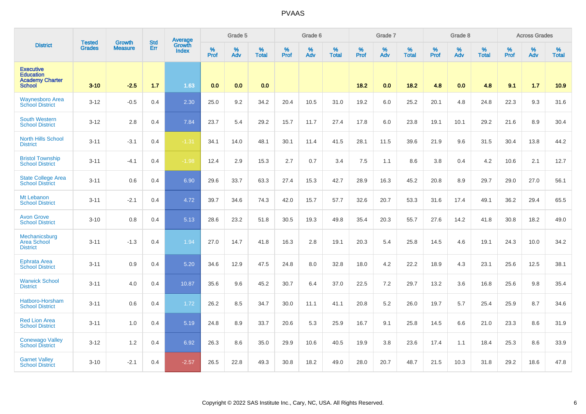|                                                                                 | <b>Tested</b> | <b>Growth</b>  | <b>Std</b> | Average                |              | Grade 5  |                   |           | Grade 6  |                   |                  | Grade 7  |                   |                  | Grade 8     |                   |                  | <b>Across Grades</b> |                   |
|---------------------------------------------------------------------------------|---------------|----------------|------------|------------------------|--------------|----------|-------------------|-----------|----------|-------------------|------------------|----------|-------------------|------------------|-------------|-------------------|------------------|----------------------|-------------------|
| <b>District</b>                                                                 | <b>Grades</b> | <b>Measure</b> | Err        | Growth<br><b>Index</b> | $\%$<br>Prof | %<br>Adv | %<br><b>Total</b> | %<br>Prof | %<br>Adv | %<br><b>Total</b> | %<br><b>Prof</b> | %<br>Adv | %<br><b>Total</b> | %<br><b>Prof</b> | $\%$<br>Adv | %<br><b>Total</b> | %<br><b>Prof</b> | %<br>Adv             | %<br><b>Total</b> |
| <b>Executive</b><br><b>Education</b><br><b>Academy Charter</b><br><b>School</b> | $3 - 10$      | $-2.5$         | 1.7        | 1.63                   | 0.0          | 0.0      | 0.0               |           |          |                   | 18.2             | 0.0      | 18.2              | 4.8              | 0.0         | 4.8               | 9.1              | 1.7                  | 10.9              |
| <b>Waynesboro Area</b><br><b>School District</b>                                | $3 - 12$      | $-0.5$         | 0.4        | 2.30                   | 25.0         | 9.2      | 34.2              | 20.4      | 10.5     | 31.0              | 19.2             | 6.0      | 25.2              | 20.1             | 4.8         | 24.8              | 22.3             | 9.3                  | 31.6              |
| <b>South Western</b><br><b>School District</b>                                  | $3-12$        | 2.8            | 0.4        | 7.84                   | 23.7         | 5.4      | 29.2              | 15.7      | 11.7     | 27.4              | 17.8             | 6.0      | 23.8              | 19.1             | 10.1        | 29.2              | 21.6             | 8.9                  | 30.4              |
| <b>North Hills School</b><br><b>District</b>                                    | $3 - 11$      | $-3.1$         | 0.4        | $-1.31$                | 34.1         | 14.0     | 48.1              | 30.1      | 11.4     | 41.5              | 28.1             | 11.5     | 39.6              | 21.9             | 9.6         | 31.5              | 30.4             | 13.8                 | 44.2              |
| <b>Bristol Township</b><br><b>School District</b>                               | $3 - 11$      | $-4.1$         | 0.4        | $-1.98$                | 12.4         | 2.9      | 15.3              | 2.7       | 0.7      | 3.4               | 7.5              | 1.1      | 8.6               | 3.8              | 0.4         | 4.2               | 10.6             | 2.1                  | 12.7              |
| State College Area<br><b>School District</b>                                    | $3 - 11$      | 0.6            | 0.4        | 6.90                   | 29.6         | 33.7     | 63.3              | 27.4      | 15.3     | 42.7              | 28.9             | 16.3     | 45.2              | 20.8             | 8.9         | 29.7              | 29.0             | 27.0                 | 56.1              |
| Mt Lebanon<br><b>School District</b>                                            | $3 - 11$      | $-2.1$         | 0.4        | 4.72                   | 39.7         | 34.6     | 74.3              | 42.0      | 15.7     | 57.7              | 32.6             | 20.7     | 53.3              | 31.6             | 17.4        | 49.1              | 36.2             | 29.4                 | 65.5              |
| <b>Avon Grove</b><br><b>School District</b>                                     | $3 - 10$      | 0.8            | 0.4        | 5.13                   | 28.6         | 23.2     | 51.8              | 30.5      | 19.3     | 49.8              | 35.4             | 20.3     | 55.7              | 27.6             | 14.2        | 41.8              | 30.8             | 18.2                 | 49.0              |
| Mechanicsburg<br><b>Area School</b><br><b>District</b>                          | $3 - 11$      | $-1.3$         | 0.4        | 1.94                   | 27.0         | 14.7     | 41.8              | 16.3      | 2.8      | 19.1              | 20.3             | 5.4      | 25.8              | 14.5             | 4.6         | 19.1              | 24.3             | 10.0                 | 34.2              |
| <b>Ephrata Area</b><br><b>School District</b>                                   | $3 - 11$      | 0.9            | 0.4        | 5.20                   | 34.6         | 12.9     | 47.5              | 24.8      | 8.0      | 32.8              | 18.0             | 4.2      | 22.2              | 18.9             | 4.3         | 23.1              | 25.6             | 12.5                 | 38.1              |
| <b>Warwick School</b><br><b>District</b>                                        | $3 - 11$      | 4.0            | 0.4        | 10.87                  | 35.6         | 9.6      | 45.2              | 30.7      | 6.4      | 37.0              | 22.5             | 7.2      | 29.7              | 13.2             | 3.6         | 16.8              | 25.6             | 9.8                  | 35.4              |
| Hatboro-Horsham<br><b>School District</b>                                       | $3 - 11$      | 0.6            | 0.4        | 1.72                   | 26.2         | 8.5      | 34.7              | 30.0      | 11.1     | 41.1              | 20.8             | 5.2      | 26.0              | 19.7             | 5.7         | 25.4              | 25.9             | 8.7                  | 34.6              |
| <b>Red Lion Area</b><br><b>School District</b>                                  | $3 - 11$      | 1.0            | 0.4        | 5.19                   | 24.8         | 8.9      | 33.7              | 20.6      | 5.3      | 25.9              | 16.7             | 9.1      | 25.8              | 14.5             | 6.6         | 21.0              | 23.3             | 8.6                  | 31.9              |
| <b>Conewago Valley</b><br><b>School District</b>                                | $3 - 12$      | 1.2            | 0.4        | 6.92                   | 26.3         | 8.6      | 35.0              | 29.9      | 10.6     | 40.5              | 19.9             | 3.8      | 23.6              | 17.4             | 1.1         | 18.4              | 25.3             | 8.6                  | 33.9              |
| <b>Garnet Valley</b><br><b>School District</b>                                  | $3 - 10$      | $-2.1$         | 0.4        | $-2.57$                | 26.5         | 22.8     | 49.3              | 30.8      | 18.2     | 49.0              | 28.0             | 20.7     | 48.7              | 21.5             | 10.3        | 31.8              | 29.2             | 18.6                 | 47.8              |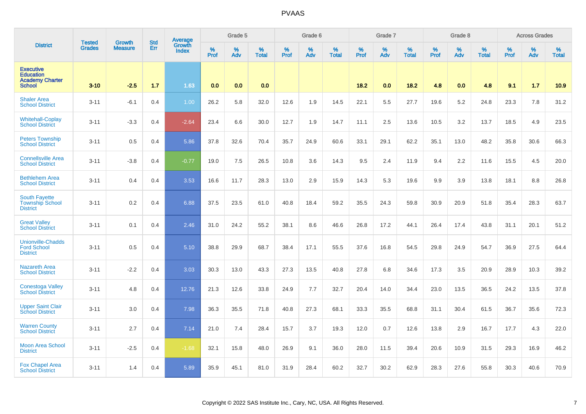|                                                                                 | <b>Tested</b> | <b>Growth</b>  | <b>Std</b> | <b>Average</b>         |                  | Grade 5  |                   |           | Grade 6  |                   |           | Grade 7  |                   |           | Grade 8  |                   |           | <b>Across Grades</b> |                   |
|---------------------------------------------------------------------------------|---------------|----------------|------------|------------------------|------------------|----------|-------------------|-----------|----------|-------------------|-----------|----------|-------------------|-----------|----------|-------------------|-----------|----------------------|-------------------|
| <b>District</b>                                                                 | <b>Grades</b> | <b>Measure</b> | Err        | Growth<br><b>Index</b> | %<br><b>Prof</b> | %<br>Adv | %<br><b>Total</b> | %<br>Prof | %<br>Adv | %<br><b>Total</b> | %<br>Prof | %<br>Adv | %<br><b>Total</b> | %<br>Prof | %<br>Adv | %<br><b>Total</b> | %<br>Prof | %<br>Adv             | %<br><b>Total</b> |
| <b>Executive</b><br><b>Education</b><br><b>Academy Charter</b><br><b>School</b> | $3 - 10$      | $-2.5$         | 1.7        | 1.63                   | 0.0              | 0.0      | 0.0               |           |          |                   | 18.2      | 0.0      | 18.2              | 4.8       | 0.0      | 4.8               | 9.1       | 1.7                  | 10.9              |
| <b>Shaler Area</b><br><b>School District</b>                                    | $3 - 11$      | $-6.1$         | 0.4        | 1.00                   | 26.2             | 5.8      | 32.0              | 12.6      | 1.9      | 14.5              | 22.1      | 5.5      | 27.7              | 19.6      | 5.2      | 24.8              | 23.3      | 7.8                  | 31.2              |
| <b>Whitehall-Coplay</b><br><b>School District</b>                               | $3 - 11$      | $-3.3$         | 0.4        | $-2.64$                | 23.4             | 6.6      | 30.0              | 12.7      | 1.9      | 14.7              | 11.1      | 2.5      | 13.6              | 10.5      | 3.2      | 13.7              | 18.5      | 4.9                  | 23.5              |
| <b>Peters Township</b><br><b>School District</b>                                | $3 - 11$      | 0.5            | 0.4        | 5.86                   | 37.8             | 32.6     | 70.4              | 35.7      | 24.9     | 60.6              | 33.1      | 29.1     | 62.2              | 35.1      | 13.0     | 48.2              | 35.8      | 30.6                 | 66.3              |
| <b>Connellsville Area</b><br><b>School District</b>                             | $3 - 11$      | $-3.8$         | 0.4        | $-0.77$                | 19.0             | 7.5      | 26.5              | 10.8      | 3.6      | 14.3              | 9.5       | 2.4      | 11.9              | 9.4       | 2.2      | 11.6              | 15.5      | 4.5                  | 20.0              |
| <b>Bethlehem Area</b><br><b>School District</b>                                 | $3 - 11$      | 0.4            | 0.4        | 3.53                   | 16.6             | 11.7     | 28.3              | 13.0      | 2.9      | 15.9              | 14.3      | 5.3      | 19.6              | 9.9       | 3.9      | 13.8              | 18.1      | 8.8                  | 26.8              |
| <b>South Fayette</b><br><b>Township School</b><br><b>District</b>               | $3 - 11$      | 0.2            | 0.4        | 6.88                   | 37.5             | 23.5     | 61.0              | 40.8      | 18.4     | 59.2              | 35.5      | 24.3     | 59.8              | 30.9      | 20.9     | 51.8              | 35.4      | 28.3                 | 63.7              |
| <b>Great Valley</b><br><b>School District</b>                                   | $3 - 11$      | 0.1            | 0.4        | 2.46                   | 31.0             | 24.2     | 55.2              | 38.1      | 8.6      | 46.6              | 26.8      | 17.2     | 44.1              | 26.4      | 17.4     | 43.8              | 31.1      | 20.1                 | 51.2              |
| <b>Unionville-Chadds</b><br><b>Ford School</b><br><b>District</b>               | $3 - 11$      | 0.5            | 0.4        | 5.10                   | 38.8             | 29.9     | 68.7              | 38.4      | 17.1     | 55.5              | 37.6      | 16.8     | 54.5              | 29.8      | 24.9     | 54.7              | 36.9      | 27.5                 | 64.4              |
| <b>Nazareth Area</b><br><b>School District</b>                                  | $3 - 11$      | $-2.2$         | 0.4        | 3.03                   | 30.3             | 13.0     | 43.3              | 27.3      | 13.5     | 40.8              | 27.8      | 6.8      | 34.6              | 17.3      | 3.5      | 20.9              | 28.9      | 10.3                 | 39.2              |
| <b>Conestoga Valley</b><br><b>School District</b>                               | $3 - 11$      | 4.8            | 0.4        | 12.76                  | 21.3             | 12.6     | 33.8              | 24.9      | 7.7      | 32.7              | 20.4      | 14.0     | 34.4              | 23.0      | 13.5     | 36.5              | 24.2      | 13.5                 | 37.8              |
| <b>Upper Saint Clair</b><br><b>School District</b>                              | $3 - 11$      | 3.0            | 0.4        | 7.98                   | 36.3             | 35.5     | 71.8              | 40.8      | 27.3     | 68.1              | 33.3      | 35.5     | 68.8              | 31.1      | 30.4     | 61.5              | 36.7      | 35.6                 | 72.3              |
| <b>Warren County</b><br><b>School District</b>                                  | $3 - 11$      | 2.7            | 0.4        | 7.14                   | 21.0             | 7.4      | 28.4              | 15.7      | 3.7      | 19.3              | 12.0      | 0.7      | 12.6              | 13.8      | 2.9      | 16.7              | 17.7      | 4.3                  | 22.0              |
| <b>Moon Area School</b><br><b>District</b>                                      | $3 - 11$      | $-2.5$         | 0.4        | $-1.68$                | 32.1             | 15.8     | 48.0              | 26.9      | 9.1      | 36.0              | 28.0      | 11.5     | 39.4              | 20.6      | 10.9     | 31.5              | 29.3      | 16.9                 | 46.2              |
| <b>Fox Chapel Area</b><br><b>School District</b>                                | $3 - 11$      | 1.4            | 0.4        | 5.89                   | 35.9             | 45.1     | 81.0              | 31.9      | 28.4     | 60.2              | 32.7      | 30.2     | 62.9              | 28.3      | 27.6     | 55.8              | 30.3      | 40.6                 | 70.9              |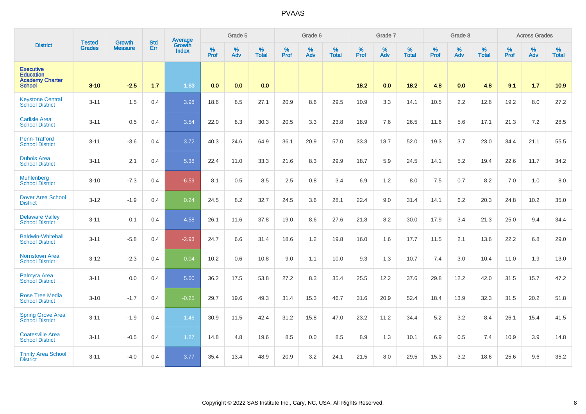|                                                                                 |                                | <b>Growth</b>  | <b>Std</b> | Average                |           | Grade 5  |                   |           | Grade 6  |                   |           | Grade 7  |                   |           | Grade 8  |                   |           | <b>Across Grades</b> |                   |
|---------------------------------------------------------------------------------|--------------------------------|----------------|------------|------------------------|-----------|----------|-------------------|-----------|----------|-------------------|-----------|----------|-------------------|-----------|----------|-------------------|-----------|----------------------|-------------------|
| <b>District</b>                                                                 | <b>Tested</b><br><b>Grades</b> | <b>Measure</b> | Err        | Growth<br><b>Index</b> | %<br>Prof | %<br>Adv | %<br><b>Total</b> | %<br>Prof | %<br>Adv | %<br><b>Total</b> | %<br>Prof | %<br>Adv | %<br><b>Total</b> | %<br>Prof | %<br>Adv | %<br><b>Total</b> | %<br>Prof | %<br>Adv             | %<br><b>Total</b> |
| <b>Executive</b><br><b>Education</b><br><b>Academy Charter</b><br><b>School</b> | $3 - 10$                       | $-2.5$         | 1.7        | 1.63                   | 0.0       | 0.0      | 0.0               |           |          |                   | 18.2      | 0.0      | 18.2              | 4.8       | 0.0      | 4.8               | 9.1       | 1.7                  | 10.9              |
| <b>Keystone Central</b><br><b>School District</b>                               | $3 - 11$                       | 1.5            | 0.4        | 3.98                   | 18.6      | 8.5      | 27.1              | 20.9      | 8.6      | 29.5              | 10.9      | 3.3      | 14.1              | 10.5      | 2.2      | 12.6              | 19.2      | 8.0                  | 27.2              |
| <b>Carlisle Area</b><br><b>School District</b>                                  | $3 - 11$                       | 0.5            | 0.4        | 3.54                   | 22.0      | 8.3      | 30.3              | 20.5      | 3.3      | 23.8              | 18.9      | 7.6      | 26.5              | 11.6      | 5.6      | 17.1              | 21.3      | 7.2                  | 28.5              |
| Penn-Trafford<br><b>School District</b>                                         | $3 - 11$                       | $-3.6$         | 0.4        | 3.72                   | 40.3      | 24.6     | 64.9              | 36.1      | 20.9     | 57.0              | 33.3      | 18.7     | 52.0              | 19.3      | 3.7      | 23.0              | 34.4      | 21.1                 | 55.5              |
| <b>Dubois Area</b><br><b>School District</b>                                    | $3 - 11$                       | 2.1            | 0.4        | 5.38                   | 22.4      | 11.0     | 33.3              | 21.6      | 8.3      | 29.9              | 18.7      | 5.9      | 24.5              | 14.1      | 5.2      | 19.4              | 22.6      | 11.7                 | 34.2              |
| <b>Muhlenberg</b><br><b>School District</b>                                     | $3 - 10$                       | $-7.3$         | 0.4        | $-6.59$                | 8.1       | 0.5      | 8.5               | 2.5       | 0.8      | 3.4               | 6.9       | 1.2      | 8.0               | 7.5       | 0.7      | 8.2               | 7.0       | 1.0                  | 8.0               |
| <b>Dover Area School</b><br><b>District</b>                                     | $3 - 12$                       | $-1.9$         | 0.4        | 0.24                   | 24.5      | 8.2      | 32.7              | 24.5      | 3.6      | 28.1              | 22.4      | 9.0      | 31.4              | 14.1      | $6.2\,$  | 20.3              | 24.8      | 10.2                 | 35.0              |
| <b>Delaware Valley</b><br><b>School District</b>                                | $3 - 11$                       | 0.1            | 0.4        | 4.58                   | 26.1      | 11.6     | 37.8              | 19.0      | 8.6      | 27.6              | 21.8      | 8.2      | 30.0              | 17.9      | 3.4      | 21.3              | 25.0      | 9.4                  | 34.4              |
| <b>Baldwin-Whitehall</b><br><b>School District</b>                              | $3 - 11$                       | $-5.8$         | 0.4        | $-2.93$                | 24.7      | 6.6      | 31.4              | 18.6      | 1.2      | 19.8              | 16.0      | 1.6      | 17.7              | 11.5      | 2.1      | 13.6              | 22.2      | 6.8                  | 29.0              |
| <b>Norristown Area</b><br><b>School District</b>                                | $3 - 12$                       | $-2.3$         | 0.4        | 0.04                   | 10.2      | 0.6      | 10.8              | 9.0       | 1.1      | 10.0              | 9.3       | 1.3      | 10.7              | 7.4       | 3.0      | 10.4              | 11.0      | 1.9                  | 13.0              |
| Palmyra Area<br><b>School District</b>                                          | $3 - 11$                       | 0.0            | 0.4        | 5.60                   | 36.2      | 17.5     | 53.8              | 27.2      | 8.3      | 35.4              | 25.5      | 12.2     | 37.6              | 29.8      | 12.2     | 42.0              | 31.5      | 15.7                 | 47.2              |
| <b>Rose Tree Media</b><br><b>School District</b>                                | $3 - 10$                       | $-1.7$         | 0.4        | $-0.25$                | 29.7      | 19.6     | 49.3              | 31.4      | 15.3     | 46.7              | 31.6      | 20.9     | 52.4              | 18.4      | 13.9     | 32.3              | 31.5      | 20.2                 | 51.8              |
| <b>Spring Grove Area</b><br><b>School District</b>                              | $3 - 11$                       | $-1.9$         | 0.4        | 1.46                   | 30.9      | 11.5     | 42.4              | 31.2      | 15.8     | 47.0              | 23.2      | 11.2     | 34.4              | 5.2       | 3.2      | 8.4               | 26.1      | 15.4                 | 41.5              |
| <b>Coatesville Area</b><br><b>School District</b>                               | $3 - 11$                       | $-0.5$         | 0.4        | 1.87                   | 14.8      | 4.8      | 19.6              | 8.5       | 0.0      | 8.5               | 8.9       | 1.3      | 10.1              | 6.9       | 0.5      | 7.4               | 10.9      | 3.9                  | 14.8              |
| <b>Trinity Area School</b><br><b>District</b>                                   | $3 - 11$                       | $-4.0$         | 0.4        | 3.77                   | 35.4      | 13.4     | 48.9              | 20.9      | 3.2      | 24.1              | 21.5      | 8.0      | 29.5              | 15.3      | 3.2      | 18.6              | 25.6      | 9.6                  | 35.2              |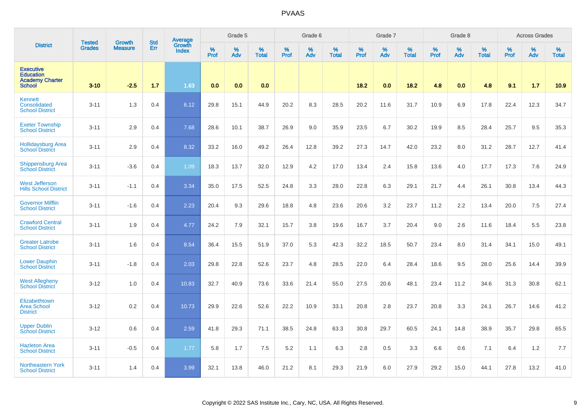|                                                                                 | <b>Tested</b> | <b>Growth</b>  | <b>Std</b> | Average                |                  | Grade 5  |                   |           | Grade 6  |                   |           | Grade 7  |                   |           | Grade 8  |                   |           | <b>Across Grades</b> |                   |
|---------------------------------------------------------------------------------|---------------|----------------|------------|------------------------|------------------|----------|-------------------|-----------|----------|-------------------|-----------|----------|-------------------|-----------|----------|-------------------|-----------|----------------------|-------------------|
| <b>District</b>                                                                 | <b>Grades</b> | <b>Measure</b> | Err        | Growth<br><b>Index</b> | %<br><b>Prof</b> | %<br>Adv | %<br><b>Total</b> | %<br>Prof | %<br>Adv | %<br><b>Total</b> | %<br>Prof | %<br>Adv | %<br><b>Total</b> | %<br>Prof | %<br>Adv | %<br><b>Total</b> | %<br>Prof | %<br>Adv             | %<br><b>Total</b> |
| <b>Executive</b><br><b>Education</b><br><b>Academy Charter</b><br><b>School</b> | $3 - 10$      | $-2.5$         | 1.7        | 1.63                   | 0.0              | 0.0      | 0.0               |           |          |                   | 18.2      | 0.0      | 18.2              | 4.8       | 0.0      | 4.8               | 9.1       | 1.7                  | 10.9              |
| Kennett<br>Consolidated<br><b>School District</b>                               | $3 - 11$      | 1.3            | 0.4        | 6.12                   | 29.8             | 15.1     | 44.9              | 20.2      | 8.3      | 28.5              | 20.2      | 11.6     | 31.7              | 10.9      | 6.9      | 17.8              | 22.4      | 12.3                 | 34.7              |
| <b>Exeter Township</b><br><b>School District</b>                                | $3 - 11$      | 2.9            | 0.4        | 7.68                   | 28.6             | 10.1     | 38.7              | 26.9      | 9.0      | 35.9              | 23.5      | 6.7      | 30.2              | 19.9      | 8.5      | 28.4              | 25.7      | 9.5                  | 35.3              |
| <b>Hollidaysburg Area</b><br><b>School District</b>                             | $3 - 11$      | 2.9            | 0.4        | 8.32                   | 33.2             | 16.0     | 49.2              | 26.4      | 12.8     | 39.2              | 27.3      | 14.7     | 42.0              | 23.2      | 8.0      | 31.2              | 28.7      | 12.7                 | 41.4              |
| <b>Shippensburg Area</b><br><b>School District</b>                              | $3 - 11$      | $-3.6$         | 0.4        | 1.09                   | 18.3             | 13.7     | 32.0              | 12.9      | 4.2      | 17.0              | 13.4      | 2.4      | 15.8              | 13.6      | 4.0      | 17.7              | 17.3      | 7.6                  | 24.9              |
| <b>West Jefferson</b><br><b>Hills School District</b>                           | $3 - 11$      | $-1.1$         | 0.4        | 3.34                   | 35.0             | 17.5     | 52.5              | 24.8      | 3.3      | 28.0              | 22.8      | 6.3      | 29.1              | 21.7      | 4.4      | 26.1              | 30.8      | 13.4                 | 44.3              |
| <b>Governor Mifflin</b><br><b>School District</b>                               | $3 - 11$      | $-1.6$         | 0.4        | 2.23                   | 20.4             | 9.3      | 29.6              | 18.8      | 4.8      | 23.6              | 20.6      | 3.2      | 23.7              | 11.2      | 2.2      | 13.4              | 20.0      | 7.5                  | 27.4              |
| <b>Crawford Central</b><br><b>School District</b>                               | $3 - 11$      | 1.9            | 0.4        | 4.77                   | 24.2             | 7.9      | 32.1              | 15.7      | 3.8      | 19.6              | 16.7      | 3.7      | 20.4              | 9.0       | 2.6      | 11.6              | 18.4      | 5.5                  | 23.8              |
| <b>Greater Latrobe</b><br><b>School District</b>                                | $3 - 11$      | 1.6            | 0.4        | 8.54                   | 36.4             | 15.5     | 51.9              | 37.0      | 5.3      | 42.3              | 32.2      | 18.5     | 50.7              | 23.4      | 8.0      | 31.4              | 34.1      | 15.0                 | 49.1              |
| <b>Lower Dauphin</b><br><b>School District</b>                                  | $3 - 11$      | $-1.8$         | 0.4        | 2.03                   | 29.8             | 22.8     | 52.6              | 23.7      | 4.8      | 28.5              | 22.0      | 6.4      | 28.4              | 18.6      | 9.5      | 28.0              | 25.6      | 14.4                 | 39.9              |
| <b>West Allegheny</b><br>School District                                        | $3 - 12$      | 1.0            | 0.4        | 10.83                  | 32.7             | 40.9     | 73.6              | 33.6      | 21.4     | 55.0              | 27.5      | 20.6     | 48.1              | 23.4      | 11.2     | 34.6              | 31.3      | 30.8                 | 62.1              |
| Elizabethtown<br><b>Area School</b><br><b>District</b>                          | $3 - 12$      | 0.2            | 0.4        | 10.73                  | 29.9             | 22.6     | 52.6              | 22.2      | 10.9     | 33.1              | 20.8      | 2.8      | 23.7              | 20.8      | 3.3      | 24.1              | 26.7      | 14.6                 | 41.2              |
| <b>Upper Dublin</b><br><b>School District</b>                                   | $3 - 12$      | 0.6            | 0.4        | 2.59                   | 41.8             | 29.3     | 71.1              | 38.5      | 24.8     | 63.3              | 30.8      | 29.7     | 60.5              | 24.1      | 14.8     | 38.9              | 35.7      | 29.8                 | 65.5              |
| <b>Hazleton Area</b><br><b>School District</b>                                  | $3 - 11$      | $-0.5$         | 0.4        | 1.77                   | 5.8              | 1.7      | 7.5               | 5.2       | 1.1      | 6.3               | 2.8       | 0.5      | 3.3               | 6.6       | 0.6      | 7.1               | 6.4       | 1.2                  | 7.7               |
| Northeastern York<br><b>School District</b>                                     | $3 - 11$      | 1.4            | 0.4        | 3.99                   | 32.1             | 13.8     | 46.0              | 21.2      | 8.1      | 29.3              | 21.9      | 6.0      | 27.9              | 29.2      | 15.0     | 44.1              | 27.8      | 13.2                 | 41.0              |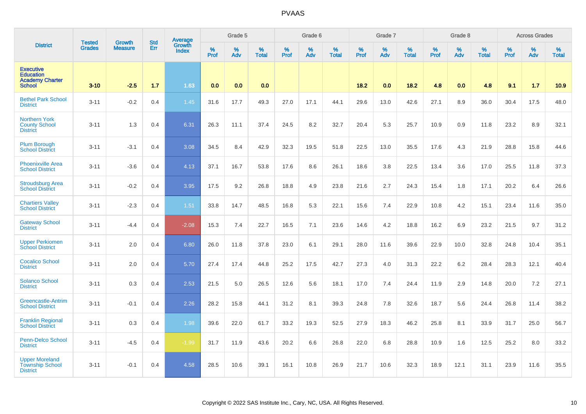|                                                                                 | <b>Tested</b> | <b>Growth</b>  | <b>Std</b> | Average                |                     | Grade 5  |                   |           | Grade 6  |                   |                  | Grade 7  |                   |                  | Grade 8  |                   |           | <b>Across Grades</b> |                   |
|---------------------------------------------------------------------------------|---------------|----------------|------------|------------------------|---------------------|----------|-------------------|-----------|----------|-------------------|------------------|----------|-------------------|------------------|----------|-------------------|-----------|----------------------|-------------------|
| <b>District</b>                                                                 | Grades        | <b>Measure</b> | Err        | Growth<br><b>Index</b> | $\%$<br><b>Prof</b> | %<br>Adv | %<br><b>Total</b> | %<br>Prof | %<br>Adv | %<br><b>Total</b> | %<br><b>Prof</b> | %<br>Adv | %<br><b>Total</b> | %<br><b>Prof</b> | %<br>Adv | %<br><b>Total</b> | %<br>Prof | %<br>Adv             | %<br><b>Total</b> |
| <b>Executive</b><br><b>Education</b><br><b>Academy Charter</b><br><b>School</b> | $3 - 10$      | $-2.5$         | 1.7        | 1.63                   | 0.0                 | 0.0      | 0.0               |           |          |                   | 18.2             | 0.0      | 18.2              | 4.8              | 0.0      | 4.8               | 9.1       | 1.7                  | 10.9              |
| <b>Bethel Park School</b><br><b>District</b>                                    | $3 - 11$      | $-0.2$         | 0.4        | 1.45                   | 31.6                | 17.7     | 49.3              | 27.0      | 17.1     | 44.1              | 29.6             | 13.0     | 42.6              | 27.1             | 8.9      | 36.0              | 30.4      | 17.5                 | 48.0              |
| <b>Northern York</b><br><b>County School</b><br><b>District</b>                 | $3 - 11$      | 1.3            | 0.4        | 6.31                   | 26.3                | 11.1     | 37.4              | 24.5      | 8.2      | 32.7              | 20.4             | 5.3      | 25.7              | 10.9             | 0.9      | 11.8              | 23.2      | 8.9                  | 32.1              |
| <b>Plum Borough</b><br><b>School District</b>                                   | $3 - 11$      | $-3.1$         | 0.4        | 3.08                   | 34.5                | 8.4      | 42.9              | 32.3      | 19.5     | 51.8              | 22.5             | 13.0     | 35.5              | 17.6             | 4.3      | 21.9              | 28.8      | 15.8                 | 44.6              |
| <b>Phoenixville Area</b><br><b>School District</b>                              | $3 - 11$      | $-3.6$         | 0.4        | 4.13                   | 37.1                | 16.7     | 53.8              | 17.6      | 8.6      | 26.1              | 18.6             | 3.8      | 22.5              | 13.4             | 3.6      | 17.0              | 25.5      | 11.8                 | 37.3              |
| <b>Stroudsburg Area</b><br><b>School District</b>                               | $3 - 11$      | $-0.2$         | 0.4        | 3.95                   | 17.5                | 9.2      | 26.8              | 18.8      | 4.9      | 23.8              | 21.6             | 2.7      | 24.3              | 15.4             | 1.8      | 17.1              | 20.2      | 6.4                  | 26.6              |
| <b>Chartiers Valley</b><br><b>School District</b>                               | $3 - 11$      | $-2.3$         | 0.4        | 1.51                   | 33.8                | 14.7     | 48.5              | 16.8      | 5.3      | 22.1              | 15.6             | 7.4      | 22.9              | 10.8             | 4.2      | 15.1              | 23.4      | 11.6                 | 35.0              |
| <b>Gateway School</b><br><b>District</b>                                        | $3 - 11$      | $-4.4$         | 0.4        | $-2.08$                | 15.3                | 7.4      | 22.7              | 16.5      | 7.1      | 23.6              | 14.6             | 4.2      | 18.8              | 16.2             | 6.9      | 23.2              | 21.5      | 9.7                  | 31.2              |
| <b>Upper Perkiomen</b><br><b>School District</b>                                | $3 - 11$      | 2.0            | 0.4        | 6.80                   | 26.0                | 11.8     | 37.8              | 23.0      | 6.1      | 29.1              | 28.0             | 11.6     | 39.6              | 22.9             | 10.0     | 32.8              | 24.8      | 10.4                 | 35.1              |
| <b>Cocalico School</b><br><b>District</b>                                       | $3 - 11$      | 2.0            | 0.4        | 5.70                   | 27.4                | 17.4     | 44.8              | 25.2      | 17.5     | 42.7              | 27.3             | 4.0      | 31.3              | 22.2             | 6.2      | 28.4              | 28.3      | 12.1                 | 40.4              |
| <b>Solanco School</b><br><b>District</b>                                        | $3 - 11$      | 0.3            | 0.4        | 2.53                   | 21.5                | 5.0      | 26.5              | 12.6      | 5.6      | 18.1              | 17.0             | 7.4      | 24.4              | 11.9             | 2.9      | 14.8              | 20.0      | 7.2                  | 27.1              |
| Greencastle-Antrim<br><b>School District</b>                                    | $3 - 11$      | $-0.1$         | 0.4        | 2.26                   | 28.2                | 15.8     | 44.1              | 31.2      | 8.1      | 39.3              | 24.8             | 7.8      | 32.6              | 18.7             | 5.6      | 24.4              | 26.8      | 11.4                 | 38.2              |
| <b>Franklin Regional</b><br><b>School District</b>                              | $3 - 11$      | 0.3            | 0.4        | 1.98                   | 39.6                | 22.0     | 61.7              | 33.2      | 19.3     | 52.5              | 27.9             | 18.3     | 46.2              | 25.8             | 8.1      | 33.9              | 31.7      | 25.0                 | 56.7              |
| <b>Penn-Delco School</b><br><b>District</b>                                     | $3 - 11$      | $-4.5$         | 0.4        | $-1.99$                | 31.7                | 11.9     | 43.6              | 20.2      | 6.6      | 26.8              | 22.0             | 6.8      | 28.8              | 10.9             | 1.6      | 12.5              | 25.2      | 8.0                  | 33.2              |
| <b>Upper Moreland</b><br><b>Township School</b><br><b>District</b>              | $3 - 11$      | $-0.1$         | 0.4        | 4.58                   | 28.5                | 10.6     | 39.1              | 16.1      | 10.8     | 26.9              | 21.7             | 10.6     | 32.3              | 18.9             | 12.1     | 31.1              | 23.9      | 11.6                 | 35.5              |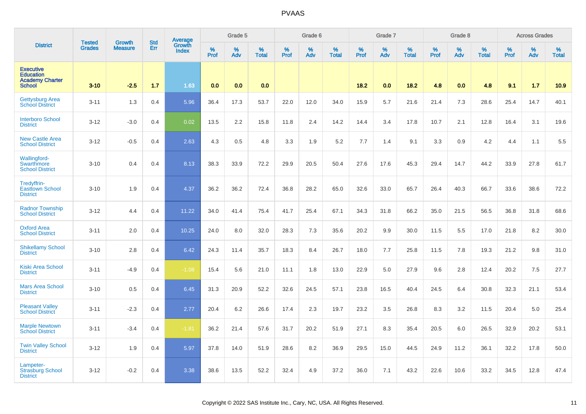|                                                                                 |                                |                          | <b>Std</b> | <b>Average</b>         |              | Grade 5  |                   |           | Grade 6  |                   |           | Grade 7  |                   |           | Grade 8  |                      |           | <b>Across Grades</b> |                   |
|---------------------------------------------------------------------------------|--------------------------------|--------------------------|------------|------------------------|--------------|----------|-------------------|-----------|----------|-------------------|-----------|----------|-------------------|-----------|----------|----------------------|-----------|----------------------|-------------------|
| <b>District</b>                                                                 | <b>Tested</b><br><b>Grades</b> | Growth<br><b>Measure</b> | Err        | Growth<br><b>Index</b> | $\%$<br>Prof | %<br>Adv | %<br><b>Total</b> | %<br>Prof | %<br>Adv | %<br><b>Total</b> | %<br>Prof | %<br>Adv | %<br><b>Total</b> | %<br>Prof | %<br>Adv | $\%$<br><b>Total</b> | %<br>Prof | %<br>Adv             | %<br><b>Total</b> |
| <b>Executive</b><br><b>Education</b><br><b>Academy Charter</b><br><b>School</b> | $3 - 10$                       | $-2.5$                   | 1.7        | 1.63                   | 0.0          | 0.0      | 0.0               |           |          |                   | 18.2      | 0.0      | 18.2              | 4.8       | 0.0      | 4.8                  | 9.1       | 1.7                  | 10.9              |
| <b>Gettysburg Area</b><br><b>School District</b>                                | $3 - 11$                       | 1.3                      | 0.4        | 5.96                   | 36.4         | 17.3     | 53.7              | 22.0      | 12.0     | 34.0              | 15.9      | 5.7      | 21.6              | 21.4      | 7.3      | 28.6                 | 25.4      | 14.7                 | 40.1              |
| <b>Interboro School</b><br><b>District</b>                                      | $3 - 12$                       | $-3.0$                   | 0.4        | 0.02                   | 13.5         | 2.2      | 15.8              | 11.8      | 2.4      | 14.2              | 14.4      | 3.4      | 17.8              | 10.7      | 2.1      | 12.8                 | 16.4      | 3.1                  | 19.6              |
| <b>New Castle Area</b><br><b>School District</b>                                | $3 - 12$                       | $-0.5$                   | 0.4        | 2.63                   | 4.3          | 0.5      | 4.8               | 3.3       | 1.9      | 5.2               | 7.7       | 1.4      | 9.1               | 3.3       | 0.9      | 4.2                  | 4.4       | 1.1                  | 5.5               |
| Wallingford-<br><b>Swarthmore</b><br><b>School District</b>                     | $3 - 10$                       | 0.4                      | 0.4        | 8.13                   | 38.3         | 33.9     | 72.2              | 29.9      | 20.5     | 50.4              | 27.6      | 17.6     | 45.3              | 29.4      | 14.7     | 44.2                 | 33.9      | 27.8                 | 61.7              |
| Tredyffrin-<br><b>Easttown School</b><br><b>District</b>                        | $3 - 10$                       | 1.9                      | 0.4        | 4.37                   | 36.2         | 36.2     | 72.4              | 36.8      | 28.2     | 65.0              | 32.6      | 33.0     | 65.7              | 26.4      | 40.3     | 66.7                 | 33.6      | 38.6                 | 72.2              |
| <b>Radnor Township</b><br><b>School District</b>                                | $3 - 12$                       | 4.4                      | 0.4        | 11.22                  | 34.0         | 41.4     | 75.4              | 41.7      | 25.4     | 67.1              | 34.3      | 31.8     | 66.2              | 35.0      | 21.5     | 56.5                 | 36.8      | 31.8                 | 68.6              |
| <b>Oxford Area</b><br><b>School District</b>                                    | $3 - 11$                       | 2.0                      | 0.4        | 10.25                  | 24.0         | 8.0      | 32.0              | 28.3      | 7.3      | 35.6              | 20.2      | 9.9      | 30.0              | 11.5      | 5.5      | 17.0                 | 21.8      | 8.2                  | 30.0              |
| <b>Shikellamy School</b><br><b>District</b>                                     | $3 - 10$                       | 2.8                      | 0.4        | 6.42                   | 24.3         | 11.4     | 35.7              | 18.3      | 8.4      | 26.7              | 18.0      | 7.7      | 25.8              | 11.5      | 7.8      | 19.3                 | 21.2      | 9.8                  | 31.0              |
| <b>Kiski Area School</b><br><b>District</b>                                     | $3 - 11$                       | $-4.9$                   | 0.4        | $-1.08$                | 15.4         | 5.6      | 21.0              | 11.1      | 1.8      | 13.0              | 22.9      | 5.0      | 27.9              | 9.6       | 2.8      | 12.4                 | 20.2      | 7.5                  | 27.7              |
| <b>Mars Area School</b><br><b>District</b>                                      | $3 - 10$                       | 0.5                      | 0.4        | 6.45                   | 31.3         | 20.9     | 52.2              | 32.6      | 24.5     | 57.1              | 23.8      | 16.5     | 40.4              | 24.5      | 6.4      | 30.8                 | 32.3      | 21.1                 | 53.4              |
| <b>Pleasant Valley</b><br><b>School District</b>                                | $3 - 11$                       | $-2.3$                   | 0.4        | 2.77                   | 20.4         | 6.2      | 26.6              | 17.4      | 2.3      | 19.7              | 23.2      | 3.5      | 26.8              | 8.3       | 3.2      | 11.5                 | 20.4      | 5.0                  | 25.4              |
| <b>Marple Newtown</b><br><b>School District</b>                                 | $3 - 11$                       | $-3.4$                   | 0.4        | $-1.81$                | 36.2         | 21.4     | 57.6              | 31.7      | 20.2     | 51.9              | 27.1      | 8.3      | 35.4              | 20.5      | 6.0      | 26.5                 | 32.9      | 20.2                 | 53.1              |
| <b>Twin Valley School</b><br><b>District</b>                                    | $3 - 12$                       | 1.9                      | 0.4        | 5.97                   | 37.8         | 14.0     | 51.9              | 28.6      | 8.2      | 36.9              | 29.5      | 15.0     | 44.5              | 24.9      | 11.2     | 36.1                 | 32.2      | 17.8                 | 50.0              |
| Lampeter-<br><b>Strasburg School</b><br><b>District</b>                         | $3 - 12$                       | $-0.2$                   | 0.4        | 3.38                   | 38.6         | 13.5     | 52.2              | 32.4      | 4.9      | 37.2              | 36.0      | 7.1      | 43.2              | 22.6      | 10.6     | 33.2                 | 34.5      | 12.8                 | 47.4              |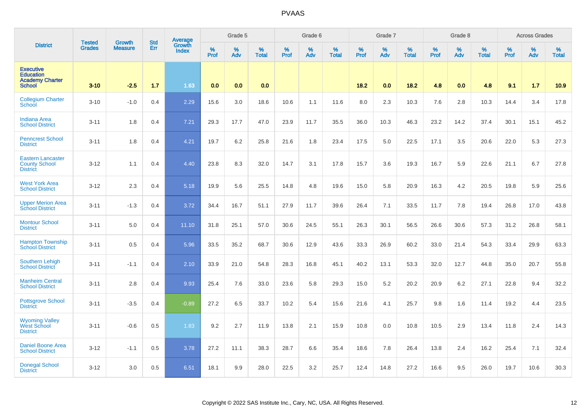|                                                                                 | <b>Tested</b> | <b>Growth</b>  | <b>Std</b> | Average<br>Growth |           | Grade 5  |                   |           | Grade 6  |                   |           | Grade 7  |                   |           | Grade 8  |                   |           | <b>Across Grades</b> |                   |
|---------------------------------------------------------------------------------|---------------|----------------|------------|-------------------|-----------|----------|-------------------|-----------|----------|-------------------|-----------|----------|-------------------|-----------|----------|-------------------|-----------|----------------------|-------------------|
| <b>District</b>                                                                 | <b>Grades</b> | <b>Measure</b> | Err        | <b>Index</b>      | %<br>Prof | %<br>Adv | %<br><b>Total</b> | %<br>Prof | %<br>Adv | %<br><b>Total</b> | %<br>Prof | %<br>Adv | %<br><b>Total</b> | %<br>Prof | %<br>Adv | %<br><b>Total</b> | %<br>Prof | %<br>Adv             | %<br><b>Total</b> |
| <b>Executive</b><br><b>Education</b><br><b>Academy Charter</b><br><b>School</b> | $3 - 10$      | $-2.5$         | 1.7        | 1.63              | 0.0       | 0.0      | 0.0               |           |          |                   | 18.2      | 0.0      | 18.2              | 4.8       | 0.0      | 4.8               | 9.1       | 1.7                  | 10.9              |
| <b>Collegium Charter</b><br>School                                              | $3 - 10$      | $-1.0$         | 0.4        | 2.29              | 15.6      | 3.0      | 18.6              | 10.6      | 1.1      | 11.6              | 8.0       | 2.3      | 10.3              | 7.6       | 2.8      | 10.3              | 14.4      | 3.4                  | 17.8              |
| <b>Indiana Area</b><br><b>School District</b>                                   | $3 - 11$      | 1.8            | 0.4        | 7.21              | 29.3      | 17.7     | 47.0              | 23.9      | 11.7     | 35.5              | 36.0      | 10.3     | 46.3              | 23.2      | 14.2     | 37.4              | 30.1      | 15.1                 | 45.2              |
| <b>Penncrest School</b><br><b>District</b>                                      | $3 - 11$      | 1.8            | 0.4        | 4.21              | 19.7      | 6.2      | 25.8              | 21.6      | 1.8      | 23.4              | 17.5      | 5.0      | 22.5              | 17.1      | 3.5      | 20.6              | 22.0      | 5.3                  | 27.3              |
| <b>Eastern Lancaster</b><br><b>County School</b><br><b>District</b>             | $3 - 12$      | 1.1            | 0.4        | 4.40              | 23.8      | 8.3      | 32.0              | 14.7      | 3.1      | 17.8              | 15.7      | 3.6      | 19.3              | 16.7      | 5.9      | 22.6              | 21.1      | 6.7                  | 27.8              |
| <b>West York Area</b><br><b>School District</b>                                 | $3 - 12$      | 2.3            | 0.4        | 5.18              | 19.9      | 5.6      | 25.5              | 14.8      | 4.8      | 19.6              | 15.0      | 5.8      | 20.9              | 16.3      | 4.2      | 20.5              | 19.8      | 5.9                  | 25.6              |
| <b>Upper Merion Area</b><br><b>School District</b>                              | $3 - 11$      | $-1.3$         | 0.4        | 3.72              | 34.4      | 16.7     | 51.1              | 27.9      | 11.7     | 39.6              | 26.4      | 7.1      | 33.5              | 11.7      | 7.8      | 19.4              | 26.8      | 17.0                 | 43.8              |
| <b>Montour School</b><br><b>District</b>                                        | $3 - 11$      | 5.0            | 0.4        | 11.10             | 31.8      | 25.1     | 57.0              | 30.6      | 24.5     | 55.1              | 26.3      | 30.1     | 56.5              | 26.6      | 30.6     | 57.3              | 31.2      | 26.8                 | 58.1              |
| <b>Hampton Township</b><br><b>School District</b>                               | $3 - 11$      | 0.5            | 0.4        | 5.96              | 33.5      | 35.2     | 68.7              | 30.6      | 12.9     | 43.6              | 33.3      | 26.9     | 60.2              | 33.0      | 21.4     | 54.3              | 33.4      | 29.9                 | 63.3              |
| <b>Southern Lehigh</b><br><b>School District</b>                                | $3 - 11$      | $-1.1$         | 0.4        | 2.10              | 33.9      | 21.0     | 54.8              | 28.3      | 16.8     | 45.1              | 40.2      | 13.1     | 53.3              | 32.0      | 12.7     | 44.8              | 35.0      | 20.7                 | 55.8              |
| <b>Manheim Central</b><br><b>School District</b>                                | $3 - 11$      | 2.8            | 0.4        | 9.93              | 25.4      | 7.6      | 33.0              | 23.6      | 5.8      | 29.3              | 15.0      | 5.2      | 20.2              | 20.9      | 6.2      | 27.1              | 22.8      | 9.4                  | 32.2              |
| <b>Pottsgrove School</b><br><b>District</b>                                     | $3 - 11$      | $-3.5$         | 0.4        | $-0.89$           | 27.2      | 6.5      | 33.7              | 10.2      | 5.4      | 15.6              | 21.6      | 4.1      | 25.7              | 9.8       | 1.6      | 11.4              | 19.2      | 4.4                  | 23.5              |
| <b>Wyoming Valley</b><br><b>West School</b><br><b>District</b>                  | $3 - 11$      | $-0.6$         | 0.5        | 1.83              | 9.2       | 2.7      | 11.9              | 13.8      | 2.1      | 15.9              | 10.8      | 0.0      | 10.8              | 10.5      | 2.9      | 13.4              | 11.8      | 2.4                  | 14.3              |
| <b>Daniel Boone Area</b><br><b>School District</b>                              | $3 - 12$      | $-1.1$         | 0.5        | 3.78              | 27.2      | 11.1     | 38.3              | 28.7      | 6.6      | 35.4              | 18.6      | 7.8      | 26.4              | 13.8      | 2.4      | 16.2              | 25.4      | 7.1                  | 32.4              |
| <b>Donegal School</b><br><b>District</b>                                        | $3-12$        | 3.0            | 0.5        | 6.51              | 18.1      | 9.9      | 28.0              | 22.5      | 3.2      | 25.7              | 12.4      | 14.8     | 27.2              | 16.6      | 9.5      | 26.0              | 19.7      | 10.6                 | 30.3              |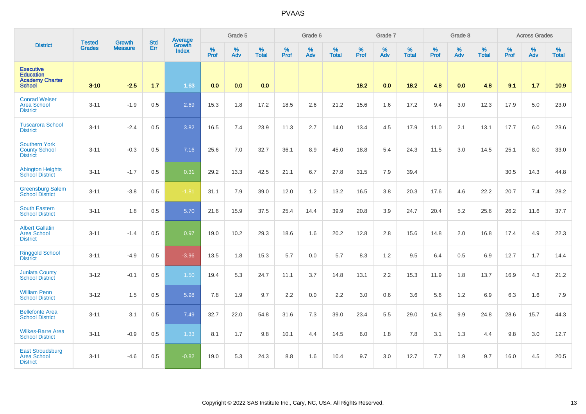|                                                                                 |                                |                                 | <b>Std</b> | Average                |              | Grade 5  |                   |           | Grade 6  |                   |           | Grade 7  |                   |           | Grade 8  |                   |           | <b>Across Grades</b> |                   |
|---------------------------------------------------------------------------------|--------------------------------|---------------------------------|------------|------------------------|--------------|----------|-------------------|-----------|----------|-------------------|-----------|----------|-------------------|-----------|----------|-------------------|-----------|----------------------|-------------------|
| <b>District</b>                                                                 | <b>Tested</b><br><b>Grades</b> | <b>Growth</b><br><b>Measure</b> | Err        | Growth<br><b>Index</b> | $\%$<br>Prof | %<br>Adv | %<br><b>Total</b> | %<br>Prof | %<br>Adv | %<br><b>Total</b> | %<br>Prof | %<br>Adv | %<br><b>Total</b> | %<br>Prof | %<br>Adv | %<br><b>Total</b> | %<br>Prof | %<br>Adv             | %<br><b>Total</b> |
| <b>Executive</b><br><b>Education</b><br><b>Academy Charter</b><br><b>School</b> | $3 - 10$                       | $-2.5$                          | 1.7        | 1.63                   | 0.0          | 0.0      | 0.0               |           |          |                   | 18.2      | 0.0      | 18.2              | 4.8       | 0.0      | 4.8               | 9.1       | $1.7$                | 10.9              |
| <b>Conrad Weiser</b><br><b>Area School</b><br><b>District</b>                   | $3 - 11$                       | $-1.9$                          | 0.5        | 2.69                   | 15.3         | 1.8      | 17.2              | 18.5      | 2.6      | 21.2              | 15.6      | 1.6      | 17.2              | 9.4       | 3.0      | 12.3              | 17.9      | 5.0                  | 23.0              |
| <b>Tuscarora School</b><br><b>District</b>                                      | $3 - 11$                       | $-2.4$                          | 0.5        | 3.82                   | 16.5         | 7.4      | 23.9              | 11.3      | 2.7      | 14.0              | 13.4      | 4.5      | 17.9              | 11.0      | 2.1      | 13.1              | 17.7      | 6.0                  | 23.6              |
| <b>Southern York</b><br><b>County School</b><br><b>District</b>                 | $3 - 11$                       | $-0.3$                          | 0.5        | 7.16                   | 25.6         | 7.0      | 32.7              | 36.1      | 8.9      | 45.0              | 18.8      | 5.4      | 24.3              | 11.5      | 3.0      | 14.5              | 25.1      | 8.0                  | 33.0              |
| <b>Abington Heights</b><br><b>School District</b>                               | $3 - 11$                       | $-1.7$                          | 0.5        | 0.31                   | 29.2         | 13.3     | 42.5              | 21.1      | 6.7      | 27.8              | 31.5      | 7.9      | 39.4              |           |          |                   | 30.5      | 14.3                 | 44.8              |
| <b>Greensburg Salem</b><br><b>School District</b>                               | $3 - 11$                       | $-3.8$                          | 0.5        | $-1.81$                | 31.1         | 7.9      | 39.0              | 12.0      | 1.2      | 13.2              | 16.5      | 3.8      | 20.3              | 17.6      | 4.6      | 22.2              | 20.7      | 7.4                  | 28.2              |
| <b>South Eastern</b><br><b>School District</b>                                  | $3 - 11$                       | 1.8                             | 0.5        | 5.70                   | 21.6         | 15.9     | 37.5              | 25.4      | 14.4     | 39.9              | 20.8      | 3.9      | 24.7              | 20.4      | 5.2      | 25.6              | 26.2      | 11.6                 | 37.7              |
| <b>Albert Gallatin</b><br><b>Area School</b><br><b>District</b>                 | $3 - 11$                       | $-1.4$                          | 0.5        | 0.97                   | 19.0         | 10.2     | 29.3              | 18.6      | 1.6      | 20.2              | 12.8      | 2.8      | 15.6              | 14.8      | 2.0      | 16.8              | 17.4      | 4.9                  | 22.3              |
| <b>Ringgold School</b><br><b>District</b>                                       | $3 - 11$                       | $-4.9$                          | 0.5        | $-3.96$                | 13.5         | 1.8      | 15.3              | 5.7       | 0.0      | 5.7               | 8.3       | 1.2      | 9.5               | 6.4       | 0.5      | 6.9               | 12.7      | 1.7                  | 14.4              |
| <b>Juniata County</b><br><b>School District</b>                                 | $3 - 12$                       | $-0.1$                          | 0.5        | 1.50                   | 19.4         | 5.3      | 24.7              | 11.1      | 3.7      | 14.8              | 13.1      | 2.2      | 15.3              | 11.9      | 1.8      | 13.7              | 16.9      | 4.3                  | 21.2              |
| <b>William Penn</b><br><b>School District</b>                                   | $3 - 12$                       | 1.5                             | 0.5        | 5.98                   | 7.8          | 1.9      | 9.7               | 2.2       | 0.0      | 2.2               | 3.0       | 0.6      | 3.6               | 5.6       | 1.2      | 6.9               | 6.3       | 1.6                  | 7.9               |
| <b>Bellefonte Area</b><br><b>School District</b>                                | $3 - 11$                       | 3.1                             | 0.5        | 7.49                   | 32.7         | 22.0     | 54.8              | 31.6      | 7.3      | 39.0              | 23.4      | 5.5      | 29.0              | 14.8      | 9.9      | 24.8              | 28.6      | 15.7                 | 44.3              |
| <b>Wilkes-Barre Area</b><br><b>School District</b>                              | $3 - 11$                       | $-0.9$                          | 0.5        | 1.33                   | 8.1          | 1.7      | 9.8               | 10.1      | 4.4      | 14.5              | 6.0       | 1.8      | 7.8               | 3.1       | 1.3      | 4.4               | 9.8       | 3.0                  | 12.7              |
| <b>East Stroudsburg</b><br><b>Area School</b><br><b>District</b>                | $3 - 11$                       | $-4.6$                          | 0.5        | $-0.82$                | 19.0         | 5.3      | 24.3              | 8.8       | 1.6      | 10.4              | 9.7       | 3.0      | 12.7              | 7.7       | 1.9      | 9.7               | 16.0      | 4.5                  | 20.5              |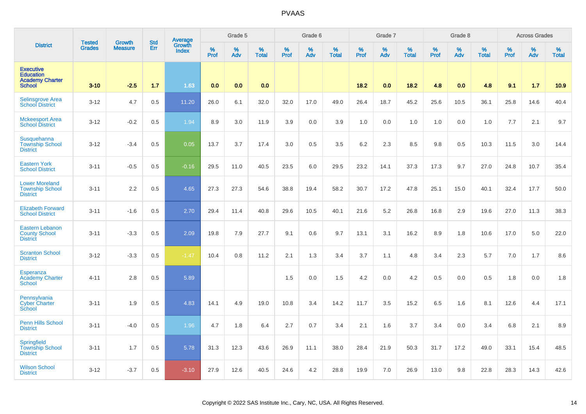|                                                                                 | <b>Tested</b> | Growth         | <b>Std</b> | <b>Average</b><br>Growth |           | Grade 5  |                   |           | Grade 6  |                   |           | Grade 7  |                   |           | Grade 8  |                   |           | <b>Across Grades</b> |                   |
|---------------------------------------------------------------------------------|---------------|----------------|------------|--------------------------|-----------|----------|-------------------|-----------|----------|-------------------|-----------|----------|-------------------|-----------|----------|-------------------|-----------|----------------------|-------------------|
| <b>District</b>                                                                 | <b>Grades</b> | <b>Measure</b> | Err        | <b>Index</b>             | %<br>Prof | %<br>Adv | %<br><b>Total</b> | %<br>Prof | %<br>Adv | %<br><b>Total</b> | %<br>Prof | %<br>Adv | %<br><b>Total</b> | %<br>Prof | %<br>Adv | %<br><b>Total</b> | %<br>Prof | %<br>Adv             | %<br><b>Total</b> |
| <b>Executive</b><br><b>Education</b><br><b>Academy Charter</b><br><b>School</b> | $3 - 10$      | $-2.5$         | 1.7        | 1.63                     | 0.0       | 0.0      | 0.0               |           |          |                   | 18.2      | 0.0      | 18.2              | 4.8       | 0.0      | 4.8               | 9.1       | 1.7                  | 10.9              |
| <b>Selinsgrove Area</b><br><b>School District</b>                               | $3 - 12$      | 4.7            | 0.5        | 11.20                    | 26.0      | 6.1      | 32.0              | 32.0      | 17.0     | 49.0              | 26.4      | 18.7     | 45.2              | 25.6      | 10.5     | 36.1              | 25.8      | 14.6                 | 40.4              |
| <b>Mckeesport Area</b><br><b>School District</b>                                | $3 - 12$      | $-0.2$         | 0.5        | 1.94                     | 8.9       | 3.0      | 11.9              | 3.9       | 0.0      | 3.9               | 1.0       | 0.0      | 1.0               | 1.0       | 0.0      | 1.0               | 7.7       | 2.1                  | 9.7               |
| Susquehanna<br><b>Township School</b><br><b>District</b>                        | $3 - 12$      | $-3.4$         | 0.5        | 0.05                     | 13.7      | 3.7      | 17.4              | 3.0       | 0.5      | 3.5               | 6.2       | 2.3      | 8.5               | 9.8       | 0.5      | 10.3              | 11.5      | 3.0                  | 14.4              |
| <b>Eastern York</b><br><b>School District</b>                                   | $3 - 11$      | $-0.5$         | 0.5        | $-0.16$                  | 29.5      | 11.0     | 40.5              | 23.5      | 6.0      | 29.5              | 23.2      | 14.1     | 37.3              | 17.3      | 9.7      | 27.0              | 24.8      | 10.7                 | 35.4              |
| <b>Lower Moreland</b><br><b>Township School</b><br><b>District</b>              | $3 - 11$      | 2.2            | 0.5        | 4.65                     | 27.3      | 27.3     | 54.6              | 38.8      | 19.4     | 58.2              | 30.7      | 17.2     | 47.8              | 25.1      | 15.0     | 40.1              | 32.4      | 17.7                 | 50.0              |
| <b>Elizabeth Forward</b><br><b>School District</b>                              | $3 - 11$      | $-1.6$         | 0.5        | 2.70                     | 29.4      | 11.4     | 40.8              | 29.6      | 10.5     | 40.1              | 21.6      | 5.2      | 26.8              | 16.8      | 2.9      | 19.6              | 27.0      | 11.3                 | 38.3              |
| Eastern Lebanon<br><b>County School</b><br><b>District</b>                      | $3 - 11$      | $-3.3$         | 0.5        | 2.09                     | 19.8      | 7.9      | 27.7              | 9.1       | 0.6      | 9.7               | 13.1      | 3.1      | 16.2              | 8.9       | 1.8      | 10.6              | 17.0      | 5.0                  | 22.0              |
| <b>Scranton School</b><br><b>District</b>                                       | $3 - 12$      | $-3.3$         | 0.5        | $-1.47$                  | 10.4      | 0.8      | 11.2              | 2.1       | 1.3      | 3.4               | 3.7       | 1.1      | 4.8               | 3.4       | 2.3      | 5.7               | 7.0       | 1.7                  | 8.6               |
| Esperanza<br><b>Academy Charter</b><br><b>School</b>                            | $4 - 11$      | 2.8            | 0.5        | 5.89                     |           |          |                   | 1.5       | 0.0      | 1.5               | 4.2       | 0.0      | 4.2               | 0.5       | 0.0      | 0.5               | 1.8       | 0.0                  | 1.8               |
| Pennsylvania<br><b>Cyber Charter</b><br>School                                  | $3 - 11$      | 1.9            | 0.5        | 4.83                     | 14.1      | 4.9      | 19.0              | 10.8      | 3.4      | 14.2              | 11.7      | 3.5      | 15.2              | 6.5       | 1.6      | 8.1               | 12.6      | 4.4                  | 17.1              |
| <b>Penn Hills School</b><br><b>District</b>                                     | $3 - 11$      | $-4.0$         | 0.5        | 1.96                     | 4.7       | 1.8      | 6.4               | 2.7       | 0.7      | 3.4               | 2.1       | 1.6      | 3.7               | 3.4       | 0.0      | 3.4               | 6.8       | 2.1                  | 8.9               |
| <b>Springfield</b><br><b>Township School</b><br><b>District</b>                 | $3 - 11$      | 1.7            | 0.5        | 5.78                     | 31.3      | 12.3     | 43.6              | 26.9      | 11.1     | 38.0              | 28.4      | 21.9     | 50.3              | 31.7      | 17.2     | 49.0              | 33.1      | 15.4                 | 48.5              |
| <b>Wilson School</b><br><b>District</b>                                         | $3 - 12$      | $-3.7$         | 0.5        | $-3.10$                  | 27.9      | 12.6     | 40.5              | 24.6      | 4.2      | 28.8              | 19.9      | 7.0      | 26.9              | 13.0      | 9.8      | 22.8              | 28.3      | 14.3                 | 42.6              |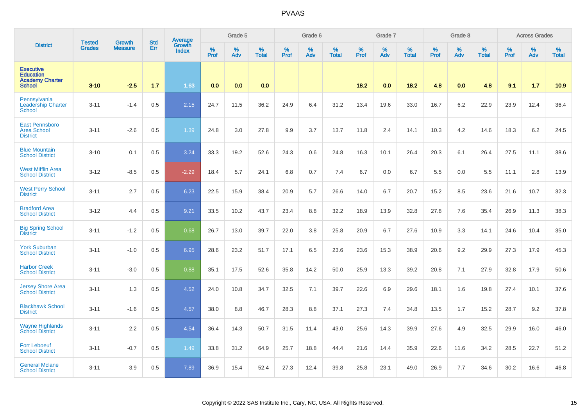|                                                                                 | <b>Tested</b> | <b>Growth</b>  | <b>Std</b> | Average<br>Growth |           | Grade 5  |                   |           | Grade 6  |                   |           | Grade 7  |                   |           | Grade 8  |                   |           | <b>Across Grades</b> |                   |
|---------------------------------------------------------------------------------|---------------|----------------|------------|-------------------|-----------|----------|-------------------|-----------|----------|-------------------|-----------|----------|-------------------|-----------|----------|-------------------|-----------|----------------------|-------------------|
| <b>District</b>                                                                 | <b>Grades</b> | <b>Measure</b> | Err        | <b>Index</b>      | %<br>Prof | %<br>Adv | %<br><b>Total</b> | %<br>Prof | %<br>Adv | %<br><b>Total</b> | %<br>Prof | %<br>Adv | %<br><b>Total</b> | %<br>Prof | %<br>Adv | %<br><b>Total</b> | %<br>Prof | %<br>Adv             | %<br><b>Total</b> |
| <b>Executive</b><br><b>Education</b><br><b>Academy Charter</b><br><b>School</b> | $3 - 10$      | $-2.5$         | 1.7        | 1.63              | 0.0       | 0.0      | 0.0               |           |          |                   | 18.2      | 0.0      | 18.2              | 4.8       | 0.0      | 4.8               | 9.1       | 1.7                  | 10.9              |
| Pennsylvania<br><b>Leadership Charter</b><br><b>School</b>                      | $3 - 11$      | $-1.4$         | 0.5        | 2.15              | 24.7      | 11.5     | 36.2              | 24.9      | 6.4      | 31.2              | 13.4      | 19.6     | 33.0              | 16.7      | 6.2      | 22.9              | 23.9      | 12.4                 | 36.4              |
| <b>East Pennsboro</b><br><b>Area School</b><br><b>District</b>                  | $3 - 11$      | $-2.6$         | 0.5        | 1.39              | 24.8      | 3.0      | 27.8              | 9.9       | 3.7      | 13.7              | 11.8      | 2.4      | 14.1              | 10.3      | 4.2      | 14.6              | 18.3      | $6.2\,$              | 24.5              |
| <b>Blue Mountain</b><br><b>School District</b>                                  | $3 - 10$      | 0.1            | 0.5        | 3.24              | 33.3      | 19.2     | 52.6              | 24.3      | 0.6      | 24.8              | 16.3      | 10.1     | 26.4              | 20.3      | 6.1      | 26.4              | 27.5      | 11.1                 | 38.6              |
| <b>West Mifflin Area</b><br><b>School District</b>                              | $3 - 12$      | $-8.5$         | 0.5        | $-2.29$           | 18.4      | 5.7      | 24.1              | 6.8       | 0.7      | 7.4               | 6.7       | 0.0      | 6.7               | 5.5       | 0.0      | 5.5               | 11.1      | 2.8                  | 13.9              |
| <b>West Perry School</b><br><b>District</b>                                     | $3 - 11$      | 2.7            | 0.5        | 6.23              | 22.5      | 15.9     | 38.4              | 20.9      | 5.7      | 26.6              | 14.0      | 6.7      | 20.7              | 15.2      | 8.5      | 23.6              | 21.6      | 10.7                 | 32.3              |
| <b>Bradford Area</b><br><b>School District</b>                                  | $3 - 12$      | 4.4            | 0.5        | 9.21              | 33.5      | 10.2     | 43.7              | 23.4      | 8.8      | 32.2              | 18.9      | 13.9     | 32.8              | 27.8      | 7.6      | 35.4              | 26.9      | 11.3                 | 38.3              |
| <b>Big Spring School</b><br><b>District</b>                                     | $3 - 11$      | $-1.2$         | 0.5        | 0.68              | 26.7      | 13.0     | 39.7              | 22.0      | 3.8      | 25.8              | 20.9      | 6.7      | 27.6              | 10.9      | 3.3      | 14.1              | 24.6      | 10.4                 | 35.0              |
| <b>York Suburban</b><br><b>School District</b>                                  | $3 - 11$      | $-1.0$         | 0.5        | 6.95              | 28.6      | 23.2     | 51.7              | 17.1      | 6.5      | 23.6              | 23.6      | 15.3     | 38.9              | 20.6      | 9.2      | 29.9              | 27.3      | 17.9                 | 45.3              |
| <b>Harbor Creek</b><br><b>School District</b>                                   | $3 - 11$      | $-3.0$         | 0.5        | 0.88              | 35.1      | 17.5     | 52.6              | 35.8      | 14.2     | 50.0              | 25.9      | 13.3     | 39.2              | 20.8      | 7.1      | 27.9              | 32.8      | 17.9                 | 50.6              |
| <b>Jersey Shore Area</b><br>School District                                     | $3 - 11$      | 1.3            | 0.5        | 4.52              | 24.0      | 10.8     | 34.7              | 32.5      | 7.1      | 39.7              | 22.6      | 6.9      | 29.6              | 18.1      | 1.6      | 19.8              | 27.4      | 10.1                 | 37.6              |
| <b>Blackhawk School</b><br><b>District</b>                                      | $3 - 11$      | $-1.6$         | 0.5        | 4.57              | 38.0      | 8.8      | 46.7              | 28.3      | 8.8      | 37.1              | 27.3      | 7.4      | 34.8              | 13.5      | 1.7      | 15.2              | 28.7      | 9.2                  | 37.8              |
| <b>Wayne Highlands</b><br><b>School District</b>                                | $3 - 11$      | 2.2            | 0.5        | 4.54              | 36.4      | 14.3     | 50.7              | 31.5      | 11.4     | 43.0              | 25.6      | 14.3     | 39.9              | 27.6      | 4.9      | 32.5              | 29.9      | 16.0                 | 46.0              |
| <b>Fort Leboeuf</b><br><b>School District</b>                                   | $3 - 11$      | $-0.7$         | 0.5        | 1.49              | 33.8      | 31.2     | 64.9              | 25.7      | 18.8     | 44.4              | 21.6      | 14.4     | 35.9              | 22.6      | 11.6     | 34.2              | 28.5      | 22.7                 | 51.2              |
| <b>General Mclane</b><br><b>School District</b>                                 | $3 - 11$      | 3.9            | 0.5        | 7.89              | 36.9      | 15.4     | 52.4              | 27.3      | 12.4     | 39.8              | 25.8      | 23.1     | 49.0              | 26.9      | 7.7      | 34.6              | 30.2      | 16.6                 | 46.8              |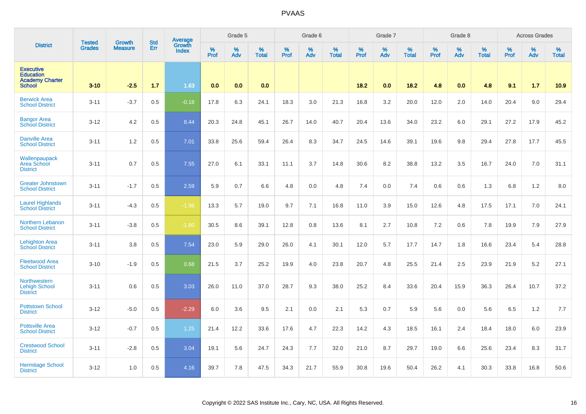|                                                                                 | <b>Tested</b> | <b>Growth</b>  | <b>Std</b> | <b>Average</b><br>Growth |                     | Grade 5  |                   |           | Grade 6  |                   |           | Grade 7  |                   |           | Grade 8  |                   |           | <b>Across Grades</b> |                   |
|---------------------------------------------------------------------------------|---------------|----------------|------------|--------------------------|---------------------|----------|-------------------|-----------|----------|-------------------|-----------|----------|-------------------|-----------|----------|-------------------|-----------|----------------------|-------------------|
| <b>District</b>                                                                 | <b>Grades</b> | <b>Measure</b> | Err        | <b>Index</b>             | $\%$<br><b>Prof</b> | %<br>Adv | %<br><b>Total</b> | %<br>Prof | %<br>Adv | %<br><b>Total</b> | %<br>Prof | %<br>Adv | %<br><b>Total</b> | %<br>Prof | %<br>Adv | %<br><b>Total</b> | %<br>Prof | %<br>Adv             | %<br><b>Total</b> |
| <b>Executive</b><br><b>Education</b><br><b>Academy Charter</b><br><b>School</b> | $3 - 10$      | $-2.5$         | 1.7        | 1.63                     | 0.0                 | 0.0      | 0.0               |           |          |                   | 18.2      | 0.0      | 18.2              | 4.8       | 0.0      | 4.8               | 9.1       | 1.7                  | 10.9              |
| <b>Berwick Area</b><br><b>School District</b>                                   | $3 - 11$      | $-3.7$         | 0.5        | $-0.18$                  | 17.8                | 6.3      | 24.1              | 18.3      | 3.0      | 21.3              | 16.8      | 3.2      | 20.0              | 12.0      | 2.0      | 14.0              | 20.4      | 9.0                  | 29.4              |
| <b>Bangor Area</b><br><b>School District</b>                                    | $3 - 12$      | 4.2            | 0.5        | 8.44                     | 20.3                | 24.8     | 45.1              | 26.7      | 14.0     | 40.7              | 20.4      | 13.6     | 34.0              | 23.2      | 6.0      | 29.1              | 27.2      | 17.9                 | 45.2              |
| <b>Danville Area</b><br><b>School District</b>                                  | $3 - 11$      | 1.2            | 0.5        | 7.01                     | 33.8                | 25.6     | 59.4              | 26.4      | 8.3      | 34.7              | 24.5      | 14.6     | 39.1              | 19.6      | 9.8      | 29.4              | 27.8      | 17.7                 | 45.5              |
| Wallenpaupack<br>Area School<br><b>District</b>                                 | $3 - 11$      | 0.7            | 0.5        | 7.55                     | 27.0                | 6.1      | 33.1              | 11.1      | 3.7      | 14.8              | 30.6      | 8.2      | 38.8              | 13.2      | 3.5      | 16.7              | 24.0      | 7.0                  | 31.1              |
| <b>Greater Johnstown</b><br><b>School District</b>                              | $3 - 11$      | $-1.7$         | 0.5        | 2.59                     | 5.9                 | 0.7      | 6.6               | 4.8       | 0.0      | 4.8               | 7.4       | 0.0      | 7.4               | 0.6       | 0.6      | 1.3               | 6.8       | 1.2                  | 8.0               |
| <b>Laurel Highlands</b><br><b>School District</b>                               | $3 - 11$      | $-4.3$         | 0.5        | $-1.98$                  | 13.3                | 5.7      | 19.0              | 9.7       | 7.1      | 16.8              | 11.0      | 3.9      | 15.0              | 12.6      | 4.8      | 17.5              | 17.1      | 7.0                  | 24.1              |
| <b>Northern Lebanon</b><br><b>School District</b>                               | $3 - 11$      | $-3.8$         | 0.5        | $-1.80$                  | 30.5                | 8.6      | 39.1              | 12.8      | 0.8      | 13.6              | 8.1       | 2.7      | 10.8              | 7.2       | 0.6      | 7.8               | 19.9      | 7.9                  | 27.9              |
| <b>Lehighton Area</b><br><b>School District</b>                                 | $3 - 11$      | 3.8            | 0.5        | 7.54                     | 23.0                | 5.9      | 29.0              | 26.0      | 4.1      | 30.1              | 12.0      | 5.7      | 17.7              | 14.7      | 1.8      | 16.6              | 23.4      | 5.4                  | 28.8              |
| <b>Fleetwood Area</b><br><b>School District</b>                                 | $3 - 10$      | $-1.9$         | 0.5        | 0.68                     | 21.5                | 3.7      | 25.2              | 19.9      | 4.0      | 23.8              | 20.7      | 4.8      | 25.5              | 21.4      | 2.5      | 23.9              | 21.9      | 5.2                  | 27.1              |
| Northwestern<br><b>Lehigh School</b><br><b>District</b>                         | $3 - 11$      | 0.6            | 0.5        | 3.03                     | 26.0                | 11.0     | 37.0              | 28.7      | 9.3      | 38.0              | 25.2      | 8.4      | 33.6              | 20.4      | 15.9     | 36.3              | 26.4      | 10.7                 | 37.2              |
| <b>Pottstown School</b><br><b>District</b>                                      | $3 - 12$      | $-5.0$         | 0.5        | $-2.29$                  | 6.0                 | 3.6      | 9.5               | 2.1       | 0.0      | 2.1               | 5.3       | 0.7      | 5.9               | 5.6       | 0.0      | 5.6               | 6.5       | 1.2                  | 7.7               |
| <b>Pottsville Area</b><br><b>School District</b>                                | $3 - 12$      | $-0.7$         | 0.5        | 1.25                     | 21.4                | 12.2     | 33.6              | 17.6      | 4.7      | 22.3              | 14.2      | 4.3      | 18.5              | 16.1      | 2.4      | 18.4              | 18.0      | 6.0                  | 23.9              |
| <b>Crestwood School</b><br><b>District</b>                                      | $3 - 11$      | $-2.8$         | 0.5        | 3.04                     | 19.1                | 5.6      | 24.7              | 24.3      | 7.7      | 32.0              | 21.0      | 8.7      | 29.7              | 19.0      | 6.6      | 25.6              | 23.4      | 8.3                  | 31.7              |
| <b>Hermitage School</b><br><b>District</b>                                      | $3 - 12$      | 1.0            | 0.5        | 4.16                     | 39.7                | 7.8      | 47.5              | 34.3      | 21.7     | 55.9              | 30.8      | 19.6     | 50.4              | 26.2      | 4.1      | 30.3              | 33.8      | 16.8                 | 50.6              |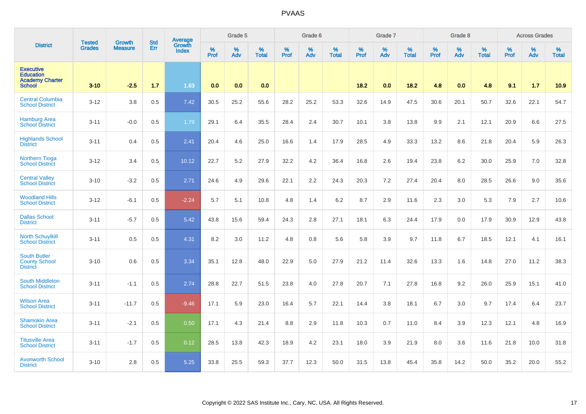|                                                                                 | <b>Tested</b> | <b>Growth</b>  | <b>Std</b> | Average                |           | Grade 5  |                      |           | Grade 6  |                   |           | Grade 7  |                   |           | Grade 8  |                   |           | <b>Across Grades</b> |                   |
|---------------------------------------------------------------------------------|---------------|----------------|------------|------------------------|-----------|----------|----------------------|-----------|----------|-------------------|-----------|----------|-------------------|-----------|----------|-------------------|-----------|----------------------|-------------------|
| <b>District</b>                                                                 | <b>Grades</b> | <b>Measure</b> | Err        | Growth<br><b>Index</b> | %<br>Prof | %<br>Adv | $\%$<br><b>Total</b> | %<br>Prof | %<br>Adv | %<br><b>Total</b> | %<br>Prof | %<br>Adv | %<br><b>Total</b> | %<br>Prof | %<br>Adv | %<br><b>Total</b> | %<br>Prof | %<br>Adv             | %<br><b>Total</b> |
| <b>Executive</b><br><b>Education</b><br><b>Academy Charter</b><br><b>School</b> | $3 - 10$      | $-2.5$         | 1.7        | 1.63                   | 0.0       | 0.0      | 0.0                  |           |          |                   | 18.2      | 0.0      | 18.2              | 4.8       | 0.0      | 4.8               | 9.1       | 1.7                  | 10.9              |
| <b>Central Columbia</b><br><b>School District</b>                               | $3 - 12$      | 3.8            | 0.5        | 7.42                   | 30.5      | 25.2     | 55.6                 | 28.2      | 25.2     | 53.3              | 32.6      | 14.9     | 47.5              | 30.6      | 20.1     | 50.7              | 32.6      | 22.1                 | 54.7              |
| <b>Hamburg Area</b><br><b>School District</b>                                   | $3 - 11$      | $-0.0$         | 0.5        | 1.79                   | 29.1      | 6.4      | 35.5                 | 28.4      | 2.4      | 30.7              | 10.1      | 3.8      | 13.8              | 9.9       | 2.1      | 12.1              | 20.9      | 6.6                  | 27.5              |
| <b>Highlands School</b><br><b>District</b>                                      | $3 - 11$      | 0.4            | 0.5        | 2.41                   | 20.4      | 4.6      | 25.0                 | 16.6      | 1.4      | 17.9              | 28.5      | 4.9      | 33.3              | 13.2      | 8.6      | 21.8              | 20.4      | 5.9                  | 26.3              |
| <b>Northern Tioga</b><br><b>School District</b>                                 | $3-12$        | 3.4            | 0.5        | 10.12                  | 22.7      | 5.2      | 27.9                 | 32.2      | 4.2      | 36.4              | 16.8      | 2.6      | 19.4              | 23.8      | 6.2      | 30.0              | 25.9      | 7.0                  | 32.8              |
| <b>Central Valley</b><br><b>School District</b>                                 | $3 - 10$      | $-3.2$         | 0.5        | 2.71                   | 24.6      | 4.9      | 29.6                 | 22.1      | 2.2      | 24.3              | 20.3      | 7.2      | 27.4              | 20.4      | 8.0      | 28.5              | 26.6      | 9.0                  | 35.6              |
| <b>Woodland Hills</b><br><b>School District</b>                                 | $3 - 12$      | $-6.1$         | 0.5        | $-2.24$                | 5.7       | 5.1      | 10.8                 | 4.8       | 1.4      | 6.2               | 8.7       | 2.9      | 11.6              | 2.3       | 3.0      | 5.3               | 7.9       | 2.7                  | 10.6              |
| <b>Dallas School</b><br><b>District</b>                                         | $3 - 11$      | $-5.7$         | 0.5        | 5.42                   | 43.8      | 15.6     | 59.4                 | 24.3      | 2.8      | 27.1              | 18.1      | 6.3      | 24.4              | 17.9      | 0.0      | 17.9              | 30.9      | 12.9                 | 43.8              |
| <b>North Schuylkill</b><br><b>School District</b>                               | $3 - 11$      | 0.5            | 0.5        | 4.31                   | 8.2       | 3.0      | 11.2                 | 4.8       | 0.8      | 5.6               | 5.8       | 3.9      | 9.7               | 11.8      | 6.7      | 18.5              | 12.1      | 4.1                  | 16.1              |
| <b>South Butler</b><br><b>County School</b><br><b>District</b>                  | $3 - 10$      | 0.6            | 0.5        | 3.34                   | 35.1      | 12.8     | 48.0                 | 22.9      | 5.0      | 27.9              | 21.2      | 11.4     | 32.6              | 13.3      | 1.6      | 14.8              | 27.0      | 11.2                 | 38.3              |
| <b>South Middleton</b><br><b>School District</b>                                | $3 - 11$      | $-1.1$         | 0.5        | 2.74                   | 28.8      | 22.7     | 51.5                 | 23.8      | 4.0      | 27.8              | 20.7      | 7.1      | 27.8              | 16.8      | 9.2      | 26.0              | 25.9      | 15.1                 | 41.0              |
| <b>Wilson Area</b><br><b>School District</b>                                    | $3 - 11$      | $-11.7$        | 0.5        | $-9.46$                | 17.1      | 5.9      | 23.0                 | 16.4      | 5.7      | 22.1              | 14.4      | 3.8      | 18.1              | 6.7       | 3.0      | 9.7               | 17.4      | 6.4                  | 23.7              |
| <b>Shamokin Area</b><br><b>School District</b>                                  | $3 - 11$      | $-2.1$         | 0.5        | 0.50                   | 17.1      | 4.3      | 21.4                 | 8.8       | 2.9      | 11.8              | 10.3      | 0.7      | 11.0              | 8.4       | 3.9      | 12.3              | 12.1      | 4.8                  | 16.9              |
| <b>Titusville Area</b><br><b>School District</b>                                | $3 - 11$      | $-1.7$         | 0.5        | 0.12                   | 28.5      | 13.8     | 42.3                 | 18.9      | 4.2      | 23.1              | 18.0      | 3.9      | 21.9              | 8.0       | 3.6      | 11.6              | 21.8      | 10.0                 | 31.8              |
| <b>Avonworth School</b><br><b>District</b>                                      | $3 - 10$      | 2.8            | 0.5        | 5.25                   | 33.8      | 25.5     | 59.3                 | 37.7      | 12.3     | 50.0              | 31.5      | 13.8     | 45.4              | 35.8      | 14.2     | 50.0              | 35.2      | 20.0                 | 55.2              |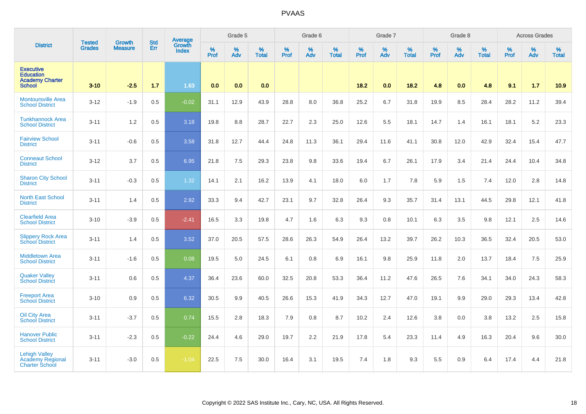|                                                                                 | <b>Tested</b> |                                 | <b>Std</b> | Average                |                  | Grade 5  |                   |           | Grade 6  |                   |           | Grade 7         |                   |                  | Grade 8  |                   |                  | <b>Across Grades</b> |                   |
|---------------------------------------------------------------------------------|---------------|---------------------------------|------------|------------------------|------------------|----------|-------------------|-----------|----------|-------------------|-----------|-----------------|-------------------|------------------|----------|-------------------|------------------|----------------------|-------------------|
| <b>District</b>                                                                 | <b>Grades</b> | <b>Growth</b><br><b>Measure</b> | Err        | Growth<br><b>Index</b> | %<br><b>Prof</b> | %<br>Adv | %<br><b>Total</b> | %<br>Prof | %<br>Adv | %<br><b>Total</b> | %<br>Prof | %<br><b>Adv</b> | %<br><b>Total</b> | %<br><b>Prof</b> | %<br>Adv | %<br><b>Total</b> | %<br><b>Prof</b> | %<br>Adv             | %<br><b>Total</b> |
| <b>Executive</b><br><b>Education</b><br><b>Academy Charter</b><br><b>School</b> | $3 - 10$      | $-2.5$                          | 1.7        | 1.63                   | 0.0              | 0.0      | 0.0               |           |          |                   | 18.2      | 0.0             | 18.2              | 4.8              | 0.0      | 4.8               | 9.1              | 1.7                  | 10.9              |
| <b>Montoursville Area</b><br><b>School District</b>                             | $3 - 12$      | $-1.9$                          | 0.5        | $-0.02$                | 31.1             | 12.9     | 43.9              | 28.8      | 8.0      | 36.8              | 25.2      | 6.7             | 31.8              | 19.9             | 8.5      | 28.4              | 28.2             | 11.2                 | 39.4              |
| <b>Tunkhannock Area</b><br><b>School District</b>                               | $3 - 11$      | 1.2                             | 0.5        | 3.18                   | 19.8             | 8.8      | 28.7              | 22.7      | 2.3      | 25.0              | 12.6      | 5.5             | 18.1              | 14.7             | 1.4      | 16.1              | 18.1             | 5.2                  | 23.3              |
| <b>Fairview School</b><br><b>District</b>                                       | $3 - 11$      | $-0.6$                          | 0.5        | 3.58                   | 31.8             | 12.7     | 44.4              | 24.8      | 11.3     | 36.1              | 29.4      | 11.6            | 41.1              | 30.8             | 12.0     | 42.9              | 32.4             | 15.4                 | 47.7              |
| <b>Conneaut School</b><br><b>District</b>                                       | $3 - 12$      | 3.7                             | 0.5        | 6.95                   | 21.8             | 7.5      | 29.3              | 23.8      | 9.8      | 33.6              | 19.4      | 6.7             | 26.1              | 17.9             | 3.4      | 21.4              | 24.4             | 10.4                 | 34.8              |
| <b>Sharon City School</b><br><b>District</b>                                    | $3 - 11$      | $-0.3$                          | 0.5        | 1.32                   | 14.1             | 2.1      | 16.2              | 13.9      | 4.1      | 18.0              | 6.0       | 1.7             | 7.8               | 5.9              | 1.5      | 7.4               | 12.0             | 2.8                  | 14.8              |
| <b>North East School</b><br><b>District</b>                                     | $3 - 11$      | 1.4                             | 0.5        | 2.92                   | 33.3             | 9.4      | 42.7              | 23.1      | 9.7      | 32.8              | 26.4      | 9.3             | 35.7              | 31.4             | 13.1     | 44.5              | 29.8             | 12.1                 | 41.8              |
| <b>Clearfield Area</b><br><b>School District</b>                                | $3 - 10$      | $-3.9$                          | 0.5        | $-2.41$                | 16.5             | 3.3      | 19.8              | 4.7       | 1.6      | 6.3               | 9.3       | 0.8             | 10.1              | 6.3              | 3.5      | 9.8               | 12.1             | 2.5                  | 14.6              |
| <b>Slippery Rock Area</b><br><b>School District</b>                             | $3 - 11$      | 1.4                             | 0.5        | 3.52                   | 37.0             | 20.5     | 57.5              | 28.6      | 26.3     | 54.9              | 26.4      | 13.2            | 39.7              | 26.2             | 10.3     | 36.5              | 32.4             | 20.5                 | 53.0              |
| <b>Middletown Area</b><br><b>School District</b>                                | $3 - 11$      | $-1.6$                          | 0.5        | 0.08                   | 19.5             | 5.0      | 24.5              | 6.1       | 0.8      | 6.9               | 16.1      | 9.8             | 25.9              | 11.8             | 2.0      | 13.7              | 18.4             | 7.5                  | 25.9              |
| <b>Quaker Valley</b><br><b>School District</b>                                  | $3 - 11$      | 0.6                             | 0.5        | 4.37                   | 36.4             | 23.6     | 60.0              | 32.5      | 20.8     | 53.3              | 36.4      | 11.2            | 47.6              | 26.5             | 7.6      | 34.1              | 34.0             | 24.3                 | 58.3              |
| <b>Freeport Area</b><br><b>School District</b>                                  | $3 - 10$      | 0.9                             | 0.5        | 6.32                   | 30.5             | 9.9      | 40.5              | 26.6      | 15.3     | 41.9              | 34.3      | 12.7            | 47.0              | 19.1             | 9.9      | 29.0              | 29.3             | 13.4                 | 42.8              |
| <b>Oil City Area</b><br><b>School District</b>                                  | $3 - 11$      | $-3.7$                          | 0.5        | 0.74                   | 15.5             | 2.8      | 18.3              | 7.9       | 0.8      | 8.7               | 10.2      | 2.4             | 12.6              | 3.8              | 0.0      | 3.8               | 13.2             | 2.5                  | 15.8              |
| <b>Hanover Public</b><br><b>School District</b>                                 | $3 - 11$      | $-2.3$                          | 0.5        | $-0.22$                | 24.4             | 4.6      | 29.0              | 19.7      | 2.2      | 21.9              | 17.8      | 5.4             | 23.3              | 11.4             | 4.9      | 16.3              | 20.4             | 9.6                  | 30.0              |
| <b>Lehigh Valley</b><br>Academy Regional<br><b>Charter School</b>               | $3 - 11$      | $-3.0$                          | 0.5        | $-1.04$                | 22.5             | 7.5      | 30.0              | 16.4      | 3.1      | 19.5              | 7.4       | 1.8             | 9.3               | 5.5              | 0.9      | 6.4               | 17.4             | 4.4                  | 21.8              |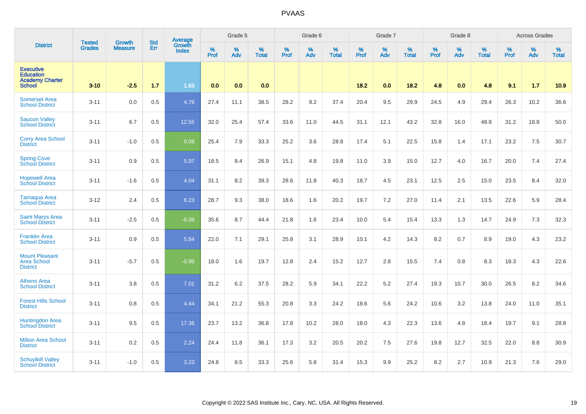|                                                                                 | <b>Tested</b> | <b>Growth</b>  | <b>Std</b> | Average                |           | Grade 5  |                   |           | Grade 6  |                   |           | Grade 7  |                   |           | Grade 8  |                   |           | <b>Across Grades</b> |                   |
|---------------------------------------------------------------------------------|---------------|----------------|------------|------------------------|-----------|----------|-------------------|-----------|----------|-------------------|-----------|----------|-------------------|-----------|----------|-------------------|-----------|----------------------|-------------------|
| <b>District</b>                                                                 | <b>Grades</b> | <b>Measure</b> | Err        | Growth<br><b>Index</b> | %<br>Prof | %<br>Adv | %<br><b>Total</b> | %<br>Prof | %<br>Adv | %<br><b>Total</b> | %<br>Prof | %<br>Adv | %<br><b>Total</b> | %<br>Prof | %<br>Adv | %<br><b>Total</b> | %<br>Prof | %<br>Adv             | %<br><b>Total</b> |
| <b>Executive</b><br><b>Education</b><br><b>Academy Charter</b><br><b>School</b> | $3 - 10$      | $-2.5$         | 1.7        | 1.63                   | 0.0       | 0.0      | 0.0               |           |          |                   | 18.2      | 0.0      | 18.2              | 4.8       | 0.0      | 4.8               | 9.1       | 1.7                  | 10.9              |
| <b>Somerset Area</b><br><b>School District</b>                                  | $3 - 11$      | 0.0            | 0.5        | 4.78                   | 27.4      | 11.1     | 38.5              | 28.2      | 9.2      | 37.4              | 20.4      | 9.5      | 29.9              | 24.5      | 4.9      | 29.4              | 26.3      | 10.2                 | 36.6              |
| <b>Saucon Valley</b><br><b>School District</b>                                  | $3 - 11$      | 6.7            | 0.5        | 12.55                  | 32.0      | 25.4     | 57.4              | 33.6      | 11.0     | 44.5              | 31.1      | 12.1     | 43.2              | 32.8      | 16.0     | 48.8              | 31.2      | 18.8                 | 50.0              |
| <b>Corry Area School</b><br><b>District</b>                                     | $3 - 11$      | $-1.0$         | 0.5        | 0.08                   | 25.4      | 7.9      | 33.3              | 25.2      | 3.6      | 28.8              | 17.4      | 5.1      | 22.5              | 15.8      | 1.4      | 17.1              | 23.2      | 7.5                  | 30.7              |
| <b>Spring Cove</b><br><b>School District</b>                                    | $3 - 11$      | 0.9            | 0.5        | 5.97                   | 18.5      | 8.4      | 26.9              | 15.1      | 4.8      | 19.8              | 11.0      | 3.9      | 15.0              | 12.7      | 4.0      | 16.7              | 20.0      | 7.4                  | 27.4              |
| <b>Hopewell Area</b><br><b>School District</b>                                  | $3 - 11$      | $-1.6$         | 0.5        | 4.04                   | 31.1      | 8.2      | 39.3              | 28.6      | 11.8     | 40.3              | 18.7      | 4.5      | 23.1              | 12.5      | 2.5      | 15.0              | 23.5      | 8.4                  | 32.0              |
| <b>Tamaqua Area</b><br><b>School District</b>                                   | $3 - 12$      | 2.4            | 0.5        | 6.23                   | 28.7      | 9.3      | 38.0              | 18.6      | 1.6      | 20.2              | 19.7      | 7.2      | 27.0              | 11.4      | 2.1      | 13.5              | 22.6      | 5.9                  | 28.4              |
| <b>Saint Marys Area</b><br><b>School District</b>                               | $3 - 11$      | $-2.5$         | 0.5        | $-0.36$                | 35.6      | 8.7      | 44.4              | 21.8      | 1.6      | 23.4              | 10.0      | 5.4      | 15.4              | 13.3      | 1.3      | 14.7              | 24.9      | 7.3                  | 32.3              |
| <b>Franklin Area</b><br><b>School District</b>                                  | $3 - 11$      | 0.9            | 0.5        | 5.84                   | 22.0      | 7.1      | 29.1              | 25.8      | 3.1      | 28.9              | 10.1      | 4.2      | 14.3              | 8.2       | 0.7      | 8.9               | 19.0      | 4.3                  | 23.2              |
| <b>Mount Pleasant</b><br><b>Area School</b><br><b>District</b>                  | $3 - 11$      | $-5.7$         | 0.5        | $-0.96$                | 18.0      | 1.6      | 19.7              | 12.8      | 2.4      | 15.2              | 12.7      | 2.8      | 15.5              | 7.4       | 0.8      | 8.3               | 18.3      | 4.3                  | 22.6              |
| <b>Athens Area</b><br><b>School District</b>                                    | $3 - 11$      | 3.8            | 0.5        | 7.01                   | 31.2      | 6.2      | 37.5              | 28.2      | 5.9      | 34.1              | 22.2      | 5.2      | 27.4              | 19.3      | 10.7     | 30.0              | 26.5      | 8.2                  | 34.6              |
| <b>Forest Hills School</b><br><b>District</b>                                   | $3 - 11$      | 0.8            | 0.5        | 4.44                   | 34.1      | 21.2     | 55.3              | 20.8      | 3.3      | 24.2              | 18.6      | 5.6      | 24.2              | 10.6      | 3.2      | 13.8              | 24.0      | 11.0                 | 35.1              |
| <b>Huntingdon Area</b><br><b>School District</b>                                | $3 - 11$      | 9.5            | 0.5        | 17.36                  | 23.7      | 13.2     | 36.8              | 17.8      | 10.2     | 28.0              | 18.0      | 4.3      | 22.3              | 13.6      | 4.8      | 18.4              | 19.7      | 9.1                  | 28.8              |
| <b>Milton Area School</b><br><b>District</b>                                    | $3 - 11$      | 0.2            | 0.5        | 2.24                   | 24.4      | 11.8     | 36.1              | 17.3      | 3.2      | 20.5              | 20.2      | 7.5      | 27.6              | 19.8      | 12.7     | 32.5              | 22.0      | 8.8                  | 30.9              |
| <b>Schuylkill Valley</b><br><b>School District</b>                              | $3 - 11$      | $-1.0$         | 0.5        | 3.23                   | 24.8      | 8.5      | 33.3              | 25.6      | 5.8      | 31.4              | 15.3      | 9.9      | 25.2              | 8.2       | 2.7      | 10.9              | 21.3      | 7.6                  | 29.0              |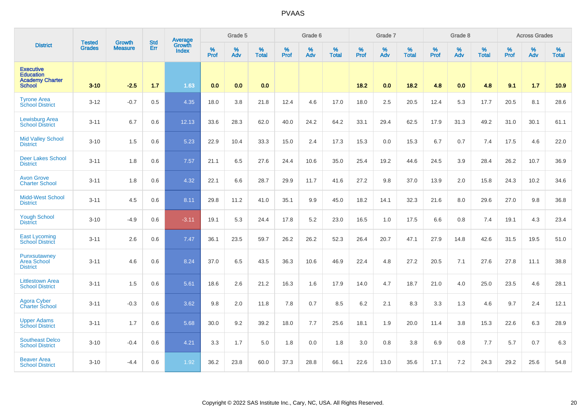|                                                                                 | <b>Tested</b> | <b>Growth</b>  | <b>Std</b> | Average                |           | Grade 5  |                      |           | Grade 6  |                   |           | Grade 7  |                   |           | Grade 8  |                   |           | <b>Across Grades</b> |                   |
|---------------------------------------------------------------------------------|---------------|----------------|------------|------------------------|-----------|----------|----------------------|-----------|----------|-------------------|-----------|----------|-------------------|-----------|----------|-------------------|-----------|----------------------|-------------------|
| <b>District</b>                                                                 | <b>Grades</b> | <b>Measure</b> | Err        | Growth<br><b>Index</b> | %<br>Prof | %<br>Adv | $\%$<br><b>Total</b> | %<br>Prof | %<br>Adv | %<br><b>Total</b> | %<br>Prof | %<br>Adv | %<br><b>Total</b> | %<br>Prof | %<br>Adv | %<br><b>Total</b> | %<br>Prof | %<br>Adv             | %<br><b>Total</b> |
| <b>Executive</b><br><b>Education</b><br><b>Academy Charter</b><br><b>School</b> | $3 - 10$      | $-2.5$         | 1.7        | 1.63                   | 0.0       | 0.0      | 0.0                  |           |          |                   | 18.2      | 0.0      | 18.2              | 4.8       | 0.0      | 4.8               | 9.1       | 1.7                  | 10.9              |
| <b>Tyrone Area</b><br><b>School District</b>                                    | $3 - 12$      | $-0.7$         | 0.5        | 4.35                   | 18.0      | 3.8      | 21.8                 | 12.4      | 4.6      | 17.0              | 18.0      | 2.5      | 20.5              | 12.4      | 5.3      | 17.7              | 20.5      | 8.1                  | 28.6              |
| <b>Lewisburg Area</b><br><b>School District</b>                                 | $3 - 11$      | 6.7            | 0.6        | 12.13                  | 33.6      | 28.3     | 62.0                 | 40.0      | 24.2     | 64.2              | 33.1      | 29.4     | 62.5              | 17.9      | 31.3     | 49.2              | 31.0      | 30.1                 | 61.1              |
| <b>Mid Valley School</b><br><b>District</b>                                     | $3 - 10$      | 1.5            | 0.6        | 5.23                   | 22.9      | 10.4     | 33.3                 | 15.0      | 2.4      | 17.3              | 15.3      | 0.0      | 15.3              | 6.7       | 0.7      | 7.4               | 17.5      | 4.6                  | 22.0              |
| <b>Deer Lakes School</b><br><b>District</b>                                     | $3 - 11$      | 1.8            | 0.6        | 7.57                   | 21.1      | 6.5      | 27.6                 | 24.4      | 10.6     | 35.0              | 25.4      | 19.2     | 44.6              | 24.5      | 3.9      | 28.4              | 26.2      | 10.7                 | 36.9              |
| <b>Avon Grove</b><br><b>Charter School</b>                                      | $3 - 11$      | 1.8            | 0.6        | 4.32                   | 22.1      | 6.6      | 28.7                 | 29.9      | 11.7     | 41.6              | 27.2      | 9.8      | 37.0              | 13.9      | 2.0      | 15.8              | 24.3      | 10.2                 | 34.6              |
| Midd-West School<br><b>District</b>                                             | $3 - 11$      | 4.5            | 0.6        | 8.11                   | 29.8      | 11.2     | 41.0                 | 35.1      | 9.9      | 45.0              | 18.2      | 14.1     | 32.3              | 21.6      | 8.0      | 29.6              | 27.0      | 9.8                  | 36.8              |
| <b>Yough School</b><br><b>District</b>                                          | $3 - 10$      | $-4.9$         | 0.6        | $-3.11$                | 19.1      | 5.3      | 24.4                 | 17.8      | 5.2      | 23.0              | 16.5      | 1.0      | 17.5              | 6.6       | 0.8      | 7.4               | 19.1      | 4.3                  | 23.4              |
| <b>East Lycoming</b><br>School District                                         | $3 - 11$      | 2.6            | 0.6        | 7.47                   | 36.1      | 23.5     | 59.7                 | 26.2      | 26.2     | 52.3              | 26.4      | 20.7     | 47.1              | 27.9      | 14.8     | 42.6              | 31.5      | 19.5                 | 51.0              |
| Punxsutawney<br><b>Area School</b><br><b>District</b>                           | $3 - 11$      | 4.6            | 0.6        | 8.24                   | 37.0      | 6.5      | 43.5                 | 36.3      | 10.6     | 46.9              | 22.4      | 4.8      | 27.2              | 20.5      | 7.1      | 27.6              | 27.8      | 11.1                 | 38.8              |
| <b>Littlestown Area</b><br><b>School District</b>                               | $3 - 11$      | 1.5            | 0.6        | 5.61                   | 18.6      | 2.6      | 21.2                 | 16.3      | 1.6      | 17.9              | 14.0      | 4.7      | 18.7              | 21.0      | 4.0      | 25.0              | 23.5      | 4.6                  | 28.1              |
| <b>Agora Cyber</b><br><b>Charter School</b>                                     | $3 - 11$      | $-0.3$         | 0.6        | 3.62                   | 9.8       | 2.0      | 11.8                 | 7.8       | 0.7      | 8.5               | 6.2       | 2.1      | 8.3               | 3.3       | 1.3      | 4.6               | 9.7       | 2.4                  | 12.1              |
| <b>Upper Adams</b><br><b>School District</b>                                    | $3 - 11$      | 1.7            | 0.6        | 5.68                   | 30.0      | 9.2      | 39.2                 | 18.0      | 7.7      | 25.6              | 18.1      | 1.9      | 20.0              | 11.4      | 3.8      | 15.3              | 22.6      | 6.3                  | 28.9              |
| <b>Southeast Delco</b><br><b>School District</b>                                | $3 - 10$      | $-0.4$         | 0.6        | 4.21                   | 3.3       | 1.7      | 5.0                  | 1.8       | 0.0      | 1.8               | 3.0       | 0.8      | 3.8               | 6.9       | 0.8      | 7.7               | 5.7       | 0.7                  | 6.3               |
| <b>Beaver Area</b><br><b>School District</b>                                    | $3 - 10$      | $-4.4$         | 0.6        | 1.92                   | 36.2      | 23.8     | 60.0                 | 37.3      | 28.8     | 66.1              | 22.6      | 13.0     | 35.6              | 17.1      | 7.2      | 24.3              | 29.2      | 25.6                 | 54.8              |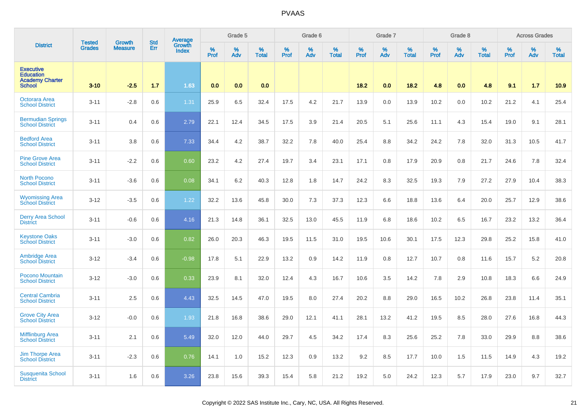|                                                                                 |                                |                          | <b>Std</b> | Average                |           | Grade 5  |                   |           | Grade 6  |                   |           | Grade 7  |                   |           | Grade 8  |                   |           | <b>Across Grades</b> |                   |
|---------------------------------------------------------------------------------|--------------------------------|--------------------------|------------|------------------------|-----------|----------|-------------------|-----------|----------|-------------------|-----------|----------|-------------------|-----------|----------|-------------------|-----------|----------------------|-------------------|
| <b>District</b>                                                                 | <b>Tested</b><br><b>Grades</b> | Growth<br><b>Measure</b> | Err        | Growth<br><b>Index</b> | %<br>Prof | %<br>Adv | %<br><b>Total</b> | %<br>Prof | %<br>Adv | %<br><b>Total</b> | %<br>Prof | %<br>Adv | %<br><b>Total</b> | %<br>Prof | %<br>Adv | %<br><b>Total</b> | %<br>Prof | %<br>Adv             | %<br><b>Total</b> |
| <b>Executive</b><br><b>Education</b><br><b>Academy Charter</b><br><b>School</b> | $3 - 10$                       | $-2.5$                   | 1.7        | 1.63                   | 0.0       | 0.0      | 0.0               |           |          |                   | 18.2      | 0.0      | 18.2              | 4.8       | 0.0      | 4.8               | 9.1       | 1.7                  | 10.9              |
| <b>Octorara Area</b><br><b>School District</b>                                  | $3 - 11$                       | $-2.8$                   | 0.6        | 1.31                   | 25.9      | 6.5      | 32.4              | 17.5      | 4.2      | 21.7              | 13.9      | 0.0      | 13.9              | 10.2      | 0.0      | 10.2              | 21.2      | 4.1                  | 25.4              |
| <b>Bermudian Springs</b><br><b>School District</b>                              | $3 - 11$                       | 0.4                      | 0.6        | 2.79                   | 22.1      | 12.4     | 34.5              | 17.5      | 3.9      | 21.4              | 20.5      | 5.1      | 25.6              | 11.1      | 4.3      | 15.4              | 19.0      | 9.1                  | 28.1              |
| <b>Bedford Area</b><br><b>School District</b>                                   | $3 - 11$                       | 3.8                      | 0.6        | 7.33                   | 34.4      | 4.2      | 38.7              | 32.2      | 7.8      | 40.0              | 25.4      | 8.8      | 34.2              | 24.2      | 7.8      | 32.0              | 31.3      | 10.5                 | 41.7              |
| <b>Pine Grove Area</b><br><b>School District</b>                                | $3 - 11$                       | $-2.2$                   | 0.6        | 0.60                   | 23.2      | 4.2      | 27.4              | 19.7      | 3.4      | 23.1              | 17.1      | 0.8      | 17.9              | 20.9      | 0.8      | 21.7              | 24.6      | 7.8                  | 32.4              |
| <b>North Pocono</b><br><b>School District</b>                                   | $3 - 11$                       | $-3.6$                   | 0.6        | 0.08                   | 34.1      | 6.2      | 40.3              | 12.8      | 1.8      | 14.7              | 24.2      | 8.3      | 32.5              | 19.3      | 7.9      | 27.2              | 27.9      | 10.4                 | 38.3              |
| <b>Wyomissing Area</b><br><b>School District</b>                                | $3-12$                         | $-3.5$                   | 0.6        | 1.22                   | 32.2      | 13.6     | 45.8              | 30.0      | 7.3      | 37.3              | 12.3      | 6.6      | 18.8              | 13.6      | 6.4      | 20.0              | 25.7      | 12.9                 | 38.6              |
| <b>Derry Area School</b><br><b>District</b>                                     | $3 - 11$                       | $-0.6$                   | 0.6        | 4.16                   | 21.3      | 14.8     | 36.1              | 32.5      | 13.0     | 45.5              | 11.9      | 6.8      | 18.6              | 10.2      | 6.5      | 16.7              | 23.2      | 13.2                 | 36.4              |
| <b>Keystone Oaks</b><br><b>School District</b>                                  | $3 - 11$                       | $-3.0$                   | 0.6        | 0.82                   | 26.0      | 20.3     | 46.3              | 19.5      | 11.5     | 31.0              | 19.5      | 10.6     | 30.1              | 17.5      | 12.3     | 29.8              | 25.2      | 15.8                 | 41.0              |
| <b>Ambridge Area</b><br><b>School District</b>                                  | $3 - 12$                       | $-3.4$                   | 0.6        | $-0.98$                | 17.8      | 5.1      | 22.9              | 13.2      | 0.9      | 14.2              | 11.9      | 0.8      | 12.7              | 10.7      | 0.8      | 11.6              | 15.7      | 5.2                  | 20.8              |
| Pocono Mountain<br><b>School District</b>                                       | $3-12$                         | $-3.0$                   | 0.6        | 0.33                   | 23.9      | 8.1      | 32.0              | 12.4      | 4.3      | 16.7              | 10.6      | 3.5      | 14.2              | 7.8       | 2.9      | 10.8              | 18.3      | 6.6                  | 24.9              |
| <b>Central Cambria</b><br><b>School District</b>                                | $3 - 11$                       | 2.5                      | 0.6        | 4.43                   | 32.5      | 14.5     | 47.0              | 19.5      | 8.0      | 27.4              | 20.2      | 8.8      | 29.0              | 16.5      | 10.2     | 26.8              | 23.8      | 11.4                 | 35.1              |
| <b>Grove City Area</b><br><b>School District</b>                                | $3 - 12$                       | $-0.0$                   | 0.6        | 1.93                   | 21.8      | 16.8     | 38.6              | 29.0      | 12.1     | 41.1              | 28.1      | 13.2     | 41.2              | 19.5      | 8.5      | 28.0              | 27.6      | 16.8                 | 44.3              |
| <b>Mifflinburg Area</b><br><b>School District</b>                               | $3 - 11$                       | 2.1                      | 0.6        | 5.49                   | 32.0      | 12.0     | 44.0              | 29.7      | 4.5      | 34.2              | 17.4      | 8.3      | 25.6              | 25.2      | 7.8      | 33.0              | 29.9      | 8.8                  | 38.6              |
| <b>Jim Thorpe Area</b><br><b>School District</b>                                | $3 - 11$                       | $-2.3$                   | 0.6        | 0.76                   | 14.1      | 1.0      | 15.2              | 12.3      | 0.9      | 13.2              | 9.2       | 8.5      | 17.7              | 10.0      | 1.5      | 11.5              | 14.9      | 4.3                  | 19.2              |
| <b>Susquenita School</b><br><b>District</b>                                     | $3 - 11$                       | 1.6                      | 0.6        | 3.26                   | 23.8      | 15.6     | 39.3              | 15.4      | 5.8      | 21.2              | 19.2      | 5.0      | 24.2              | 12.3      | 5.7      | 17.9              | 23.0      | 9.7                  | 32.7              |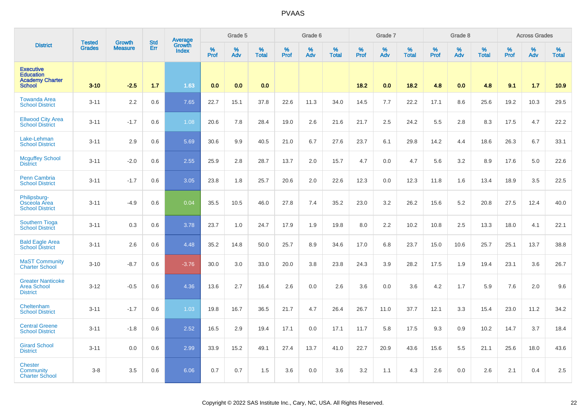|                                                                                 | <b>Tested</b> |                          | <b>Std</b> | Average                |              | Grade 5  |                   |           | Grade 6  |                   |           | Grade 7  |                   |           | Grade 8  |                      |           | <b>Across Grades</b> |                   |
|---------------------------------------------------------------------------------|---------------|--------------------------|------------|------------------------|--------------|----------|-------------------|-----------|----------|-------------------|-----------|----------|-------------------|-----------|----------|----------------------|-----------|----------------------|-------------------|
| <b>District</b>                                                                 | <b>Grades</b> | Growth<br><b>Measure</b> | Err        | Growth<br><b>Index</b> | $\%$<br>Prof | %<br>Adv | %<br><b>Total</b> | %<br>Prof | %<br>Adv | %<br><b>Total</b> | %<br>Prof | %<br>Adv | %<br><b>Total</b> | %<br>Prof | %<br>Adv | $\%$<br><b>Total</b> | %<br>Prof | %<br>Adv             | %<br><b>Total</b> |
| <b>Executive</b><br><b>Education</b><br><b>Academy Charter</b><br><b>School</b> | $3 - 10$      | $-2.5$                   | 1.7        | 1.63                   | 0.0          | 0.0      | 0.0               |           |          |                   | 18.2      | 0.0      | 18.2              | 4.8       | 0.0      | 4.8                  | 9.1       | 1.7                  | 10.9              |
| <b>Towanda Area</b><br><b>School District</b>                                   | $3 - 11$      | 2.2                      | 0.6        | 7.65                   | 22.7         | 15.1     | 37.8              | 22.6      | 11.3     | 34.0              | 14.5      | 7.7      | 22.2              | 17.1      | 8.6      | 25.6                 | 19.2      | 10.3                 | 29.5              |
| <b>Ellwood City Area</b><br><b>School District</b>                              | $3 - 11$      | $-1.7$                   | 0.6        | 1.08                   | 20.6         | 7.8      | 28.4              | 19.0      | 2.6      | 21.6              | 21.7      | 2.5      | 24.2              | 5.5       | 2.8      | 8.3                  | 17.5      | 4.7                  | 22.2              |
| Lake-Lehman<br><b>School District</b>                                           | $3 - 11$      | 2.9                      | 0.6        | 5.69                   | 30.6         | 9.9      | 40.5              | 21.0      | 6.7      | 27.6              | 23.7      | 6.1      | 29.8              | 14.2      | 4.4      | 18.6                 | 26.3      | 6.7                  | 33.1              |
| <b>Mcguffey School</b><br><b>District</b>                                       | $3 - 11$      | $-2.0$                   | 0.6        | 2.55                   | 25.9         | 2.8      | 28.7              | 13.7      | 2.0      | 15.7              | 4.7       | 0.0      | 4.7               | 5.6       | 3.2      | 8.9                  | 17.6      | 5.0                  | 22.6              |
| <b>Penn Cambria</b><br><b>School District</b>                                   | $3 - 11$      | $-1.7$                   | 0.6        | 3.05                   | 23.8         | 1.8      | 25.7              | 20.6      | 2.0      | 22.6              | 12.3      | 0.0      | 12.3              | 11.8      | 1.6      | 13.4                 | 18.9      | 3.5                  | 22.5              |
| Philipsburg-<br>Osceola Area<br><b>School District</b>                          | $3 - 11$      | $-4.9$                   | 0.6        | 0.04                   | 35.5         | 10.5     | 46.0              | 27.8      | 7.4      | 35.2              | 23.0      | 3.2      | 26.2              | 15.6      | 5.2      | 20.8                 | 27.5      | 12.4                 | 40.0              |
| <b>Southern Tioga</b><br><b>School District</b>                                 | $3 - 11$      | 0.3                      | 0.6        | 3.78                   | 23.7         | 1.0      | 24.7              | 17.9      | 1.9      | 19.8              | 8.0       | 2.2      | 10.2              | 10.8      | 2.5      | 13.3                 | 18.0      | 4.1                  | 22.1              |
| <b>Bald Eagle Area</b><br><b>School District</b>                                | $3 - 11$      | 2.6                      | 0.6        | 4.48                   | 35.2         | 14.8     | 50.0              | 25.7      | 8.9      | 34.6              | 17.0      | 6.8      | 23.7              | 15.0      | 10.6     | 25.7                 | 25.1      | 13.7                 | 38.8              |
| <b>MaST Community</b><br><b>Charter School</b>                                  | $3 - 10$      | $-8.7$                   | 0.6        | $-3.76$                | 30.0         | 3.0      | 33.0              | 20.0      | 3.8      | 23.8              | 24.3      | 3.9      | 28.2              | 17.5      | 1.9      | 19.4                 | 23.1      | 3.6                  | 26.7              |
| <b>Greater Nanticoke</b><br><b>Area School</b><br><b>District</b>               | $3 - 12$      | $-0.5$                   | 0.6        | 4.36                   | 13.6         | 2.7      | 16.4              | 2.6       | 0.0      | 2.6               | 3.6       | 0.0      | 3.6               | 4.2       | 1.7      | 5.9                  | 7.6       | 2.0                  | 9.6               |
| Cheltenham<br><b>School District</b>                                            | $3 - 11$      | $-1.7$                   | 0.6        | 1.03                   | 19.8         | 16.7     | 36.5              | 21.7      | 4.7      | 26.4              | 26.7      | 11.0     | 37.7              | 12.1      | 3.3      | 15.4                 | 23.0      | 11.2                 | 34.2              |
| <b>Central Greene</b><br><b>School District</b>                                 | $3 - 11$      | $-1.8$                   | 0.6        | 2.52                   | 16.5         | 2.9      | 19.4              | 17.1      | 0.0      | 17.1              | 11.7      | 5.8      | 17.5              | 9.3       | 0.9      | 10.2                 | 14.7      | 3.7                  | 18.4              |
| <b>Girard School</b><br><b>District</b>                                         | $3 - 11$      | 0.0                      | 0.6        | 2.99                   | 33.9         | 15.2     | 49.1              | 27.4      | 13.7     | 41.0              | 22.7      | 20.9     | 43.6              | 15.6      | 5.5      | 21.1                 | 25.6      | 18.0                 | 43.6              |
| <b>Chester</b><br><b>Community</b><br><b>Charter School</b>                     | $3 - 8$       | 3.5                      | 0.6        | 6.06                   | 0.7          | 0.7      | 1.5               | 3.6       | 0.0      | 3.6               | 3.2       | 1.1      | 4.3               | 2.6       | 0.0      | 2.6                  | 2.1       | 0.4                  | 2.5               |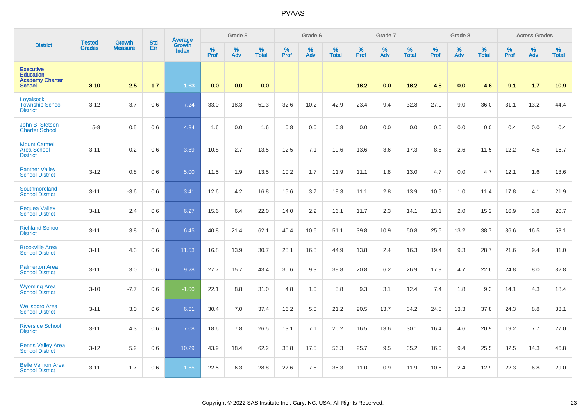|                                                                                 | <b>Tested</b> | <b>Growth</b>  | <b>Std</b> | <b>Average</b><br>Growth |                     | Grade 5  |                   |                  | Grade 6  |                   |                  | Grade 7  |                   |                  | Grade 8     |                   |                  | <b>Across Grades</b> |                   |
|---------------------------------------------------------------------------------|---------------|----------------|------------|--------------------------|---------------------|----------|-------------------|------------------|----------|-------------------|------------------|----------|-------------------|------------------|-------------|-------------------|------------------|----------------------|-------------------|
| <b>District</b>                                                                 | <b>Grades</b> | <b>Measure</b> | Err        | <b>Index</b>             | $\%$<br><b>Prof</b> | %<br>Adv | %<br><b>Total</b> | %<br><b>Prof</b> | %<br>Adv | %<br><b>Total</b> | %<br><b>Prof</b> | %<br>Adv | %<br><b>Total</b> | %<br><b>Prof</b> | $\%$<br>Adv | %<br><b>Total</b> | %<br><b>Prof</b> | %<br>Adv             | %<br><b>Total</b> |
| <b>Executive</b><br><b>Education</b><br><b>Academy Charter</b><br><b>School</b> | $3 - 10$      | $-2.5$         | 1.7        | 1.63                     | 0.0                 | 0.0      | 0.0               |                  |          |                   | 18.2             | 0.0      | 18.2              | 4.8              | 0.0         | 4.8               | 9.1              | 1.7                  | 10.9              |
| Loyalsock<br><b>Township School</b><br><b>District</b>                          | $3 - 12$      | 3.7            | 0.6        | 7.24                     | 33.0                | 18.3     | 51.3              | 32.6             | 10.2     | 42.9              | 23.4             | 9.4      | 32.8              | 27.0             | 9.0         | 36.0              | 31.1             | 13.2                 | 44.4              |
| John B. Stetson<br><b>Charter School</b>                                        | $5-8$         | 0.5            | 0.6        | 4.84                     | 1.6                 | 0.0      | 1.6               | 0.8              | 0.0      | 0.8               | 0.0              | 0.0      | 0.0               | 0.0              | 0.0         | 0.0               | 0.4              | 0.0                  | 0.4               |
| <b>Mount Carmel</b><br><b>Area School</b><br><b>District</b>                    | $3 - 11$      | 0.2            | 0.6        | 3.89                     | 10.8                | 2.7      | 13.5              | 12.5             | 7.1      | 19.6              | 13.6             | 3.6      | 17.3              | 8.8              | 2.6         | 11.5              | 12.2             | 4.5                  | 16.7              |
| <b>Panther Valley</b><br><b>School District</b>                                 | $3-12$        | 0.8            | 0.6        | 5.00                     | 11.5                | 1.9      | 13.5              | 10.2             | 1.7      | 11.9              | 11.1             | 1.8      | 13.0              | 4.7              | 0.0         | 4.7               | 12.1             | 1.6                  | 13.6              |
| Southmoreland<br><b>School District</b>                                         | $3 - 11$      | $-3.6$         | 0.6        | 3.41                     | 12.6                | 4.2      | 16.8              | 15.6             | 3.7      | 19.3              | 11.1             | 2.8      | 13.9              | 10.5             | 1.0         | 11.4              | 17.8             | 4.1                  | 21.9              |
| <b>Pequea Valley</b><br><b>School District</b>                                  | $3 - 11$      | 2.4            | 0.6        | 6.27                     | 15.6                | 6.4      | 22.0              | 14.0             | 2.2      | 16.1              | 11.7             | 2.3      | 14.1              | 13.1             | 2.0         | 15.2              | 16.9             | 3.8                  | 20.7              |
| <b>Richland School</b><br><b>District</b>                                       | $3 - 11$      | 3.8            | 0.6        | 6.45                     | 40.8                | 21.4     | 62.1              | 40.4             | 10.6     | 51.1              | 39.8             | 10.9     | 50.8              | 25.5             | 13.2        | 38.7              | 36.6             | 16.5                 | 53.1              |
| <b>Brookville Area</b><br><b>School District</b>                                | $3 - 11$      | 4.3            | 0.6        | 11.53                    | 16.8                | 13.9     | 30.7              | 28.1             | 16.8     | 44.9              | 13.8             | 2.4      | 16.3              | 19.4             | 9.3         | 28.7              | 21.6             | 9.4                  | 31.0              |
| <b>Palmerton Area</b><br><b>School District</b>                                 | $3 - 11$      | 3.0            | 0.6        | 9.28                     | 27.7                | 15.7     | 43.4              | 30.6             | 9.3      | 39.8              | 20.8             | 6.2      | 26.9              | 17.9             | 4.7         | 22.6              | 24.8             | 8.0                  | 32.8              |
| <b>Wyoming Area</b><br><b>School District</b>                                   | $3 - 10$      | $-7.7$         | 0.6        | $-1.00$                  | 22.1                | 8.8      | 31.0              | 4.8              | 1.0      | 5.8               | 9.3              | 3.1      | 12.4              | 7.4              | 1.8         | 9.3               | 14.1             | 4.3                  | 18.4              |
| <b>Wellsboro Area</b><br><b>School District</b>                                 | $3 - 11$      | 3.0            | 0.6        | 6.61                     | 30.4                | 7.0      | 37.4              | 16.2             | 5.0      | 21.2              | 20.5             | 13.7     | 34.2              | 24.5             | 13.3        | 37.8              | 24.3             | 8.8                  | 33.1              |
| <b>Riverside School</b><br><b>District</b>                                      | $3 - 11$      | 4.3            | 0.6        | 7.08                     | 18.6                | 7.8      | 26.5              | 13.1             | 7.1      | 20.2              | 16.5             | 13.6     | 30.1              | 16.4             | 4.6         | 20.9              | 19.2             | 7.7                  | 27.0              |
| <b>Penns Valley Area</b><br><b>School District</b>                              | $3 - 12$      | 5.2            | 0.6        | 10.29                    | 43.9                | 18.4     | 62.2              | 38.8             | 17.5     | 56.3              | 25.7             | 9.5      | 35.2              | 16.0             | 9.4         | 25.5              | 32.5             | 14.3                 | 46.8              |
| <b>Belle Vernon Area</b><br><b>School District</b>                              | $3 - 11$      | $-1.7$         | 0.6        | 1.65                     | 22.5                | 6.3      | 28.8              | 27.6             | 7.8      | 35.3              | 11.0             | 0.9      | 11.9              | 10.6             | 2.4         | 12.9              | 22.3             | 6.8                  | 29.0              |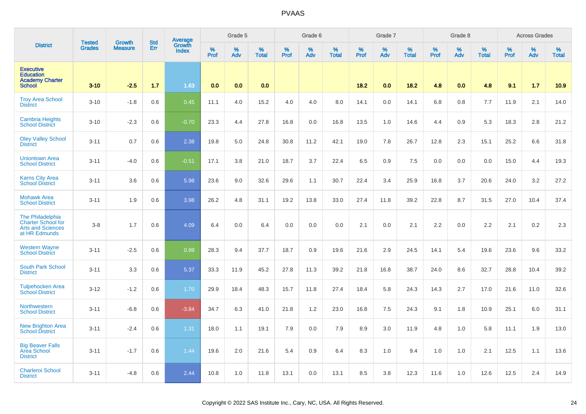|                                                                                                   | <b>Tested</b> | Growth         | <b>Std</b> | Average                |           | Grade 5  |                   |           | Grade 6  |                   |           | Grade 7  |                   |           | Grade 8  |                   |           | <b>Across Grades</b> |                   |
|---------------------------------------------------------------------------------------------------|---------------|----------------|------------|------------------------|-----------|----------|-------------------|-----------|----------|-------------------|-----------|----------|-------------------|-----------|----------|-------------------|-----------|----------------------|-------------------|
| <b>District</b>                                                                                   | <b>Grades</b> | <b>Measure</b> | Err        | Growth<br><b>Index</b> | %<br>Prof | %<br>Adv | %<br><b>Total</b> | %<br>Prof | %<br>Adv | %<br><b>Total</b> | %<br>Prof | %<br>Adv | %<br><b>Total</b> | %<br>Prof | %<br>Adv | %<br><b>Total</b> | %<br>Prof | %<br>Adv             | %<br><b>Total</b> |
| <b>Executive</b><br><b>Education</b><br><b>Academy Charter</b><br><b>School</b>                   | $3 - 10$      | $-2.5$         | 1.7        | 1.63                   | 0.0       | 0.0      | 0.0               |           |          |                   | 18.2      | 0.0      | 18.2              | 4.8       | 0.0      | 4.8               | 9.1       | 1.7                  | 10.9              |
| <b>Troy Area School</b><br><b>District</b>                                                        | $3 - 10$      | $-1.8$         | 0.6        | 0.45                   | 11.1      | 4.0      | 15.2              | 4.0       | 4.0      | 8.0               | 14.1      | 0.0      | 14.1              | 6.8       | 0.8      | 7.7               | 11.9      | 2.1                  | 14.0              |
| <b>Cambria Heights</b><br><b>School District</b>                                                  | $3 - 10$      | $-2.3$         | 0.6        | $-0.70$                | 23.3      | 4.4      | 27.8              | 16.8      | 0.0      | 16.8              | 13.5      | 1.0      | 14.6              | 4.4       | 0.9      | 5.3               | 18.3      | 2.8                  | 21.2              |
| <b>Oley Valley School</b><br><b>District</b>                                                      | $3 - 11$      | 0.7            | 0.6        | 2.38                   | 19.8      | 5.0      | 24.8              | 30.8      | 11.2     | 42.1              | 19.0      | 7.8      | 26.7              | 12.8      | 2.3      | 15.1              | 25.2      | 6.6                  | 31.8              |
| <b>Uniontown Area</b><br><b>School District</b>                                                   | $3 - 11$      | $-4.0$         | 0.6        | $-0.51$                | 17.1      | 3.8      | 21.0              | 18.7      | 3.7      | 22.4              | 6.5       | 0.9      | 7.5               | 0.0       | 0.0      | 0.0               | 15.0      | 4.4                  | 19.3              |
| <b>Karns City Area</b><br><b>School District</b>                                                  | $3 - 11$      | 3.6            | 0.6        | 5.98                   | 23.6      | 9.0      | 32.6              | 29.6      | 1.1      | 30.7              | 22.4      | 3.4      | 25.9              | 16.8      | 3.7      | 20.6              | 24.0      | 3.2                  | 27.2              |
| <b>Mohawk Area</b><br><b>School District</b>                                                      | $3 - 11$      | 1.9            | 0.6        | 3.98                   | 26.2      | 4.8      | 31.1              | 19.2      | 13.8     | 33.0              | 27.4      | 11.8     | 39.2              | 22.8      | 8.7      | 31.5              | 27.0      | 10.4                 | 37.4              |
| <b>The Philadelphia</b><br><b>Charter School for</b><br><b>Arts and Sciences</b><br>at HR Edmunds | $3 - 8$       | 1.7            | 0.6        | 4.09                   | 6.4       | 0.0      | 6.4               | 0.0       | 0.0      | 0.0               | 2.1       | 0.0      | 2.1               | 2.2       | 0.0      | 2.2               | 2.1       | 0.2                  | 2.3               |
| <b>Western Wayne</b><br><b>School District</b>                                                    | $3 - 11$      | $-2.5$         | 0.6        | 0.99                   | 28.3      | 9.4      | 37.7              | 18.7      | 0.9      | 19.6              | 21.6      | 2.9      | 24.5              | 14.1      | 5.4      | 19.6              | 23.6      | 9.6                  | 33.2              |
| <b>South Park School</b><br><b>District</b>                                                       | $3 - 11$      | 3.3            | 0.6        | 5.37                   | 33.3      | 11.9     | 45.2              | 27.8      | 11.3     | 39.2              | 21.8      | 16.8     | 38.7              | 24.0      | 8.6      | 32.7              | 28.8      | 10.4                 | 39.2              |
| <b>Tulpehocken Area</b><br><b>School District</b>                                                 | $3 - 12$      | $-1.2$         | 0.6        | 1.70                   | 29.9      | 18.4     | 48.3              | 15.7      | 11.8     | 27.4              | 18.4      | 5.8      | 24.3              | 14.3      | 2.7      | 17.0              | 21.6      | 11.0                 | 32.6              |
| Northwestern<br><b>School District</b>                                                            | $3 - 11$      | $-6.8$         | 0.6        | $-3.84$                | 34.7      | 6.3      | 41.0              | 21.8      | 1.2      | 23.0              | 16.8      | 7.5      | 24.3              | 9.1       | 1.8      | 10.9              | 25.1      | 6.0                  | 31.1              |
| <b>New Brighton Area</b><br><b>School District</b>                                                | $3 - 11$      | $-2.4$         | 0.6        | 1.31                   | 18.0      | 1.1      | 19.1              | 7.9       | 0.0      | 7.9               | 8.9       | 3.0      | 11.9              | 4.8       | 1.0      | 5.8               | 11.1      | 1.9                  | 13.0              |
| <b>Big Beaver Falls</b><br>Area School<br><b>District</b>                                         | $3 - 11$      | $-1.7$         | 0.6        | 1.44                   | 19.6      | 2.0      | 21.6              | 5.4       | 0.9      | 6.4               | 8.3       | 1.0      | 9.4               | 1.0       | 1.0      | 2.1               | 12.5      | 1.1                  | 13.6              |
| <b>Charleroi School</b><br><b>District</b>                                                        | $3 - 11$      | $-4.8$         | 0.6        | 2.44                   | 10.8      | 1.0      | 11.8              | 13.1      | 0.0      | 13.1              | 8.5       | 3.8      | 12.3              | 11.6      | 1.0      | 12.6              | 12.5      | 2.4                  | 14.9              |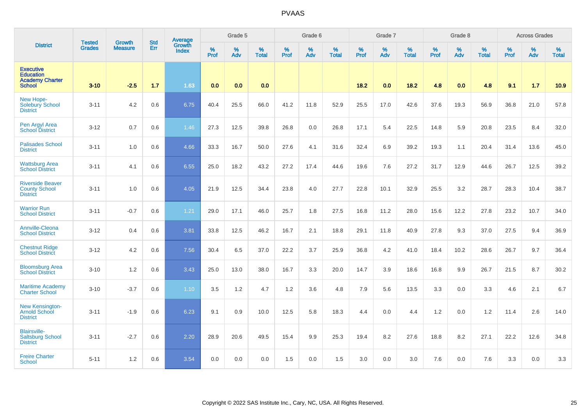|                                                                                 |                                |                                 | <b>Std</b> | Average                       |              | Grade 5  |                   |           | Grade 6  |                   |           | Grade 7  |                   |           | Grade 8  |                   |           | <b>Across Grades</b> |                   |
|---------------------------------------------------------------------------------|--------------------------------|---------------------------------|------------|-------------------------------|--------------|----------|-------------------|-----------|----------|-------------------|-----------|----------|-------------------|-----------|----------|-------------------|-----------|----------------------|-------------------|
| <b>District</b>                                                                 | <b>Tested</b><br><b>Grades</b> | <b>Growth</b><br><b>Measure</b> | Err        | <b>Growth</b><br><b>Index</b> | $\%$<br>Prof | %<br>Adv | %<br><b>Total</b> | %<br>Prof | %<br>Adv | %<br><b>Total</b> | %<br>Prof | %<br>Adv | %<br><b>Total</b> | %<br>Prof | %<br>Adv | %<br><b>Total</b> | %<br>Prof | %<br>Adv             | %<br><b>Total</b> |
| <b>Executive</b><br><b>Education</b><br><b>Academy Charter</b><br><b>School</b> | $3 - 10$                       | $-2.5$                          | 1.7        | 1.63                          | 0.0          | 0.0      | 0.0               |           |          |                   | 18.2      | 0.0      | 18.2              | 4.8       | 0.0      | 4.8               | 9.1       | $1.7$                | 10.9              |
| New Hope-<br>Solebury School<br><b>District</b>                                 | $3 - 11$                       | 4.2                             | 0.6        | 6.75                          | 40.4         | 25.5     | 66.0              | 41.2      | 11.8     | 52.9              | 25.5      | 17.0     | 42.6              | 37.6      | 19.3     | 56.9              | 36.8      | 21.0                 | 57.8              |
| Pen Argyl Area<br><b>School District</b>                                        | $3 - 12$                       | 0.7                             | 0.6        | 1.46                          | 27.3         | 12.5     | 39.8              | 26.8      | 0.0      | 26.8              | 17.1      | 5.4      | 22.5              | 14.8      | 5.9      | 20.8              | 23.5      | 8.4                  | 32.0              |
| <b>Palisades School</b><br><b>District</b>                                      | $3 - 11$                       | 1.0                             | 0.6        | 4.66                          | 33.3         | 16.7     | 50.0              | 27.6      | 4.1      | 31.6              | 32.4      | 6.9      | 39.2              | 19.3      | 1.1      | 20.4              | 31.4      | 13.6                 | 45.0              |
| <b>Wattsburg Area</b><br><b>School District</b>                                 | $3 - 11$                       | 4.1                             | 0.6        | 6.55                          | 25.0         | 18.2     | 43.2              | 27.2      | 17.4     | 44.6              | 19.6      | 7.6      | 27.2              | 31.7      | 12.9     | 44.6              | 26.7      | 12.5                 | 39.2              |
| <b>Riverside Beaver</b><br><b>County School</b><br><b>District</b>              | $3 - 11$                       | 1.0                             | 0.6        | 4.05                          | 21.9         | 12.5     | 34.4              | 23.8      | 4.0      | 27.7              | 22.8      | 10.1     | 32.9              | 25.5      | 3.2      | 28.7              | 28.3      | 10.4                 | 38.7              |
| <b>Warrior Run</b><br><b>School District</b>                                    | $3 - 11$                       | $-0.7$                          | 0.6        | 1.21                          | 29.0         | 17.1     | 46.0              | 25.7      | 1.8      | 27.5              | 16.8      | 11.2     | 28.0              | 15.6      | 12.2     | 27.8              | 23.2      | 10.7                 | 34.0              |
| Annville-Cleona<br><b>School District</b>                                       | $3 - 12$                       | 0.4                             | 0.6        | 3.81                          | 33.8         | 12.5     | 46.2              | 16.7      | 2.1      | 18.8              | 29.1      | 11.8     | 40.9              | 27.8      | 9.3      | 37.0              | 27.5      | 9.4                  | 36.9              |
| <b>Chestnut Ridge</b><br><b>School District</b>                                 | $3 - 12$                       | 4.2                             | 0.6        | 7.56                          | 30.4         | 6.5      | 37.0              | 22.2      | 3.7      | 25.9              | 36.8      | 4.2      | 41.0              | 18.4      | 10.2     | 28.6              | 26.7      | 9.7                  | 36.4              |
| <b>Bloomsburg Area</b><br><b>School District</b>                                | $3 - 10$                       | 1.2                             | 0.6        | 3.43                          | 25.0         | 13.0     | 38.0              | 16.7      | 3.3      | 20.0              | 14.7      | 3.9      | 18.6              | 16.8      | 9.9      | 26.7              | 21.5      | 8.7                  | 30.2              |
| <b>Maritime Academy</b><br><b>Charter School</b>                                | $3 - 10$                       | $-3.7$                          | 0.6        | 1.10                          | 3.5          | 1.2      | 4.7               | 1.2       | 3.6      | 4.8               | 7.9       | 5.6      | 13.5              | 3.3       | 0.0      | 3.3               | 4.6       | 2.1                  | 6.7               |
| New Kensington-<br><b>Arnold School</b><br><b>District</b>                      | $3 - 11$                       | $-1.9$                          | 0.6        | 6.23                          | 9.1          | 0.9      | 10.0              | 12.5      | 5.8      | 18.3              | 4.4       | 0.0      | 4.4               | 1.2       | 0.0      | 1.2               | 11.4      | 2.6                  | 14.0              |
| <b>Blairsville-</b><br><b>Saltsburg School</b><br><b>District</b>               | $3 - 11$                       | $-2.7$                          | 0.6        | 2.20                          | 28.9         | 20.6     | 49.5              | 15.4      | 9.9      | 25.3              | 19.4      | 8.2      | 27.6              | 18.8      | 8.2      | 27.1              | 22.2      | 12.6                 | 34.8              |
| <b>Freire Charter</b><br><b>School</b>                                          | $5 - 11$                       | 1.2                             | 0.6        | 3.54                          | 0.0          | 0.0      | 0.0               | 1.5       | 0.0      | 1.5               | 3.0       | 0.0      | 3.0               | 7.6       | 0.0      | 7.6               | 3.3       | 0.0                  | 3.3               |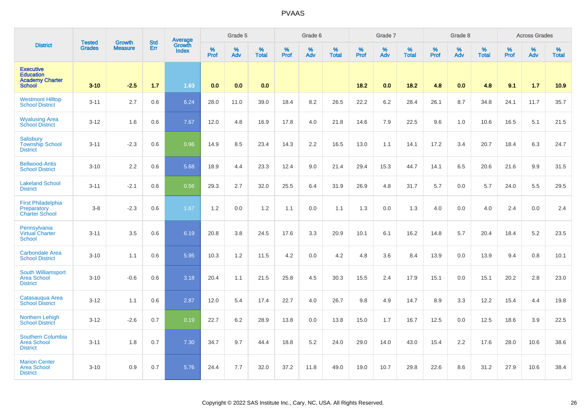|                                                                                 | <b>Tested</b> | Growth         | <b>Std</b> | <b>Average</b><br>Growth |           | Grade 5  |                   |           | Grade 6  |                   |           | Grade 7  |                   |           | Grade 8  |                   |           | <b>Across Grades</b> |                   |
|---------------------------------------------------------------------------------|---------------|----------------|------------|--------------------------|-----------|----------|-------------------|-----------|----------|-------------------|-----------|----------|-------------------|-----------|----------|-------------------|-----------|----------------------|-------------------|
| <b>District</b>                                                                 | <b>Grades</b> | <b>Measure</b> | Err        | <b>Index</b>             | %<br>Prof | %<br>Adv | %<br><b>Total</b> | %<br>Prof | %<br>Adv | %<br><b>Total</b> | %<br>Prof | %<br>Adv | %<br><b>Total</b> | %<br>Prof | %<br>Adv | %<br><b>Total</b> | %<br>Prof | %<br>Adv             | %<br><b>Total</b> |
| <b>Executive</b><br><b>Education</b><br><b>Academy Charter</b><br><b>School</b> | $3 - 10$      | $-2.5$         | 1.7        | 1.63                     | 0.0       | 0.0      | 0.0               |           |          |                   | 18.2      | 0.0      | 18.2              | 4.8       | 0.0      | 4.8               | 9.1       | 1.7                  | 10.9              |
| <b>Westmont Hilltop</b><br><b>School District</b>                               | $3 - 11$      | 2.7            | 0.6        | 6.24                     | 28.0      | 11.0     | 39.0              | 18.4      | 8.2      | 26.5              | 22.2      | 6.2      | 28.4              | 26.1      | 8.7      | 34.8              | 24.1      | 11.7                 | 35.7              |
| <b>Wyalusing Area</b><br><b>School District</b>                                 | $3 - 12$      | 1.6            | 0.6        | 7.67                     | 12.0      | 4.8      | 16.9              | 17.8      | 4.0      | 21.8              | 14.6      | 7.9      | 22.5              | 9.6       | 1.0      | 10.6              | 16.5      | 5.1                  | 21.5              |
| Salisbury<br><b>Township School</b><br><b>District</b>                          | $3 - 11$      | $-2.3$         | 0.6        | 0.96                     | 14.9      | 8.5      | 23.4              | 14.3      | 2.2      | 16.5              | 13.0      | 1.1      | 14.1              | 17.2      | 3.4      | 20.7              | 18.4      | 6.3                  | 24.7              |
| <b>Bellwood-Antis</b><br><b>School District</b>                                 | $3 - 10$      | 2.2            | 0.6        | 5.68                     | 18.9      | 4.4      | 23.3              | 12.4      | 9.0      | 21.4              | 29.4      | 15.3     | 44.7              | 14.1      | 6.5      | 20.6              | 21.6      | 9.9                  | 31.5              |
| <b>Lakeland School</b><br><b>District</b>                                       | $3 - 11$      | $-2.1$         | 0.6        | 0.56                     | 29.3      | 2.7      | 32.0              | 25.5      | 6.4      | 31.9              | 26.9      | 4.8      | 31.7              | 5.7       | 0.0      | 5.7               | 24.0      | 5.5                  | 29.5              |
| <b>First Philadelphia</b><br>Preparatory<br><b>Charter School</b>               | $3 - 8$       | $-2.3$         | 0.6        | 1.67                     | 1.2       | 0.0      | 1.2               | 1.1       | 0.0      | 1.1               | 1.3       | 0.0      | 1.3               | 4.0       | 0.0      | 4.0               | 2.4       | 0.0                  | 2.4               |
| Pennsylvania<br><b>Virtual Charter</b><br><b>School</b>                         | $3 - 11$      | 3.5            | 0.6        | 6.19                     | 20.8      | 3.8      | 24.5              | 17.6      | 3.3      | 20.9              | 10.1      | 6.1      | 16.2              | 14.8      | 5.7      | 20.4              | 18.4      | 5.2                  | 23.5              |
| <b>Carbondale Area</b><br><b>School District</b>                                | $3 - 10$      | 1.1            | 0.6        | 5.95                     | 10.3      | 1.2      | 11.5              | 4.2       | 0.0      | 4.2               | 4.8       | 3.6      | 8.4               | 13.9      | 0.0      | 13.9              | 9.4       | 0.8                  | 10.1              |
| <b>South Williamsport</b><br><b>Area School</b><br><b>District</b>              | $3 - 10$      | $-0.6$         | 0.6        | 3.18                     | 20.4      | 1.1      | 21.5              | 25.8      | 4.5      | 30.3              | 15.5      | 2.4      | 17.9              | 15.1      | 0.0      | 15.1              | 20.2      | 2.8                  | 23.0              |
| Catasauqua Area<br><b>School District</b>                                       | $3 - 12$      | 1.1            | 0.6        | 2.87                     | 12.0      | 5.4      | 17.4              | 22.7      | 4.0      | 26.7              | 9.8       | 4.9      | 14.7              | 8.9       | 3.3      | 12.2              | 15.4      | 4.4                  | 19.8              |
| <b>Northern Lehigh</b><br><b>School District</b>                                | $3 - 12$      | $-2.6$         | 0.7        | 0.19                     | 22.7      | 6.2      | 28.9              | 13.8      | 0.0      | 13.8              | 15.0      | 1.7      | 16.7              | 12.5      | 0.0      | 12.5              | 18.6      | 3.9                  | 22.5              |
| <b>Southern Columbia</b><br><b>Area School</b><br><b>District</b>               | $3 - 11$      | 1.8            | 0.7        | 7.30                     | 34.7      | 9.7      | 44.4              | 18.8      | 5.2      | 24.0              | 29.0      | 14.0     | 43.0              | 15.4      | 2.2      | 17.6              | 28.0      | 10.6                 | 38.6              |
| <b>Marion Center</b><br><b>Area School</b><br><b>District</b>                   | $3 - 10$      | 0.9            | 0.7        | 5.76                     | 24.4      | 7.7      | 32.0              | 37.2      | 11.8     | 49.0              | 19.0      | 10.7     | 29.8              | 22.6      | 8.6      | 31.2              | 27.9      | 10.6                 | 38.4              |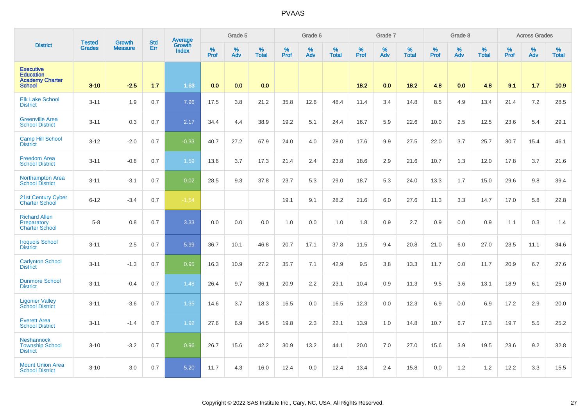|                                                                                 | <b>Tested</b> | <b>Growth</b>  | <b>Std</b> | Average<br>Growth |           | Grade 5  |                   |           | Grade 6  |                   |           | Grade 7  |                   |                  | Grade 8  |                   |           | <b>Across Grades</b> |                   |
|---------------------------------------------------------------------------------|---------------|----------------|------------|-------------------|-----------|----------|-------------------|-----------|----------|-------------------|-----------|----------|-------------------|------------------|----------|-------------------|-----------|----------------------|-------------------|
| <b>District</b>                                                                 | <b>Grades</b> | <b>Measure</b> | Err        | <b>Index</b>      | %<br>Prof | %<br>Adv | %<br><b>Total</b> | %<br>Prof | %<br>Adv | %<br><b>Total</b> | %<br>Prof | %<br>Adv | %<br><b>Total</b> | %<br><b>Prof</b> | %<br>Adv | %<br><b>Total</b> | %<br>Prof | %<br>Adv             | %<br><b>Total</b> |
| <b>Executive</b><br><b>Education</b><br><b>Academy Charter</b><br><b>School</b> | $3 - 10$      | $-2.5$         | 1.7        | 1.63              | 0.0       | 0.0      | 0.0               |           |          |                   | 18.2      | 0.0      | 18.2              | 4.8              | 0.0      | 4.8               | 9.1       | 1.7                  | 10.9              |
| <b>Elk Lake School</b><br><b>District</b>                                       | $3 - 11$      | 1.9            | 0.7        | 7.96              | 17.5      | 3.8      | 21.2              | 35.8      | 12.6     | 48.4              | 11.4      | 3.4      | 14.8              | 8.5              | 4.9      | 13.4              | 21.4      | 7.2                  | 28.5              |
| <b>Greenville Area</b><br><b>School District</b>                                | $3 - 11$      | 0.3            | 0.7        | 2.17              | 34.4      | 4.4      | 38.9              | 19.2      | 5.1      | 24.4              | 16.7      | 5.9      | 22.6              | 10.0             | 2.5      | 12.5              | 23.6      | 5.4                  | 29.1              |
| <b>Camp Hill School</b><br><b>District</b>                                      | $3 - 12$      | $-2.0$         | 0.7        | $-0.33$           | 40.7      | 27.2     | 67.9              | 24.0      | 4.0      | 28.0              | 17.6      | 9.9      | 27.5              | 22.0             | 3.7      | 25.7              | 30.7      | 15.4                 | 46.1              |
| <b>Freedom Area</b><br><b>School District</b>                                   | $3 - 11$      | $-0.8$         | 0.7        | 1.59              | 13.6      | 3.7      | 17.3              | 21.4      | 2.4      | 23.8              | 18.6      | 2.9      | 21.6              | 10.7             | 1.3      | 12.0              | 17.8      | 3.7                  | 21.6              |
| <b>Northampton Area</b><br><b>School District</b>                               | $3 - 11$      | $-3.1$         | 0.7        | 0.02              | 28.5      | 9.3      | 37.8              | 23.7      | 5.3      | 29.0              | 18.7      | 5.3      | 24.0              | 13.3             | 1.7      | 15.0              | 29.6      | 9.8                  | 39.4              |
| 21st Century Cyber<br>Charter School                                            | $6 - 12$      | $-3.4$         | 0.7        | $-1.54$           |           |          |                   | 19.1      | 9.1      | 28.2              | 21.6      | 6.0      | 27.6              | 11.3             | 3.3      | 14.7              | 17.0      | 5.8                  | 22.8              |
| <b>Richard Allen</b><br>Preparatory<br><b>Charter School</b>                    | $5 - 8$       | 0.8            | 0.7        | 3.33              | 0.0       | 0.0      | 0.0               | 1.0       | 0.0      | 1.0               | 1.8       | 0.9      | 2.7               | 0.9              | 0.0      | 0.9               | 1.1       | 0.3                  | 1.4               |
| <b>Iroquois School</b><br><b>District</b>                                       | $3 - 11$      | 2.5            | 0.7        | 5.99              | 36.7      | 10.1     | 46.8              | 20.7      | 17.1     | 37.8              | 11.5      | 9.4      | 20.8              | 21.0             | 6.0      | 27.0              | 23.5      | 11.1                 | 34.6              |
| <b>Carlynton School</b><br><b>District</b>                                      | $3 - 11$      | $-1.3$         | 0.7        | 0.95              | 16.3      | 10.9     | 27.2              | 35.7      | 7.1      | 42.9              | 9.5       | 3.8      | 13.3              | 11.7             | 0.0      | 11.7              | 20.9      | 6.7                  | 27.6              |
| <b>Dunmore School</b><br><b>District</b>                                        | $3 - 11$      | $-0.4$         | 0.7        | 1.48              | 26.4      | 9.7      | 36.1              | 20.9      | 2.2      | 23.1              | 10.4      | 0.9      | 11.3              | 9.5              | 3.6      | 13.1              | 18.9      | 6.1                  | 25.0              |
| <b>Ligonier Valley</b><br><b>School District</b>                                | $3 - 11$      | $-3.6$         | 0.7        | 1.35              | 14.6      | 3.7      | 18.3              | 16.5      | 0.0      | 16.5              | 12.3      | 0.0      | 12.3              | 6.9              | 0.0      | 6.9               | 17.2      | 2.9                  | 20.0              |
| <b>Everett Area</b><br><b>School District</b>                                   | $3 - 11$      | $-1.4$         | 0.7        | 1.92              | 27.6      | 6.9      | 34.5              | 19.8      | 2.3      | 22.1              | 13.9      | 1.0      | 14.8              | 10.7             | 6.7      | 17.3              | 19.7      | 5.5                  | 25.2              |
| <b>Neshannock</b><br><b>Township School</b><br><b>District</b>                  | $3 - 10$      | $-3.2$         | 0.7        | 0.96              | 26.7      | 15.6     | 42.2              | 30.9      | 13.2     | 44.1              | 20.0      | 7.0      | 27.0              | 15.6             | 3.9      | 19.5              | 23.6      | 9.2                  | 32.8              |
| <b>Mount Union Area</b><br><b>School District</b>                               | $3 - 10$      | 3.0            | 0.7        | 5.20              | 11.7      | 4.3      | 16.0              | 12.4      | 0.0      | 12.4              | 13.4      | 2.4      | 15.8              | 0.0              | 1.2      | 1.2               | 12.2      | 3.3                  | 15.5              |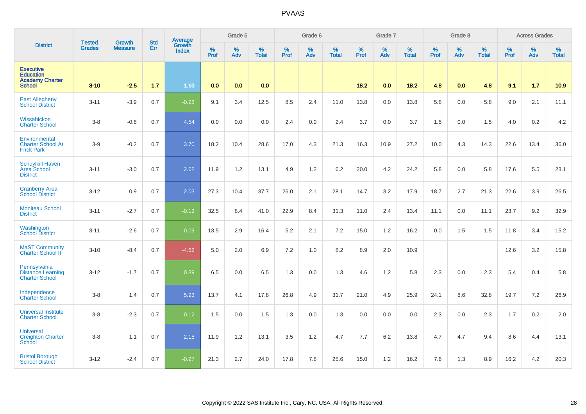|                                                                                 |                                |                                 | <b>Std</b> | Average                       |              | Grade 5  |                   |           | Grade 6  |                   |           | Grade 7  |                   |           | Grade 8  |                   |           | <b>Across Grades</b> |                   |
|---------------------------------------------------------------------------------|--------------------------------|---------------------------------|------------|-------------------------------|--------------|----------|-------------------|-----------|----------|-------------------|-----------|----------|-------------------|-----------|----------|-------------------|-----------|----------------------|-------------------|
| <b>District</b>                                                                 | <b>Tested</b><br><b>Grades</b> | <b>Growth</b><br><b>Measure</b> | Err        | <b>Growth</b><br><b>Index</b> | $\%$<br>Prof | %<br>Adv | %<br><b>Total</b> | %<br>Prof | %<br>Adv | %<br><b>Total</b> | %<br>Prof | %<br>Adv | %<br><b>Total</b> | %<br>Prof | %<br>Adv | %<br><b>Total</b> | %<br>Prof | %<br>Adv             | %<br><b>Total</b> |
| <b>Executive</b><br><b>Education</b><br><b>Academy Charter</b><br><b>School</b> | $3 - 10$                       | $-2.5$                          | 1.7        | 1.63                          | 0.0          | 0.0      | 0.0               |           |          |                   | 18.2      | 0.0      | 18.2              | 4.8       | 0.0      | 4.8               | 9.1       | $1.7$                | 10.9              |
| <b>East Allegheny</b><br><b>School District</b>                                 | $3 - 11$                       | $-3.9$                          | 0.7        | $-0.28$                       | 9.1          | 3.4      | 12.5              | 8.5       | 2.4      | 11.0              | 13.8      | 0.0      | 13.8              | 5.8       | 0.0      | 5.8               | 9.0       | 2.1                  | 11.1              |
| Wissahickon<br><b>Charter School</b>                                            | $3-8$                          | $-0.8$                          | 0.7        | 4.54                          | 0.0          | 0.0      | 0.0               | 2.4       | 0.0      | 2.4               | 3.7       | 0.0      | 3.7               | 1.5       | 0.0      | 1.5               | 4.0       | $0.2\,$              | 4.2               |
| Environmental<br><b>Charter School At</b><br><b>Frick Park</b>                  | $3-9$                          | $-0.2$                          | 0.7        | 3.70                          | 18.2         | 10.4     | 28.6              | 17.0      | 4.3      | 21.3              | 16.3      | 10.9     | 27.2              | 10.0      | 4.3      | 14.3              | 22.6      | 13.4                 | 36.0              |
| <b>Schuylkill Haven</b><br>Area School<br><b>District</b>                       | $3 - 11$                       | $-3.0$                          | 0.7        | 2.62                          | 11.9         | 1.2      | 13.1              | 4.9       | 1.2      | 6.2               | 20.0      | 4.2      | 24.2              | 5.8       | 0.0      | 5.8               | 17.6      | 5.5                  | 23.1              |
| <b>Cranberry Area</b><br><b>School District</b>                                 | $3 - 12$                       | 0.9                             | 0.7        | 2.03                          | 27.3         | 10.4     | 37.7              | 26.0      | 2.1      | 28.1              | 14.7      | 3.2      | 17.9              | 18.7      | 2.7      | 21.3              | 22.6      | 3.9                  | 26.5              |
| <b>Moniteau School</b><br><b>District</b>                                       | $3 - 11$                       | $-2.7$                          | 0.7        | $-0.13$                       | 32.5         | 8.4      | 41.0              | 22.9      | 8.4      | 31.3              | 11.0      | 2.4      | 13.4              | 11.1      | 0.0      | 11.1              | 23.7      | 9.2                  | 32.9              |
| Washington<br><b>School District</b>                                            | $3 - 11$                       | $-2.6$                          | 0.7        | $-0.09$                       | 13.5         | 2.9      | 16.4              | 5.2       | 2.1      | 7.2               | 15.0      | $1.2$    | 16.2              | 0.0       | 1.5      | 1.5               | 11.8      | 3.4                  | 15.2              |
| <b>MaST Community</b><br>Charter School II                                      | $3 - 10$                       | $-8.4$                          | 0.7        | $-4.62$                       | 5.0          | 2.0      | 6.9               | 7.2       | 1.0      | 8.2               | 8.9       | 2.0      | 10.9              |           |          |                   | 12.6      | 3.2                  | 15.8              |
| Pennsylvania<br><b>Distance Learning</b><br><b>Charter School</b>               | $3 - 12$                       | $-1.7$                          | 0.7        | 0.39                          | 6.5          | 0.0      | 6.5               | 1.3       | 0.0      | 1.3               | 4.6       | $1.2\,$  | 5.8               | 2.3       | 0.0      | 2.3               | 5.4       | 0.4                  | 5.8               |
| Independence<br><b>Charter School</b>                                           | $3 - 8$                        | 1.4                             | 0.7        | 5.93                          | 13.7         | 4.1      | 17.8              | 26.8      | 4.9      | 31.7              | 21.0      | 4.9      | 25.9              | 24.1      | 8.6      | 32.8              | 19.7      | 7.2                  | 26.9              |
| <b>Universal Institute</b><br><b>Charter School</b>                             | $3 - 8$                        | $-2.3$                          | 0.7        | 0.12                          | 1.5          | 0.0      | 1.5               | 1.3       | 0.0      | 1.3               | 0.0       | 0.0      | 0.0               | 2.3       | 0.0      | 2.3               | 1.7       | 0.2                  | 2.0               |
| <b>Universal</b><br><b>Creighton Charter</b><br>School                          | $3-8$                          | 1.1                             | 0.7        | 2.15                          | 11.9         | 1.2      | 13.1              | 3.5       | 1.2      | 4.7               | 7.7       | 6.2      | 13.8              | 4.7       | 4.7      | 9.4               | 8.6       | 4.4                  | 13.1              |
| <b>Bristol Borough</b><br><b>School District</b>                                | $3 - 12$                       | $-2.4$                          | 0.7        | $-0.27$                       | 21.3         | 2.7      | 24.0              | 17.8      | 7.8      | 25.6              | 15.0      | 1.2      | 16.2              | 7.6       | 1.3      | 8.9               | 16.2      | 4.2                  | 20.3              |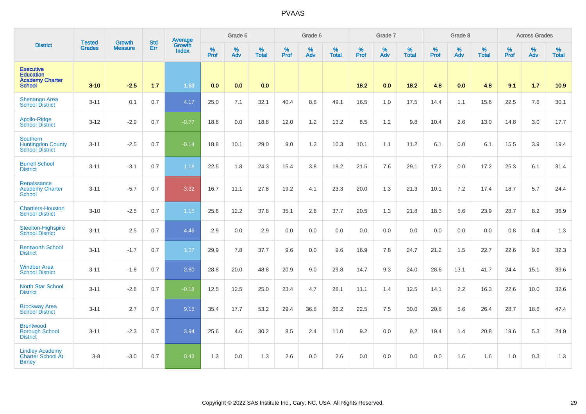|                                                                                 | <b>Tested</b> |                                 | <b>Std</b> | Average                |              | Grade 5  |                   |           | Grade 6  |                   |           | Grade 7  |                   |           | Grade 8  |                   |           | <b>Across Grades</b> |                   |
|---------------------------------------------------------------------------------|---------------|---------------------------------|------------|------------------------|--------------|----------|-------------------|-----------|----------|-------------------|-----------|----------|-------------------|-----------|----------|-------------------|-----------|----------------------|-------------------|
| <b>District</b>                                                                 | <b>Grades</b> | <b>Growth</b><br><b>Measure</b> | Err        | Growth<br><b>Index</b> | $\%$<br>Prof | %<br>Adv | %<br><b>Total</b> | %<br>Prof | %<br>Adv | %<br><b>Total</b> | %<br>Prof | %<br>Adv | %<br><b>Total</b> | %<br>Prof | %<br>Adv | %<br><b>Total</b> | %<br>Prof | %<br>Adv             | %<br><b>Total</b> |
| <b>Executive</b><br><b>Education</b><br><b>Academy Charter</b><br><b>School</b> | $3 - 10$      | $-2.5$                          | 1.7        | 1.63                   | 0.0          | 0.0      | 0.0               |           |          |                   | 18.2      | 0.0      | 18.2              | 4.8       | 0.0      | 4.8               | 9.1       | $1.7$                | 10.9              |
| <b>Shenango Area</b><br><b>School District</b>                                  | $3 - 11$      | 0.1                             | 0.7        | 4.17                   | 25.0         | 7.1      | 32.1              | 40.4      | 8.8      | 49.1              | 16.5      | 1.0      | 17.5              | 14.4      | 1.1      | 15.6              | 22.5      | 7.6                  | 30.1              |
| Apollo-Ridge<br><b>School District</b>                                          | $3 - 12$      | $-2.9$                          | 0.7        | $-0.77$                | 18.8         | 0.0      | 18.8              | 12.0      | 1.2      | 13.2              | 8.5       | 1.2      | 9.8               | 10.4      | 2.6      | 13.0              | 14.8      | 3.0                  | 17.7              |
| <b>Southern</b><br><b>Huntingdon County</b><br><b>School District</b>           | $3 - 11$      | $-2.5$                          | 0.7        | $-0.14$                | 18.8         | 10.1     | 29.0              | 9.0       | 1.3      | 10.3              | 10.1      | 1.1      | 11.2              | 6.1       | 0.0      | 6.1               | 15.5      | 3.9                  | 19.4              |
| <b>Burrell School</b><br><b>District</b>                                        | $3 - 11$      | $-3.1$                          | 0.7        | 1.18                   | 22.5         | 1.8      | 24.3              | 15.4      | 3.8      | 19.2              | 21.5      | 7.6      | 29.1              | 17.2      | 0.0      | 17.2              | 25.3      | 6.1                  | 31.4              |
| Renaissance<br><b>Academy Charter</b><br><b>School</b>                          | $3 - 11$      | $-5.7$                          | 0.7        | $-3.32$                | 16.7         | 11.1     | 27.8              | 19.2      | 4.1      | 23.3              | 20.0      | 1.3      | 21.3              | 10.1      | 7.2      | 17.4              | 18.7      | 5.7                  | 24.4              |
| <b>Chartiers-Houston</b><br><b>School District</b>                              | $3 - 10$      | $-2.5$                          | 0.7        | 1.15                   | 25.6         | 12.2     | 37.8              | 35.1      | 2.6      | 37.7              | 20.5      | 1.3      | 21.8              | 18.3      | 5.6      | 23.9              | 28.7      | 8.2                  | 36.9              |
| <b>Steelton-Highspire</b><br><b>School District</b>                             | $3 - 11$      | 2.5                             | 0.7        | 4.46                   | 2.9          | 0.0      | 2.9               | 0.0       | 0.0      | 0.0               | 0.0       | 0.0      | 0.0               | 0.0       | 0.0      | 0.0               | 0.8       | 0.4                  | 1.3               |
| <b>Bentworth School</b><br><b>District</b>                                      | $3 - 11$      | $-1.7$                          | 0.7        | 1.37                   | 29.9         | 7.8      | 37.7              | 9.6       | 0.0      | 9.6               | 16.9      | 7.8      | 24.7              | 21.2      | 1.5      | 22.7              | 22.6      | 9.6                  | 32.3              |
| <b>Windber Area</b><br><b>School District</b>                                   | $3 - 11$      | $-1.8$                          | 0.7        | 2.80                   | 28.8         | 20.0     | 48.8              | 20.9      | 9.0      | 29.8              | 14.7      | 9.3      | 24.0              | 28.6      | 13.1     | 41.7              | 24.4      | 15.1                 | 39.6              |
| <b>North Star School</b><br><b>District</b>                                     | $3 - 11$      | $-2.8$                          | 0.7        | $-0.18$                | 12.5         | 12.5     | 25.0              | 23.4      | 4.7      | 28.1              | 11.1      | 1.4      | 12.5              | 14.1      | 2.2      | 16.3              | 22.6      | 10.0                 | 32.6              |
| <b>Brockway Area</b><br><b>School District</b>                                  | $3 - 11$      | 2.7                             | 0.7        | 9.15                   | 35.4         | 17.7     | 53.2              | 29.4      | 36.8     | 66.2              | 22.5      | 7.5      | 30.0              | 20.8      | 5.6      | 26.4              | 28.7      | 18.6                 | 47.4              |
| <b>Brentwood</b><br><b>Borough School</b><br><b>District</b>                    | $3 - 11$      | $-2.3$                          | 0.7        | 3.94                   | 25.6         | 4.6      | 30.2              | 8.5       | 2.4      | 11.0              | 9.2       | 0.0      | 9.2               | 19.4      | 1.4      | 20.8              | 19.6      | 5.3                  | 24.9              |
| <b>Lindley Academy</b><br><b>Charter School At</b><br><b>Birney</b>             | $3 - 8$       | $-3.0$                          | 0.7        | 0.43                   | 1.3          | 0.0      | 1.3               | 2.6       | 0.0      | 2.6               | 0.0       | 0.0      | 0.0               | 0.0       | 1.6      | 1.6               | 1.0       | 0.3                  | 1.3               |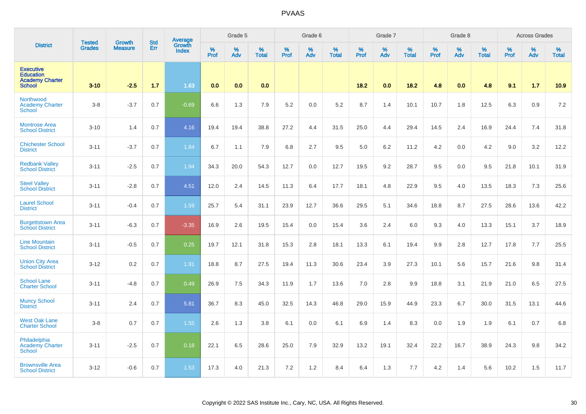|                                                                                 | <b>Tested</b> | <b>Growth</b>  | <b>Std</b> | <b>Average</b><br>Growth |                     | Grade 5  |                   |                  | Grade 6  |                   |                  | Grade 7  |                   |                  | Grade 8  |                   |                  | <b>Across Grades</b> |                   |
|---------------------------------------------------------------------------------|---------------|----------------|------------|--------------------------|---------------------|----------|-------------------|------------------|----------|-------------------|------------------|----------|-------------------|------------------|----------|-------------------|------------------|----------------------|-------------------|
| <b>District</b>                                                                 | <b>Grades</b> | <b>Measure</b> | Err        | <b>Index</b>             | $\%$<br><b>Prof</b> | %<br>Adv | %<br><b>Total</b> | %<br><b>Prof</b> | %<br>Adv | %<br><b>Total</b> | %<br><b>Prof</b> | %<br>Adv | %<br><b>Total</b> | %<br><b>Prof</b> | %<br>Adv | %<br><b>Total</b> | %<br><b>Prof</b> | %<br>Adv             | %<br><b>Total</b> |
| <b>Executive</b><br><b>Education</b><br><b>Academy Charter</b><br><b>School</b> | $3 - 10$      | $-2.5$         | 1.7        | 1.63                     | 0.0                 | 0.0      | 0.0               |                  |          |                   | 18.2             | 0.0      | 18.2              | 4.8              | 0.0      | 4.8               | 9.1              | 1.7                  | 10.9              |
| Northwood<br><b>Academy Charter</b><br><b>School</b>                            | $3-8$         | $-3.7$         | 0.7        | $-0.69$                  | 6.6                 | 1.3      | 7.9               | 5.2              | 0.0      | 5.2               | 8.7              | 1.4      | 10.1              | 10.7             | 1.8      | 12.5              | 6.3              | 0.9                  | 7.2               |
| <b>Montrose Area</b><br><b>School District</b>                                  | $3 - 10$      | 1.4            | 0.7        | 4.16                     | 19.4                | 19.4     | 38.8              | 27.2             | 4.4      | 31.5              | 25.0             | 4.4      | 29.4              | 14.5             | 2.4      | 16.9              | 24.4             | 7.4                  | 31.8              |
| <b>Chichester School</b><br><b>District</b>                                     | $3 - 11$      | $-3.7$         | 0.7        | 1.84                     | 6.7                 | 1.1      | 7.9               | 6.8              | 2.7      | 9.5               | 5.0              | 6.2      | 11.2              | 4.2              | 0.0      | 4.2               | 9.0              | 3.2                  | 12.2              |
| <b>Redbank Valley</b><br><b>School District</b>                                 | $3 - 11$      | $-2.5$         | 0.7        | 1.94                     | 34.3                | 20.0     | 54.3              | 12.7             | 0.0      | 12.7              | 19.5             | 9.2      | 28.7              | 9.5              | 0.0      | 9.5               | 21.8             | 10.1                 | 31.9              |
| <b>Steel Valley</b><br><b>School District</b>                                   | $3 - 11$      | $-2.8$         | 0.7        | 4.51                     | 12.0                | 2.4      | 14.5              | 11.3             | 6.4      | 17.7              | 18.1             | 4.8      | 22.9              | 9.5              | 4.0      | 13.5              | 18.3             | 7.3                  | 25.6              |
| <b>Laurel School</b><br><b>District</b>                                         | $3 - 11$      | $-0.4$         | 0.7        | 1.59                     | 25.7                | 5.4      | 31.1              | 23.9             | 12.7     | 36.6              | 29.5             | 5.1      | 34.6              | 18.8             | 8.7      | 27.5              | 28.6             | 13.6                 | 42.2              |
| <b>Burgettstown Area</b><br><b>School District</b>                              | $3 - 11$      | $-6.3$         | 0.7        | $-3.35$                  | 16.9                | 2.6      | 19.5              | 15.4             | 0.0      | 15.4              | 3.6              | 2.4      | 6.0               | 9.3              | 4.0      | 13.3              | 15.1             | 3.7                  | 18.9              |
| <b>Line Mountain</b><br><b>School District</b>                                  | $3 - 11$      | $-0.5$         | 0.7        | 0.25                     | 19.7                | 12.1     | 31.8              | 15.3             | 2.8      | 18.1              | 13.3             | 6.1      | 19.4              | 9.9              | 2.8      | 12.7              | 17.8             | 7.7                  | 25.5              |
| <b>Union City Area</b><br><b>School District</b>                                | $3 - 12$      | 0.2            | 0.7        | 1.91                     | 18.8                | 8.7      | 27.5              | 19.4             | 11.3     | 30.6              | 23.4             | 3.9      | 27.3              | 10.1             | 5.6      | 15.7              | 21.6             | 9.8                  | 31.4              |
| <b>School Lane</b><br><b>Charter School</b>                                     | $3 - 11$      | $-4.8$         | 0.7        | 0.49                     | 26.9                | 7.5      | 34.3              | 11.9             | 1.7      | 13.6              | 7.0              | 2.8      | 9.9               | 18.8             | 3.1      | 21.9              | 21.0             | 6.5                  | 27.5              |
| <b>Muncy School</b><br><b>District</b>                                          | $3 - 11$      | 2.4            | 0.7        | 5.81                     | 36.7                | 8.3      | 45.0              | 32.5             | 14.3     | 46.8              | 29.0             | 15.9     | 44.9              | 23.3             | 6.7      | 30.0              | 31.5             | 13.1                 | 44.6              |
| <b>West Oak Lane</b><br><b>Charter School</b>                                   | $3-8$         | 0.7            | 0.7        | 1.55                     | 2.6                 | 1.3      | 3.8               | 6.1              | 0.0      | 6.1               | 6.9              | 1.4      | 8.3               | 0.0              | 1.9      | 1.9               | 6.1              | 0.7                  | 6.8               |
| Philadelphia<br><b>Academy Charter</b><br><b>School</b>                         | $3 - 11$      | $-2.5$         | 0.7        | 0.18                     | 22.1                | 6.5      | 28.6              | 25.0             | 7.9      | 32.9              | 13.2             | 19.1     | 32.4              | 22.2             | 16.7     | 38.9              | 24.3             | 9.8                  | 34.2              |
| <b>Brownsville Area</b><br><b>School District</b>                               | $3-12$        | $-0.6$         | 0.7        | 1.53                     | 17.3                | 4.0      | 21.3              | 7.2              | 1.2      | 8.4               | 6.4              | 1.3      | 7.7               | 4.2              | 1.4      | 5.6               | 10.2             | 1.5                  | 11.7              |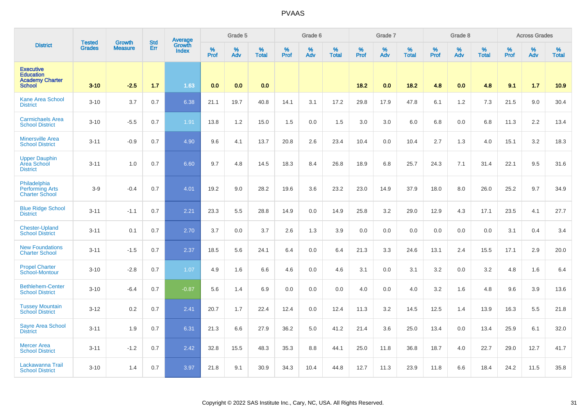|                                                                                 | <b>Tested</b> | <b>Growth</b>  | <b>Std</b> | <b>Average</b><br>Growth |                  | Grade 5  |                   |                  | Grade 6  |                   |                  | Grade 7  |                   |                  | Grade 8     |                   |                  | <b>Across Grades</b> |                   |
|---------------------------------------------------------------------------------|---------------|----------------|------------|--------------------------|------------------|----------|-------------------|------------------|----------|-------------------|------------------|----------|-------------------|------------------|-------------|-------------------|------------------|----------------------|-------------------|
| <b>District</b>                                                                 | <b>Grades</b> | <b>Measure</b> | Err        | <b>Index</b>             | %<br><b>Prof</b> | %<br>Adv | %<br><b>Total</b> | %<br><b>Prof</b> | %<br>Adv | %<br><b>Total</b> | %<br><b>Prof</b> | %<br>Adv | %<br><b>Total</b> | %<br><b>Prof</b> | $\%$<br>Adv | %<br><b>Total</b> | %<br><b>Prof</b> | %<br>Adv             | %<br><b>Total</b> |
| <b>Executive</b><br><b>Education</b><br><b>Academy Charter</b><br><b>School</b> | $3 - 10$      | $-2.5$         | 1.7        | 1.63                     | 0.0              | 0.0      | 0.0               |                  |          |                   | 18.2             | 0.0      | 18.2              | 4.8              | 0.0         | 4.8               | 9.1              | 1.7                  | 10.9              |
| <b>Kane Area School</b><br><b>District</b>                                      | $3 - 10$      | 3.7            | 0.7        | 6.38                     | 21.1             | 19.7     | 40.8              | 14.1             | 3.1      | 17.2              | 29.8             | 17.9     | 47.8              | 6.1              | 1.2         | 7.3               | 21.5             | 9.0                  | 30.4              |
| <b>Carmichaels Area</b><br><b>School District</b>                               | $3 - 10$      | $-5.5$         | 0.7        | 1.91                     | 13.8             | 1.2      | 15.0              | 1.5              | 0.0      | 1.5               | 3.0              | 3.0      | 6.0               | 6.8              | 0.0         | 6.8               | 11.3             | 2.2                  | 13.4              |
| <b>Minersville Area</b><br><b>School District</b>                               | $3 - 11$      | $-0.9$         | 0.7        | 4.90                     | 9.6              | 4.1      | 13.7              | 20.8             | 2.6      | 23.4              | 10.4             | 0.0      | 10.4              | 2.7              | 1.3         | 4.0               | 15.1             | 3.2                  | 18.3              |
| <b>Upper Dauphin</b><br>Area School<br><b>District</b>                          | $3 - 11$      | 1.0            | 0.7        | 6.60                     | 9.7              | 4.8      | 14.5              | 18.3             | 8.4      | 26.8              | 18.9             | 6.8      | 25.7              | 24.3             | 7.1         | 31.4              | 22.1             | 9.5                  | 31.6              |
| Philadelphia<br><b>Performing Arts</b><br><b>Charter School</b>                 | $3-9$         | $-0.4$         | 0.7        | 4.01                     | 19.2             | 9.0      | 28.2              | 19.6             | 3.6      | 23.2              | 23.0             | 14.9     | 37.9              | 18.0             | 8.0         | 26.0              | 25.2             | 9.7                  | 34.9              |
| <b>Blue Ridge School</b><br><b>District</b>                                     | $3 - 11$      | $-1.1$         | 0.7        | 2.21                     | 23.3             | 5.5      | 28.8              | 14.9             | 0.0      | 14.9              | 25.8             | 3.2      | 29.0              | 12.9             | 4.3         | 17.1              | 23.5             | 4.1                  | 27.7              |
| <b>Chester-Upland</b><br><b>School District</b>                                 | $3 - 11$      | 0.1            | 0.7        | 2.70                     | 3.7              | 0.0      | 3.7               | 2.6              | 1.3      | 3.9               | 0.0              | 0.0      | 0.0               | 0.0              | 0.0         | 0.0               | 3.1              | 0.4                  | 3.4               |
| <b>New Foundations</b><br><b>Charter School</b>                                 | $3 - 11$      | $-1.5$         | 0.7        | 2.37                     | 18.5             | 5.6      | 24.1              | 6.4              | 0.0      | 6.4               | 21.3             | 3.3      | 24.6              | 13.1             | 2.4         | 15.5              | 17.1             | 2.9                  | 20.0              |
| <b>Propel Charter</b><br>School-Montour                                         | $3 - 10$      | $-2.8$         | 0.7        | 1.07                     | 4.9              | 1.6      | 6.6               | 4.6              | 0.0      | 4.6               | 3.1              | 0.0      | 3.1               | 3.2              | 0.0         | 3.2               | 4.8              | 1.6                  | 6.4               |
| <b>Bethlehem-Center</b><br><b>School District</b>                               | $3 - 10$      | $-6.4$         | 0.7        | $-0.87$                  | 5.6              | 1.4      | 6.9               | 0.0              | 0.0      | 0.0               | 4.0              | 0.0      | 4.0               | 3.2              | 1.6         | 4.8               | 9.6              | 3.9                  | 13.6              |
| <b>Tussey Mountain</b><br><b>School District</b>                                | $3 - 12$      | 0.2            | 0.7        | 2.41                     | 20.7             | 1.7      | 22.4              | 12.4             | 0.0      | 12.4              | 11.3             | 3.2      | 14.5              | 12.5             | 1.4         | 13.9              | 16.3             | 5.5                  | 21.8              |
| <b>Sayre Area School</b><br><b>District</b>                                     | $3 - 11$      | 1.9            | 0.7        | 6.31                     | 21.3             | 6.6      | 27.9              | 36.2             | 5.0      | 41.2              | 21.4             | 3.6      | 25.0              | 13.4             | 0.0         | 13.4              | 25.9             | 6.1                  | 32.0              |
| <b>Mercer Area</b><br><b>School District</b>                                    | $3 - 11$      | $-1.2$         | 0.7        | 2.42                     | 32.8             | 15.5     | 48.3              | 35.3             | 8.8      | 44.1              | 25.0             | 11.8     | 36.8              | 18.7             | 4.0         | 22.7              | 29.0             | 12.7                 | 41.7              |
| Lackawanna Trail<br><b>School District</b>                                      | $3 - 10$      | 1.4            | 0.7        | 3.97                     | 21.8             | 9.1      | 30.9              | 34.3             | 10.4     | 44.8              | 12.7             | 11.3     | 23.9              | 11.8             | 6.6         | 18.4              | 24.2             | 11.5                 | 35.8              |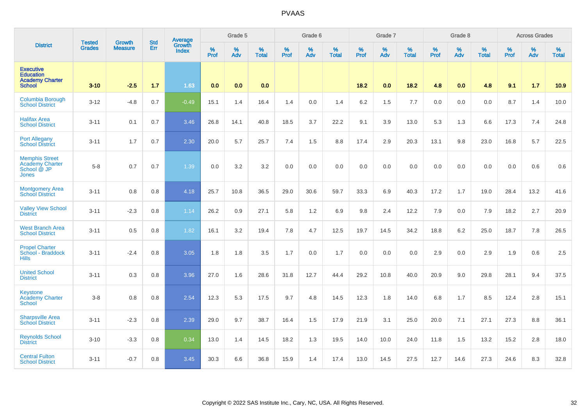|                                                                                 |                                |                                 | <b>Std</b> | <b>Average</b>         |              | Grade 5  |                   |           | Grade 6  |                   |           | Grade 7  |                   |           | Grade 8  |                   |           | <b>Across Grades</b> |                   |
|---------------------------------------------------------------------------------|--------------------------------|---------------------------------|------------|------------------------|--------------|----------|-------------------|-----------|----------|-------------------|-----------|----------|-------------------|-----------|----------|-------------------|-----------|----------------------|-------------------|
| <b>District</b>                                                                 | <b>Tested</b><br><b>Grades</b> | <b>Growth</b><br><b>Measure</b> | Err        | Growth<br><b>Index</b> | $\%$<br>Prof | %<br>Adv | %<br><b>Total</b> | %<br>Prof | %<br>Adv | %<br><b>Total</b> | %<br>Prof | %<br>Adv | %<br><b>Total</b> | %<br>Prof | %<br>Adv | %<br><b>Total</b> | %<br>Prof | %<br>Adv             | %<br><b>Total</b> |
| <b>Executive</b><br><b>Education</b><br><b>Academy Charter</b><br><b>School</b> | $3 - 10$                       | $-2.5$                          | 1.7        | 1.63                   | 0.0          | 0.0      | 0.0               |           |          |                   | 18.2      | 0.0      | 18.2              | 4.8       | 0.0      | 4.8               | 9.1       | $1.7$                | 10.9              |
| Columbia Borough<br><b>School District</b>                                      | $3 - 12$                       | $-4.8$                          | 0.7        | $-0.49$                | 15.1         | 1.4      | 16.4              | 1.4       | 0.0      | 1.4               | 6.2       | 1.5      | 7.7               | 0.0       | 0.0      | 0.0               | 8.7       | 1.4                  | 10.0              |
| <b>Halifax Area</b><br><b>School District</b>                                   | $3 - 11$                       | 0.1                             | 0.7        | 3.46                   | 26.8         | 14.1     | 40.8              | 18.5      | 3.7      | 22.2              | 9.1       | 3.9      | 13.0              | 5.3       | 1.3      | 6.6               | 17.3      | 7.4                  | 24.8              |
| <b>Port Allegany</b><br><b>School District</b>                                  | $3 - 11$                       | 1.7                             | 0.7        | 2.30                   | 20.0         | 5.7      | 25.7              | 7.4       | 1.5      | 8.8               | 17.4      | 2.9      | 20.3              | 13.1      | 9.8      | 23.0              | 16.8      | 5.7                  | 22.5              |
| <b>Memphis Street</b><br><b>Academy Charter</b><br>School @ JP<br><b>Jones</b>  | $5 - 8$                        | 0.7                             | 0.7        | 1.39                   | 0.0          | 3.2      | 3.2               | 0.0       | 0.0      | 0.0               | 0.0       | 0.0      | 0.0               | 0.0       | 0.0      | 0.0               | 0.0       | 0.6                  | 0.6               |
| <b>Montgomery Area</b><br><b>School District</b>                                | $3 - 11$                       | 0.8                             | 0.8        | 4.18                   | 25.7         | 10.8     | 36.5              | 29.0      | 30.6     | 59.7              | 33.3      | 6.9      | 40.3              | 17.2      | 1.7      | 19.0              | 28.4      | 13.2                 | 41.6              |
| <b>Valley View School</b><br><b>District</b>                                    | $3 - 11$                       | $-2.3$                          | 0.8        | 1.14                   | 26.2         | 0.9      | 27.1              | 5.8       | 1.2      | 6.9               | 9.8       | 2.4      | 12.2              | 7.9       | 0.0      | 7.9               | 18.2      | 2.7                  | 20.9              |
| <b>West Branch Area</b><br><b>School District</b>                               | $3 - 11$                       | 0.5                             | 0.8        | 1.82                   | 16.1         | 3.2      | 19.4              | 7.8       | 4.7      | 12.5              | 19.7      | 14.5     | 34.2              | 18.8      | 6.2      | 25.0              | 18.7      | 7.8                  | 26.5              |
| <b>Propel Charter</b><br>School - Braddock<br><b>Hills</b>                      | $3 - 11$                       | $-2.4$                          | 0.8        | 3.05                   | 1.8          | 1.8      | 3.5               | 1.7       | 0.0      | 1.7               | 0.0       | 0.0      | 0.0               | 2.9       | 0.0      | 2.9               | 1.9       | 0.6                  | 2.5               |
| <b>United School</b><br><b>District</b>                                         | $3 - 11$                       | 0.3                             | 0.8        | 3.96                   | 27.0         | 1.6      | 28.6              | 31.8      | 12.7     | 44.4              | 29.2      | 10.8     | 40.0              | 20.9      | 9.0      | 29.8              | 28.1      | 9.4                  | 37.5              |
| Keystone<br><b>Academy Charter</b><br><b>School</b>                             | $3 - 8$                        | 0.8                             | 0.8        | 2.54                   | 12.3         | 5.3      | 17.5              | 9.7       | 4.8      | 14.5              | 12.3      | 1.8      | 14.0              | 6.8       | 1.7      | 8.5               | 12.4      | 2.8                  | 15.1              |
| <b>Sharpsville Area</b><br><b>School District</b>                               | $3 - 11$                       | $-2.3$                          | 0.8        | 2.39                   | 29.0         | 9.7      | 38.7              | 16.4      | 1.5      | 17.9              | 21.9      | 3.1      | 25.0              | 20.0      | 7.1      | 27.1              | 27.3      | 8.8                  | 36.1              |
| <b>Reynolds School</b><br><b>District</b>                                       | $3 - 10$                       | $-3.3$                          | 0.8        | 0.34                   | 13.0         | 1.4      | 14.5              | 18.2      | 1.3      | 19.5              | 14.0      | 10.0     | 24.0              | 11.8      | 1.5      | 13.2              | 15.2      | 2.8                  | 18.0              |
| <b>Central Fulton</b><br><b>School District</b>                                 | $3 - 11$                       | $-0.7$                          | 0.8        | 3.45                   | 30.3         | 6.6      | 36.8              | 15.9      | 1.4      | 17.4              | 13.0      | 14.5     | 27.5              | 12.7      | 14.6     | 27.3              | 24.6      | 8.3                  | 32.8              |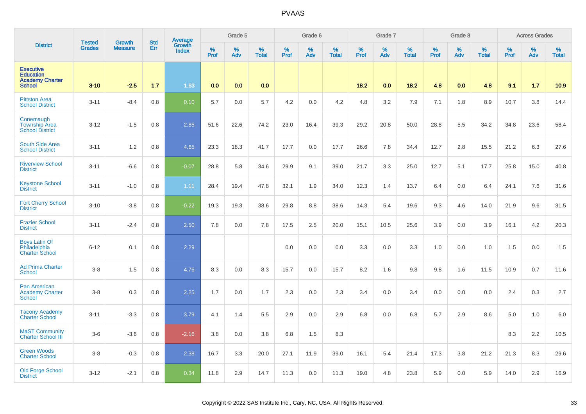|                                                                                 | <b>Tested</b> | Growth         | <b>Std</b> | Average                |              | Grade 5  |                   |           | Grade 6  |                   |           | Grade 7  |                   |           | Grade 8  |                   |           | <b>Across Grades</b> |                   |
|---------------------------------------------------------------------------------|---------------|----------------|------------|------------------------|--------------|----------|-------------------|-----------|----------|-------------------|-----------|----------|-------------------|-----------|----------|-------------------|-----------|----------------------|-------------------|
| <b>District</b>                                                                 | <b>Grades</b> | <b>Measure</b> | Err        | Growth<br><b>Index</b> | $\%$<br>Prof | %<br>Adv | %<br><b>Total</b> | %<br>Prof | %<br>Adv | %<br><b>Total</b> | %<br>Prof | %<br>Adv | %<br><b>Total</b> | %<br>Prof | %<br>Adv | %<br><b>Total</b> | %<br>Prof | %<br>Adv             | %<br><b>Total</b> |
| <b>Executive</b><br><b>Education</b><br><b>Academy Charter</b><br><b>School</b> | $3 - 10$      | $-2.5$         | 1.7        | 1.63                   | 0.0          | 0.0      | 0.0               |           |          |                   | 18.2      | 0.0      | 18.2              | 4.8       | 0.0      | 4.8               | 9.1       | 1.7                  | 10.9              |
| <b>Pittston Area</b><br><b>School District</b>                                  | $3 - 11$      | $-8.4$         | 0.8        | 0.10                   | 5.7          | 0.0      | 5.7               | 4.2       | 0.0      | 4.2               | 4.8       | 3.2      | 7.9               | 7.1       | 1.8      | 8.9               | 10.7      | 3.8                  | 14.4              |
| Conemaugh<br><b>Township Area</b><br><b>School District</b>                     | $3 - 12$      | $-1.5$         | 0.8        | 2.85                   | 51.6         | 22.6     | 74.2              | 23.0      | 16.4     | 39.3              | 29.2      | 20.8     | 50.0              | 28.8      | 5.5      | 34.2              | 34.8      | 23.6                 | 58.4              |
| South Side Area<br><b>School District</b>                                       | $3 - 11$      | 1.2            | 0.8        | 4.65                   | 23.3         | 18.3     | 41.7              | 17.7      | 0.0      | 17.7              | 26.6      | 7.8      | 34.4              | 12.7      | 2.8      | 15.5              | 21.2      | 6.3                  | 27.6              |
| <b>Riverview School</b><br><b>District</b>                                      | $3 - 11$      | $-6.6$         | 0.8        | $-0.07$                | 28.8         | 5.8      | 34.6              | 29.9      | 9.1      | 39.0              | 21.7      | 3.3      | 25.0              | 12.7      | 5.1      | 17.7              | 25.8      | 15.0                 | 40.8              |
| <b>Keystone School</b><br><b>District</b>                                       | $3 - 11$      | $-1.0$         | 0.8        | 1.11                   | 28.4         | 19.4     | 47.8              | 32.1      | 1.9      | 34.0              | 12.3      | 1.4      | 13.7              | 6.4       | 0.0      | 6.4               | 24.1      | 7.6                  | 31.6              |
| <b>Fort Cherry School</b><br><b>District</b>                                    | $3 - 10$      | $-3.8$         | 0.8        | $-0.22$                | 19.3         | 19.3     | 38.6              | 29.8      | 8.8      | 38.6              | 14.3      | 5.4      | 19.6              | 9.3       | 4.6      | 14.0              | 21.9      | 9.6                  | 31.5              |
| <b>Frazier School</b><br><b>District</b>                                        | $3 - 11$      | $-2.4$         | 0.8        | 2.50                   | 7.8          | 0.0      | 7.8               | 17.5      | 2.5      | 20.0              | 15.1      | 10.5     | 25.6              | 3.9       | 0.0      | 3.9               | 16.1      | 4.2                  | 20.3              |
| <b>Boys Latin Of</b><br>Philadelphia<br><b>Charter School</b>                   | $6 - 12$      | 0.1            | 0.8        | 2.29                   |              |          |                   | 0.0       | 0.0      | 0.0               | 3.3       | 0.0      | 3.3               | 1.0       | 0.0      | 1.0               | 1.5       | 0.0                  | 1.5               |
| <b>Ad Prima Charter</b><br><b>School</b>                                        | $3-8$         | 1.5            | 0.8        | 4.76                   | 8.3          | 0.0      | 8.3               | 15.7      | 0.0      | 15.7              | 8.2       | 1.6      | 9.8               | 9.8       | 1.6      | 11.5              | 10.9      | 0.7                  | 11.6              |
| Pan American<br><b>Academy Charter</b><br><b>School</b>                         | $3 - 8$       | 0.3            | 0.8        | 2.25                   | 1.7          | 0.0      | 1.7               | 2.3       | 0.0      | 2.3               | 3.4       | 0.0      | 3.4               | 0.0       | 0.0      | 0.0               | 2.4       | 0.3                  | 2.7               |
| <b>Tacony Academy</b><br><b>Charter School</b>                                  | $3 - 11$      | $-3.3$         | 0.8        | 3.79                   | 4.1          | 1.4      | 5.5               | 2.9       | 0.0      | 2.9               | 6.8       | 0.0      | 6.8               | 5.7       | 2.9      | 8.6               | 5.0       | 1.0                  | 6.0               |
| <b>MaST Community</b><br><b>Charter School III</b>                              | $3-6$         | $-3.6$         | 0.8        | $-2.16$                | 3.8          | 0.0      | 3.8               | 6.8       | 1.5      | 8.3               |           |          |                   |           |          |                   | 8.3       | 2.2                  | 10.5              |
| <b>Green Woods</b><br><b>Charter School</b>                                     | $3-8$         | $-0.3$         | 0.8        | 2.38                   | 16.7         | 3.3      | 20.0              | 27.1      | 11.9     | 39.0              | 16.1      | 5.4      | 21.4              | 17.3      | 3.8      | 21.2              | 21.3      | 8.3                  | 29.6              |
| <b>Old Forge School</b><br><b>District</b>                                      | $3 - 12$      | $-2.1$         | 0.8        | 0.34                   | 11.8         | 2.9      | 14.7              | 11.3      | 0.0      | 11.3              | 19.0      | 4.8      | 23.8              | 5.9       | 0.0      | 5.9               | 14.0      | 2.9                  | 16.9              |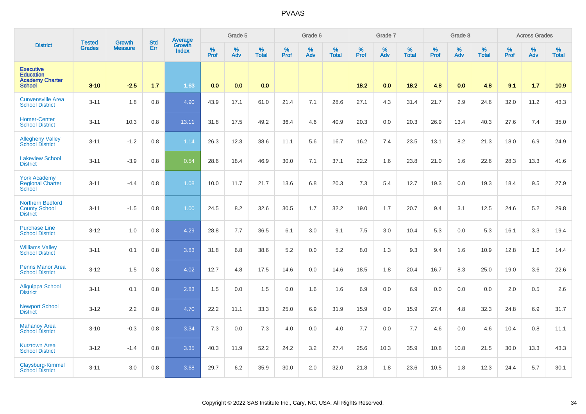|                                                                                 | <b>Tested</b> | <b>Growth</b>  | <b>Std</b> | <b>Average</b><br>Growth |                  | Grade 5  |                   |                  | Grade 6  |                   |                  | Grade 7  |                   |                  | Grade 8     |                   |                  | <b>Across Grades</b> |                   |
|---------------------------------------------------------------------------------|---------------|----------------|------------|--------------------------|------------------|----------|-------------------|------------------|----------|-------------------|------------------|----------|-------------------|------------------|-------------|-------------------|------------------|----------------------|-------------------|
| <b>District</b>                                                                 | <b>Grades</b> | <b>Measure</b> | Err        | <b>Index</b>             | %<br><b>Prof</b> | %<br>Adv | %<br><b>Total</b> | %<br><b>Prof</b> | %<br>Adv | %<br><b>Total</b> | %<br><b>Prof</b> | %<br>Adv | %<br><b>Total</b> | %<br><b>Prof</b> | $\%$<br>Adv | %<br><b>Total</b> | %<br><b>Prof</b> | %<br>Adv             | %<br><b>Total</b> |
| <b>Executive</b><br><b>Education</b><br><b>Academy Charter</b><br><b>School</b> | $3 - 10$      | $-2.5$         | 1.7        | 1.63                     | 0.0              | 0.0      | 0.0               |                  |          |                   | 18.2             | 0.0      | 18.2              | 4.8              | 0.0         | 4.8               | 9.1              | 1.7                  | 10.9              |
| <b>Curwensville Area</b><br><b>School District</b>                              | $3 - 11$      | 1.8            | 0.8        | 4.90                     | 43.9             | 17.1     | 61.0              | 21.4             | 7.1      | 28.6              | 27.1             | 4.3      | 31.4              | 21.7             | 2.9         | 24.6              | 32.0             | 11.2                 | 43.3              |
| <b>Homer-Center</b><br><b>School District</b>                                   | $3 - 11$      | 10.3           | 0.8        | 13.11                    | 31.8             | 17.5     | 49.2              | 36.4             | 4.6      | 40.9              | 20.3             | 0.0      | 20.3              | 26.9             | 13.4        | 40.3              | 27.6             | 7.4                  | 35.0              |
| <b>Allegheny Valley</b><br><b>School District</b>                               | $3 - 11$      | $-1.2$         | 0.8        | 1.14                     | 26.3             | 12.3     | 38.6              | 11.1             | 5.6      | 16.7              | 16.2             | 7.4      | 23.5              | 13.1             | 8.2         | 21.3              | 18.0             | 6.9                  | 24.9              |
| <b>Lakeview School</b><br><b>District</b>                                       | $3 - 11$      | $-3.9$         | 0.8        | 0.54                     | 28.6             | 18.4     | 46.9              | 30.0             | 7.1      | 37.1              | 22.2             | 1.6      | 23.8              | 21.0             | 1.6         | 22.6              | 28.3             | 13.3                 | 41.6              |
| <b>York Academy</b><br><b>Regional Charter</b><br>School                        | $3 - 11$      | $-4.4$         | 0.8        | 1.08                     | 10.0             | 11.7     | 21.7              | 13.6             | 6.8      | 20.3              | 7.3              | 5.4      | 12.7              | 19.3             | 0.0         | 19.3              | 18.4             | 9.5                  | 27.9              |
| <b>Northern Bedford</b><br><b>County School</b><br><b>District</b>              | $3 - 11$      | $-1.5$         | 0.8        | 1.00                     | 24.5             | 8.2      | 32.6              | 30.5             | 1.7      | 32.2              | 19.0             | 1.7      | 20.7              | 9.4              | 3.1         | 12.5              | 24.6             | 5.2                  | 29.8              |
| <b>Purchase Line</b><br><b>School District</b>                                  | $3 - 12$      | 1.0            | 0.8        | 4.29                     | 28.8             | 7.7      | 36.5              | 6.1              | 3.0      | 9.1               | 7.5              | 3.0      | 10.4              | 5.3              | 0.0         | 5.3               | 16.1             | 3.3                  | 19.4              |
| <b>Williams Valley</b><br><b>School District</b>                                | $3 - 11$      | 0.1            | 0.8        | 3.83                     | 31.8             | 6.8      | 38.6              | 5.2              | 0.0      | 5.2               | 8.0              | 1.3      | 9.3               | 9.4              | 1.6         | 10.9              | 12.8             | 1.6                  | 14.4              |
| <b>Penns Manor Area</b><br><b>School District</b>                               | $3 - 12$      | 1.5            | 0.8        | 4.02                     | 12.7             | 4.8      | 17.5              | 14.6             | 0.0      | 14.6              | 18.5             | 1.8      | 20.4              | 16.7             | 8.3         | 25.0              | 19.0             | 3.6                  | 22.6              |
| Aliquippa School<br><b>District</b>                                             | $3 - 11$      | 0.1            | 0.8        | 2.83                     | 1.5              | 0.0      | 1.5               | 0.0              | 1.6      | 1.6               | 6.9              | 0.0      | 6.9               | 0.0              | 0.0         | 0.0               | 2.0              | 0.5                  | 2.6               |
| <b>Newport School</b><br><b>District</b>                                        | $3 - 12$      | 2.2            | 0.8        | 4.70                     | 22.2             | 11.1     | 33.3              | 25.0             | 6.9      | 31.9              | 15.9             | 0.0      | 15.9              | 27.4             | 4.8         | 32.3              | 24.8             | 6.9                  | 31.7              |
| <b>Mahanoy Area</b><br><b>School District</b>                                   | $3 - 10$      | $-0.3$         | 0.8        | 3.34                     | 7.3              | 0.0      | 7.3               | 4.0              | 0.0      | 4.0               | 7.7              | 0.0      | 7.7               | 4.6              | 0.0         | 4.6               | 10.4             | 0.8                  | 11.1              |
| <b>Kutztown Area</b><br><b>School District</b>                                  | $3 - 12$      | $-1.4$         | 0.8        | 3.35                     | 40.3             | 11.9     | 52.2              | 24.2             | 3.2      | 27.4              | 25.6             | 10.3     | 35.9              | 10.8             | 10.8        | 21.5              | 30.0             | 13.3                 | 43.3              |
| Claysburg-Kimmel<br><b>School District</b>                                      | $3 - 11$      | 3.0            | 0.8        | 3.68                     | 29.7             | 6.2      | 35.9              | 30.0             | 2.0      | 32.0              | 21.8             | 1.8      | 23.6              | 10.5             | 1.8         | 12.3              | 24.4             | 5.7                  | 30.1              |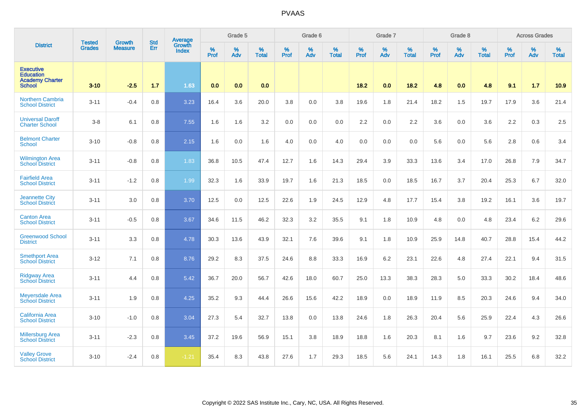|                                                                                 |                                |                                 | <b>Std</b> | Average                |           | Grade 5  |                   |           | Grade 6  |                   |           | Grade 7  |                   |           | Grade 8  |                   |           | <b>Across Grades</b> |                   |
|---------------------------------------------------------------------------------|--------------------------------|---------------------------------|------------|------------------------|-----------|----------|-------------------|-----------|----------|-------------------|-----------|----------|-------------------|-----------|----------|-------------------|-----------|----------------------|-------------------|
| <b>District</b>                                                                 | <b>Tested</b><br><b>Grades</b> | <b>Growth</b><br><b>Measure</b> | Err        | Growth<br><b>Index</b> | %<br>Prof | %<br>Adv | %<br><b>Total</b> | %<br>Prof | %<br>Adv | %<br><b>Total</b> | %<br>Prof | %<br>Adv | %<br><b>Total</b> | %<br>Prof | %<br>Adv | %<br><b>Total</b> | %<br>Prof | %<br>Adv             | %<br><b>Total</b> |
| <b>Executive</b><br><b>Education</b><br><b>Academy Charter</b><br><b>School</b> | $3 - 10$                       | $-2.5$                          | 1.7        | 1.63                   | 0.0       | 0.0      | 0.0               |           |          |                   | 18.2      | 0.0      | 18.2              | 4.8       | 0.0      | 4.8               | 9.1       | 1.7                  | 10.9              |
| <b>Northern Cambria</b><br><b>School District</b>                               | $3 - 11$                       | $-0.4$                          | 0.8        | 3.23                   | 16.4      | 3.6      | 20.0              | 3.8       | 0.0      | 3.8               | 19.6      | 1.8      | 21.4              | 18.2      | 1.5      | 19.7              | 17.9      | 3.6                  | 21.4              |
| <b>Universal Daroff</b><br><b>Charter School</b>                                | $3-8$                          | 6.1                             | 0.8        | 7.55                   | 1.6       | 1.6      | 3.2               | 0.0       | 0.0      | 0.0               | 2.2       | 0.0      | 2.2               | 3.6       | 0.0      | 3.6               | 2.2       | 0.3                  | 2.5               |
| <b>Belmont Charter</b><br><b>School</b>                                         | $3 - 10$                       | $-0.8$                          | 0.8        | 2.15                   | 1.6       | 0.0      | 1.6               | 4.0       | 0.0      | 4.0               | 0.0       | 0.0      | 0.0               | 5.6       | 0.0      | 5.6               | 2.8       | 0.6                  | 3.4               |
| <b>Wilmington Area</b><br><b>School District</b>                                | $3 - 11$                       | $-0.8$                          | 0.8        | 1.83                   | 36.8      | 10.5     | 47.4              | 12.7      | 1.6      | 14.3              | 29.4      | 3.9      | 33.3              | 13.6      | 3.4      | 17.0              | 26.8      | 7.9                  | 34.7              |
| <b>Fairfield Area</b><br><b>School District</b>                                 | $3 - 11$                       | $-1.2$                          | 0.8        | 1.99                   | 32.3      | 1.6      | 33.9              | 19.7      | 1.6      | 21.3              | 18.5      | 0.0      | 18.5              | 16.7      | 3.7      | 20.4              | 25.3      | 6.7                  | 32.0              |
| <b>Jeannette City</b><br><b>School District</b>                                 | $3 - 11$                       | 3.0                             | 0.8        | 3.70                   | 12.5      | 0.0      | 12.5              | 22.6      | 1.9      | 24.5              | 12.9      | 4.8      | 17.7              | 15.4      | 3.8      | 19.2              | 16.1      | 3.6                  | 19.7              |
| <b>Canton Area</b><br><b>School District</b>                                    | $3 - 11$                       | $-0.5$                          | 0.8        | 3.67                   | 34.6      | 11.5     | 46.2              | 32.3      | 3.2      | 35.5              | 9.1       | 1.8      | 10.9              | 4.8       | 0.0      | 4.8               | 23.4      | 6.2                  | 29.6              |
| <b>Greenwood School</b><br><b>District</b>                                      | $3 - 11$                       | 3.3                             | 0.8        | 4.78                   | 30.3      | 13.6     | 43.9              | 32.1      | 7.6      | 39.6              | 9.1       | 1.8      | 10.9              | 25.9      | 14.8     | 40.7              | 28.8      | 15.4                 | 44.2              |
| <b>Smethport Area</b><br><b>School District</b>                                 | $3 - 12$                       | 7.1                             | 0.8        | 8.76                   | 29.2      | 8.3      | 37.5              | 24.6      | 8.8      | 33.3              | 16.9      | 6.2      | 23.1              | 22.6      | 4.8      | 27.4              | 22.1      | 9.4                  | 31.5              |
| <b>Ridgway Area</b><br><b>School District</b>                                   | $3 - 11$                       | 4.4                             | 0.8        | 5.42                   | 36.7      | 20.0     | 56.7              | 42.6      | 18.0     | 60.7              | 25.0      | 13.3     | 38.3              | 28.3      | 5.0      | 33.3              | 30.2      | 18.4                 | 48.6              |
| <b>Meyersdale Area</b><br><b>School District</b>                                | $3 - 11$                       | 1.9                             | 0.8        | 4.25                   | 35.2      | 9.3      | 44.4              | 26.6      | 15.6     | 42.2              | 18.9      | 0.0      | 18.9              | 11.9      | 8.5      | 20.3              | 24.6      | 9.4                  | 34.0              |
| <b>California Area</b><br><b>School District</b>                                | $3 - 10$                       | $-1.0$                          | 0.8        | 3.04                   | 27.3      | 5.4      | 32.7              | 13.8      | 0.0      | 13.8              | 24.6      | 1.8      | 26.3              | 20.4      | 5.6      | 25.9              | 22.4      | 4.3                  | 26.6              |
| <b>Millersburg Area</b><br><b>School District</b>                               | $3 - 11$                       | $-2.3$                          | 0.8        | 3.45                   | 37.2      | 19.6     | 56.9              | 15.1      | 3.8      | 18.9              | 18.8      | 1.6      | 20.3              | 8.1       | 1.6      | 9.7               | 23.6      | 9.2                  | 32.8              |
| <b>Valley Grove</b><br><b>School District</b>                                   | $3 - 10$                       | $-2.4$                          | 0.8        | $-1.21$                | 35.4      | 8.3      | 43.8              | 27.6      | 1.7      | 29.3              | 18.5      | 5.6      | 24.1              | 14.3      | 1.8      | 16.1              | 25.5      | 6.8                  | 32.2              |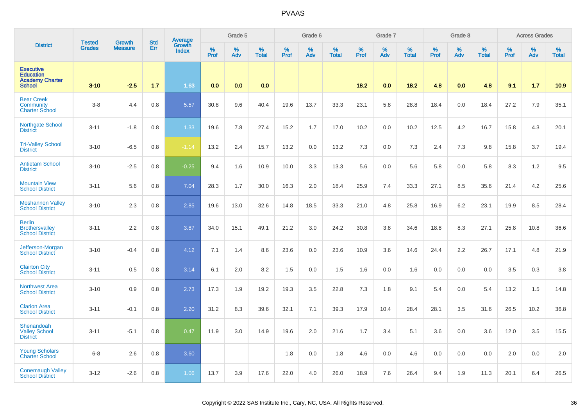|                                                                                 | <b>Tested</b> | <b>Growth</b>  | <b>Std</b> | <b>Average</b><br>Growth |                     | Grade 5     |                   |                  | Grade 6  |                   |                  | Grade 7  |                   |           | Grade 8  |                   |           | <b>Across Grades</b> |                   |
|---------------------------------------------------------------------------------|---------------|----------------|------------|--------------------------|---------------------|-------------|-------------------|------------------|----------|-------------------|------------------|----------|-------------------|-----------|----------|-------------------|-----------|----------------------|-------------------|
| <b>District</b>                                                                 | <b>Grades</b> | <b>Measure</b> | Err        | <b>Index</b>             | $\%$<br><b>Prof</b> | $\%$<br>Adv | %<br><b>Total</b> | %<br><b>Prof</b> | %<br>Adv | %<br><b>Total</b> | %<br><b>Prof</b> | %<br>Adv | %<br><b>Total</b> | %<br>Prof | %<br>Adv | %<br><b>Total</b> | %<br>Prof | $\%$<br>Adv          | %<br><b>Total</b> |
| <b>Executive</b><br><b>Education</b><br><b>Academy Charter</b><br><b>School</b> | $3 - 10$      | $-2.5$         | 1.7        | 1.63                     | 0.0                 | 0.0         | 0.0               |                  |          |                   | 18.2             | 0.0      | 18.2              | 4.8       | 0.0      | 4.8               | 9.1       | 1.7                  | 10.9              |
| <b>Bear Creek</b><br>Community<br><b>Charter School</b>                         | $3 - 8$       | 4.4            | 0.8        | 5.57                     | 30.8                | 9.6         | 40.4              | 19.6             | 13.7     | 33.3              | 23.1             | 5.8      | 28.8              | 18.4      | 0.0      | 18.4              | 27.2      | 7.9                  | 35.1              |
| Northgate School<br><b>District</b>                                             | $3 - 11$      | $-1.8$         | 0.8        | 1.33                     | 19.6                | 7.8         | 27.4              | 15.2             | 1.7      | 17.0              | 10.2             | 0.0      | 10.2              | 12.5      | 4.2      | 16.7              | 15.8      | 4.3                  | 20.1              |
| <b>Tri-Valley School</b><br><b>District</b>                                     | $3 - 10$      | $-6.5$         | 0.8        | $-1.14$                  | 13.2                | 2.4         | 15.7              | 13.2             | 0.0      | 13.2              | 7.3              | 0.0      | 7.3               | 2.4       | 7.3      | 9.8               | 15.8      | 3.7                  | 19.4              |
| <b>Antietam School</b><br><b>District</b>                                       | $3 - 10$      | $-2.5$         | 0.8        | $-0.25$                  | 9.4                 | 1.6         | 10.9              | 10.0             | 3.3      | 13.3              | 5.6              | 0.0      | 5.6               | 5.8       | 0.0      | 5.8               | 8.3       | 1.2                  | 9.5               |
| <b>Mountain View</b><br><b>School District</b>                                  | $3 - 11$      | 5.6            | 0.8        | 7.04                     | 28.3                | 1.7         | 30.0              | 16.3             | 2.0      | 18.4              | 25.9             | 7.4      | 33.3              | 27.1      | 8.5      | 35.6              | 21.4      | 4.2                  | 25.6              |
| <b>Moshannon Valley</b><br><b>School District</b>                               | $3 - 10$      | 2.3            | 0.8        | 2.85                     | 19.6                | 13.0        | 32.6              | 14.8             | 18.5     | 33.3              | 21.0             | 4.8      | 25.8              | 16.9      | 6.2      | 23.1              | 19.9      | 8.5                  | 28.4              |
| <b>Berlin</b><br><b>Brothersvalley</b><br><b>School District</b>                | $3 - 11$      | 2.2            | 0.8        | 3.87                     | 34.0                | 15.1        | 49.1              | 21.2             | 3.0      | 24.2              | 30.8             | 3.8      | 34.6              | 18.8      | 8.3      | 27.1              | 25.8      | 10.8                 | 36.6              |
| Jefferson-Morgan<br><b>School District</b>                                      | $3 - 10$      | $-0.4$         | 0.8        | 4.12                     | 7.1                 | 1.4         | 8.6               | 23.6             | 0.0      | 23.6              | 10.9             | 3.6      | 14.6              | 24.4      | 2.2      | 26.7              | 17.1      | 4.8                  | 21.9              |
| <b>Clairton City</b><br><b>School District</b>                                  | $3 - 11$      | 0.5            | 0.8        | 3.14                     | 6.1                 | 2.0         | 8.2               | 1.5              | 0.0      | 1.5               | 1.6              | 0.0      | 1.6               | 0.0       | 0.0      | 0.0               | 3.5       | 0.3                  | 3.8               |
| <b>Northwest Area</b><br><b>School District</b>                                 | $3 - 10$      | 0.9            | 0.8        | 2.73                     | 17.3                | 1.9         | 19.2              | 19.3             | 3.5      | 22.8              | 7.3              | 1.8      | 9.1               | 5.4       | 0.0      | 5.4               | 13.2      | 1.5                  | 14.8              |
| <b>Clarion Area</b><br><b>School District</b>                                   | $3 - 11$      | $-0.1$         | 0.8        | 2.20                     | 31.2                | 8.3         | 39.6              | 32.1             | 7.1      | 39.3              | 17.9             | 10.4     | 28.4              | 28.1      | 3.5      | 31.6              | 26.5      | 10.2                 | 36.8              |
| Shenandoah<br><b>Valley School</b><br><b>District</b>                           | $3 - 11$      | $-5.1$         | 0.8        | 0.47                     | 11.9                | 3.0         | 14.9              | 19.6             | 2.0      | 21.6              | 1.7              | 3.4      | 5.1               | 3.6       | 0.0      | 3.6               | 12.0      | 3.5                  | 15.5              |
| <b>Young Scholars</b><br><b>Charter School</b>                                  | $6 - 8$       | 2.6            | 0.8        | 3.60                     |                     |             |                   | 1.8              | 0.0      | 1.8               | 4.6              | 0.0      | 4.6               | 0.0       | 0.0      | 0.0               | 2.0       | 0.0                  | 2.0               |
| <b>Conemaugh Valley</b><br><b>School District</b>                               | $3 - 12$      | $-2.6$         | 0.8        | 1.06                     | 13.7                | 3.9         | 17.6              | 22.0             | 4.0      | 26.0              | 18.9             | 7.6      | 26.4              | 9.4       | 1.9      | 11.3              | 20.1      | 6.4                  | 26.5              |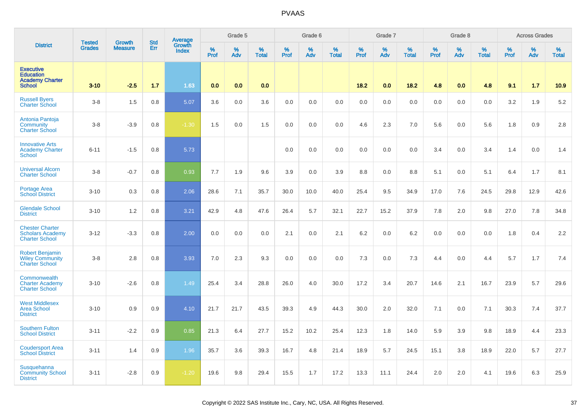|                                                                                 | <b>Tested</b> | Growth         | <b>Std</b> |                                          |           | Grade 5  |                   |           | Grade 6  |                   |           | Grade 7  |                   |           | Grade 8  |                   |           | <b>Across Grades</b> |                   |
|---------------------------------------------------------------------------------|---------------|----------------|------------|------------------------------------------|-----------|----------|-------------------|-----------|----------|-------------------|-----------|----------|-------------------|-----------|----------|-------------------|-----------|----------------------|-------------------|
| <b>District</b>                                                                 | <b>Grades</b> | <b>Measure</b> | Err        | <b>Average</b><br>Growth<br><b>Index</b> | %<br>Prof | %<br>Adv | %<br><b>Total</b> | %<br>Prof | %<br>Adv | %<br><b>Total</b> | %<br>Prof | %<br>Adv | %<br><b>Total</b> | %<br>Prof | %<br>Adv | %<br><b>Total</b> | %<br>Prof | %<br>Adv             | %<br><b>Total</b> |
| <b>Executive</b><br><b>Education</b><br><b>Academy Charter</b><br><b>School</b> | $3 - 10$      | $-2.5$         | 1.7        | 1.63                                     | 0.0       | 0.0      | 0.0               |           |          |                   | 18.2      | 0.0      | 18.2              | 4.8       | 0.0      | 4.8               | 9.1       | 1.7                  | 10.9              |
| <b>Russell Byers</b><br><b>Charter School</b>                                   | $3 - 8$       | 1.5            | 0.8        | 5.07                                     | 3.6       | 0.0      | 3.6               | 0.0       | 0.0      | 0.0               | 0.0       | 0.0      | 0.0               | 0.0       | 0.0      | 0.0               | 3.2       | 1.9                  | 5.2               |
| Antonia Pantoja<br>Community<br><b>Charter School</b>                           | $3 - 8$       | $-3.9$         | 0.8        | $-1.30$                                  | 1.5       | 0.0      | 1.5               | 0.0       | 0.0      | 0.0               | 4.6       | 2.3      | 7.0               | 5.6       | 0.0      | 5.6               | 1.8       | 0.9                  | 2.8               |
| <b>Innovative Arts</b><br><b>Academy Charter</b><br><b>School</b>               | $6 - 11$      | $-1.5$         | 0.8        | 5.73                                     |           |          |                   | 0.0       | 0.0      | 0.0               | 0.0       | 0.0      | 0.0               | 3.4       | 0.0      | 3.4               | 1.4       | 0.0                  | 1.4               |
| <b>Universal Alcorn</b><br><b>Charter School</b>                                | $3 - 8$       | $-0.7$         | 0.8        | 0.93                                     | 7.7       | 1.9      | 9.6               | 3.9       | 0.0      | 3.9               | 8.8       | 0.0      | 8.8               | 5.1       | 0.0      | 5.1               | 6.4       | 1.7                  | 8.1               |
| Portage Area<br><b>School District</b>                                          | $3 - 10$      | 0.3            | 0.8        | 2.06                                     | 28.6      | 7.1      | 35.7              | 30.0      | 10.0     | 40.0              | 25.4      | 9.5      | 34.9              | 17.0      | 7.6      | 24.5              | 29.8      | 12.9                 | 42.6              |
| <b>Glendale School</b><br><b>District</b>                                       | $3 - 10$      | 1.2            | 0.8        | 3.21                                     | 42.9      | 4.8      | 47.6              | 26.4      | 5.7      | 32.1              | 22.7      | 15.2     | 37.9              | 7.8       | 2.0      | 9.8               | 27.0      | 7.8                  | 34.8              |
| <b>Chester Charter</b><br><b>Scholars Academy</b><br><b>Charter School</b>      | $3 - 12$      | $-3.3$         | 0.8        | 2.00                                     | 0.0       | 0.0      | 0.0               | 2.1       | 0.0      | 2.1               | 6.2       | 0.0      | 6.2               | 0.0       | 0.0      | 0.0               | 1.8       | 0.4                  | 2.2               |
| <b>Robert Benjamin</b><br><b>Wiley Community</b><br><b>Charter School</b>       | $3-8$         | 2.8            | 0.8        | 3.93                                     | 7.0       | 2.3      | 9.3               | 0.0       | 0.0      | 0.0               | 7.3       | 0.0      | 7.3               | 4.4       | 0.0      | 4.4               | 5.7       | 1.7                  | 7.4               |
| Commonwealth<br><b>Charter Academy</b><br><b>Charter School</b>                 | $3 - 10$      | $-2.6$         | 0.8        | 1.49                                     | 25.4      | 3.4      | 28.8              | 26.0      | 4.0      | 30.0              | 17.2      | 3.4      | 20.7              | 14.6      | 2.1      | 16.7              | 23.9      | 5.7                  | 29.6              |
| <b>West Middlesex</b><br><b>Area School</b><br><b>District</b>                  | $3 - 10$      | 0.9            | 0.9        | 4.10                                     | 21.7      | 21.7     | 43.5              | 39.3      | 4.9      | 44.3              | 30.0      | 2.0      | 32.0              | 7.1       | 0.0      | 7.1               | 30.3      | 7.4                  | 37.7              |
| <b>Southern Fulton</b><br><b>School District</b>                                | $3 - 11$      | $-2.2$         | 0.9        | 0.85                                     | 21.3      | 6.4      | 27.7              | 15.2      | 10.2     | 25.4              | 12.3      | 1.8      | 14.0              | 5.9       | 3.9      | 9.8               | 18.9      | 4.4                  | 23.3              |
| <b>Coudersport Area</b><br><b>School District</b>                               | $3 - 11$      | 1.4            | 0.9        | 1.96                                     | 35.7      | 3.6      | 39.3              | 16.7      | 4.8      | 21.4              | 18.9      | 5.7      | 24.5              | 15.1      | 3.8      | 18.9              | 22.0      | 5.7                  | 27.7              |
| Susquehanna<br><b>Community School</b><br><b>District</b>                       | $3 - 11$      | $-2.8$         | 0.9        | $-1.20$                                  | 19.6      | 9.8      | 29.4              | 15.5      | 1.7      | 17.2              | 13.3      | 11.1     | 24.4              | 2.0       | 2.0      | 4.1               | 19.6      | 6.3                  | 25.9              |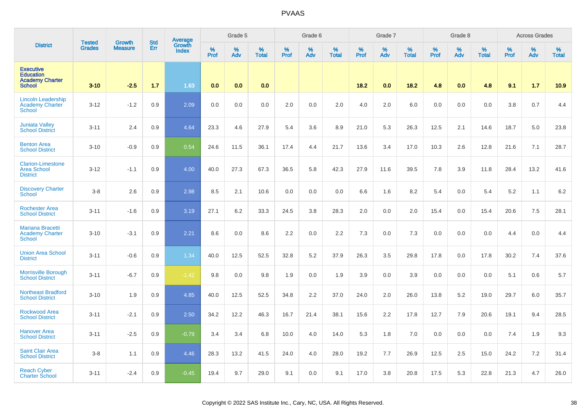|                                                                                 | <b>Tested</b> | Growth         | <b>Std</b> | <b>Average</b><br>Growth |           | Grade 5  |                   |                  | Grade 6  |                   |                  | Grade 7  |                   |           | Grade 8  |                   |           | <b>Across Grades</b> |                   |
|---------------------------------------------------------------------------------|---------------|----------------|------------|--------------------------|-----------|----------|-------------------|------------------|----------|-------------------|------------------|----------|-------------------|-----------|----------|-------------------|-----------|----------------------|-------------------|
| <b>District</b>                                                                 | <b>Grades</b> | <b>Measure</b> | Err        | <b>Index</b>             | %<br>Prof | %<br>Adv | %<br><b>Total</b> | %<br><b>Prof</b> | %<br>Adv | %<br><b>Total</b> | %<br><b>Prof</b> | %<br>Adv | %<br><b>Total</b> | %<br>Prof | %<br>Adv | %<br><b>Total</b> | %<br>Prof | %<br>Adv             | %<br><b>Total</b> |
| <b>Executive</b><br><b>Education</b><br><b>Academy Charter</b><br><b>School</b> | $3 - 10$      | $-2.5$         | 1.7        | 1.63                     | 0.0       | 0.0      | 0.0               |                  |          |                   | 18.2             | 0.0      | 18.2              | 4.8       | 0.0      | 4.8               | 9.1       | 1.7                  | 10.9              |
| <b>Lincoln Leadership</b><br><b>Academy Charter</b><br><b>School</b>            | $3 - 12$      | $-1.2$         | 0.9        | 2.09                     | 0.0       | 0.0      | 0.0               | 2.0              | 0.0      | 2.0               | 4.0              | 2.0      | 6.0               | 0.0       | 0.0      | 0.0               | 3.8       | 0.7                  | 4.4               |
| <b>Juniata Valley</b><br><b>School District</b>                                 | $3 - 11$      | 2.4            | 0.9        | 4.64                     | 23.3      | 4.6      | 27.9              | 5.4              | 3.6      | 8.9               | 21.0             | 5.3      | 26.3              | 12.5      | 2.1      | 14.6              | 18.7      | 5.0                  | 23.8              |
| <b>Benton Area</b><br><b>School District</b>                                    | $3 - 10$      | $-0.9$         | 0.9        | 0.54                     | 24.6      | 11.5     | 36.1              | 17.4             | 4.4      | 21.7              | 13.6             | 3.4      | 17.0              | 10.3      | 2.6      | 12.8              | 21.6      | 7.1                  | 28.7              |
| <b>Clarion-Limestone</b><br><b>Area School</b><br><b>District</b>               | $3 - 12$      | $-1.1$         | 0.9        | 4.00                     | 40.0      | 27.3     | 67.3              | 36.5             | 5.8      | 42.3              | 27.9             | 11.6     | 39.5              | 7.8       | 3.9      | 11.8              | 28.4      | 13.2                 | 41.6              |
| <b>Discovery Charter</b><br><b>School</b>                                       | $3 - 8$       | 2.6            | 0.9        | 2.98                     | 8.5       | 2.1      | 10.6              | 0.0              | 0.0      | 0.0               | 6.6              | 1.6      | 8.2               | 5.4       | 0.0      | 5.4               | 5.2       | 1.1                  | 6.2               |
| <b>Rochester Area</b><br><b>School District</b>                                 | $3 - 11$      | $-1.6$         | 0.9        | 3.19                     | 27.1      | 6.2      | 33.3              | 24.5             | 3.8      | 28.3              | 2.0              | 0.0      | 2.0               | 15.4      | 0.0      | 15.4              | 20.6      | 7.5                  | 28.1              |
| <b>Mariana Bracetti</b><br><b>Academy Charter</b><br><b>School</b>              | $3 - 10$      | $-3.1$         | 0.9        | 2.21                     | 8.6       | 0.0      | 8.6               | 2.2              | 0.0      | 2.2               | 7.3              | 0.0      | 7.3               | 0.0       | 0.0      | 0.0               | 4.4       | 0.0                  | 4.4               |
| <b>Union Area School</b><br><b>District</b>                                     | $3 - 11$      | $-0.6$         | 0.9        | 1.34                     | 40.0      | 12.5     | 52.5              | 32.8             | 5.2      | 37.9              | 26.3             | 3.5      | 29.8              | 17.8      | 0.0      | 17.8              | 30.2      | 7.4                  | 37.6              |
| <b>Morrisville Borough</b><br><b>School District</b>                            | $3 - 11$      | $-6.7$         | 0.9        | $-1.42$                  | 9.8       | 0.0      | 9.8               | 1.9              | 0.0      | 1.9               | 3.9              | 0.0      | 3.9               | 0.0       | 0.0      | 0.0               | 5.1       | 0.6                  | 5.7               |
| <b>Northeast Bradford</b><br><b>School District</b>                             | $3 - 10$      | 1.9            | 0.9        | 4.85                     | 40.0      | 12.5     | 52.5              | 34.8             | 2.2      | 37.0              | 24.0             | 2.0      | 26.0              | 13.8      | 5.2      | 19.0              | 29.7      | 6.0                  | 35.7              |
| <b>Rockwood Area</b><br><b>School District</b>                                  | $3 - 11$      | $-2.1$         | 0.9        | 2.50                     | 34.2      | 12.2     | 46.3              | 16.7             | 21.4     | 38.1              | 15.6             | 2.2      | 17.8              | 12.7      | 7.9      | 20.6              | 19.1      | 9.4                  | 28.5              |
| <b>Hanover Area</b><br><b>School District</b>                                   | $3 - 11$      | $-2.5$         | 0.9        | $-0.79$                  | 3.4       | 3.4      | 6.8               | 10.0             | 4.0      | 14.0              | 5.3              | 1.8      | 7.0               | 0.0       | 0.0      | 0.0               | 7.4       | 1.9                  | 9.3               |
| <b>Saint Clair Area</b><br><b>School District</b>                               | $3-8$         | 1.1            | 0.9        | 4.46                     | 28.3      | 13.2     | 41.5              | 24.0             | 4.0      | 28.0              | 19.2             | 7.7      | 26.9              | 12.5      | 2.5      | 15.0              | 24.2      | 7.2                  | 31.4              |
| <b>Reach Cyber</b><br><b>Charter School</b>                                     | $3 - 11$      | $-2.4$         | 0.9        | $-0.45$                  | 19.4      | 9.7      | 29.0              | 9.1              | 0.0      | 9.1               | 17.0             | 3.8      | 20.8              | 17.5      | 5.3      | 22.8              | 21.3      | 4.7                  | 26.0              |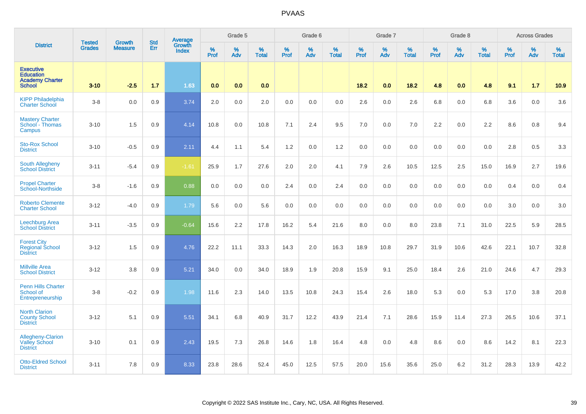|                                                                                 |                                | <b>Growth</b>  | <b>Std</b> | Average                |              | Grade 5     |                   |              | Grade 6  |                   |              | Grade 7  |                      |              | Grade 8  |                      |              | <b>Across Grades</b> |                   |
|---------------------------------------------------------------------------------|--------------------------------|----------------|------------|------------------------|--------------|-------------|-------------------|--------------|----------|-------------------|--------------|----------|----------------------|--------------|----------|----------------------|--------------|----------------------|-------------------|
| <b>District</b>                                                                 | <b>Tested</b><br><b>Grades</b> | <b>Measure</b> | Err        | Growth<br><b>Index</b> | $\%$<br>Prof | $\%$<br>Adv | %<br><b>Total</b> | $\%$<br>Prof | %<br>Adv | %<br><b>Total</b> | $\%$<br>Prof | %<br>Adv | $\%$<br><b>Total</b> | $\%$<br>Prof | %<br>Adv | $\%$<br><b>Total</b> | $\%$<br>Prof | %<br>Adv             | %<br><b>Total</b> |
| <b>Executive</b><br><b>Education</b><br><b>Academy Charter</b><br><b>School</b> | $3 - 10$                       | $-2.5$         | 1.7        | 1.63                   | 0.0          | 0.0         | 0.0               |              |          |                   | 18.2         | 0.0      | 18.2                 | 4.8          | 0.0      | 4.8                  | 9.1          | $1.7$                | 10.9              |
| <b>KIPP Philadelphia</b><br><b>Charter School</b>                               | $3 - 8$                        | 0.0            | 0.9        | 3.74                   | 2.0          | 0.0         | 2.0               | 0.0          | 0.0      | 0.0               | 2.6          | 0.0      | 2.6                  | 6.8          | 0.0      | 6.8                  | 3.6          | 0.0                  | 3.6               |
| <b>Mastery Charter</b><br>School - Thomas<br>Campus                             | $3 - 10$                       | 1.5            | 0.9        | 4.14                   | 10.8         | 0.0         | 10.8              | 7.1          | 2.4      | 9.5               | 7.0          | 0.0      | 7.0                  | 2.2          | 0.0      | 2.2                  | 8.6          | 0.8                  | 9.4               |
| <b>Sto-Rox School</b><br><b>District</b>                                        | $3 - 10$                       | $-0.5$         | 0.9        | 2.11                   | 4.4          | 1.1         | 5.4               | 1.2          | 0.0      | 1.2               | 0.0          | 0.0      | 0.0                  | 0.0          | 0.0      | 0.0                  | 2.8          | 0.5                  | 3.3               |
| South Allegheny<br><b>School District</b>                                       | $3 - 11$                       | $-5.4$         | 0.9        | $-1.61$                | 25.9         | 1.7         | 27.6              | 2.0          | 2.0      | 4.1               | 7.9          | 2.6      | 10.5                 | 12.5         | 2.5      | 15.0                 | 16.9         | 2.7                  | 19.6              |
| <b>Propel Charter</b><br>School-Northside                                       | $3 - 8$                        | $-1.6$         | 0.9        | 0.88                   | 0.0          | 0.0         | 0.0               | 2.4          | 0.0      | 2.4               | 0.0          | 0.0      | 0.0                  | 0.0          | 0.0      | 0.0                  | 0.4          | 0.0                  | 0.4               |
| <b>Roberto Clemente</b><br><b>Charter School</b>                                | $3 - 12$                       | $-4.0$         | 0.9        | 1.79                   | 5.6          | 0.0         | 5.6               | 0.0          | 0.0      | 0.0               | 0.0          | 0.0      | 0.0                  | 0.0          | 0.0      | 0.0                  | 3.0          | 0.0                  | 3.0               |
| <b>Leechburg Area</b><br><b>School District</b>                                 | $3 - 11$                       | $-3.5$         | 0.9        | $-0.64$                | 15.6         | 2.2         | 17.8              | 16.2         | 5.4      | 21.6              | 8.0          | 0.0      | 8.0                  | 23.8         | 7.1      | 31.0                 | 22.5         | 5.9                  | 28.5              |
| <b>Forest City</b><br>Regional School<br><b>District</b>                        | $3 - 12$                       | 1.5            | 0.9        | 4.76                   | 22.2         | 11.1        | 33.3              | 14.3         | 2.0      | 16.3              | 18.9         | 10.8     | 29.7                 | 31.9         | 10.6     | 42.6                 | 22.1         | 10.7                 | 32.8              |
| <b>Millville Area</b><br><b>School District</b>                                 | $3 - 12$                       | 3.8            | 0.9        | 5.21                   | 34.0         | 0.0         | 34.0              | 18.9         | 1.9      | 20.8              | 15.9         | 9.1      | 25.0                 | 18.4         | 2.6      | 21.0                 | 24.6         | 4.7                  | 29.3              |
| <b>Penn Hills Charter</b><br>School of<br>Entrepreneurship                      | $3-8$                          | $-0.2$         | 0.9        | 1.98                   | 11.6         | 2.3         | 14.0              | 13.5         | 10.8     | 24.3              | 15.4         | 2.6      | 18.0                 | 5.3          | 0.0      | 5.3                  | 17.0         | 3.8                  | 20.8              |
| <b>North Clarion</b><br><b>County School</b><br><b>District</b>                 | $3 - 12$                       | 5.1            | 0.9        | 5.51                   | 34.1         | 6.8         | 40.9              | 31.7         | 12.2     | 43.9              | 21.4         | 7.1      | 28.6                 | 15.9         | 11.4     | 27.3                 | 26.5         | 10.6                 | 37.1              |
| Allegheny-Clarion<br><b>Valley School</b><br><b>District</b>                    | $3 - 10$                       | 0.1            | 0.9        | 2.43                   | 19.5         | 7.3         | 26.8              | 14.6         | 1.8      | 16.4              | 4.8          | 0.0      | 4.8                  | 8.6          | 0.0      | 8.6                  | 14.2         | 8.1                  | 22.3              |
| <b>Otto-Eldred School</b><br><b>District</b>                                    | $3 - 11$                       | 7.8            | 0.9        | 8.33                   | 23.8         | 28.6        | 52.4              | 45.0         | 12.5     | 57.5              | 20.0         | 15.6     | 35.6                 | 25.0         | 6.2      | 31.2                 | 28.3         | 13.9                 | 42.2              |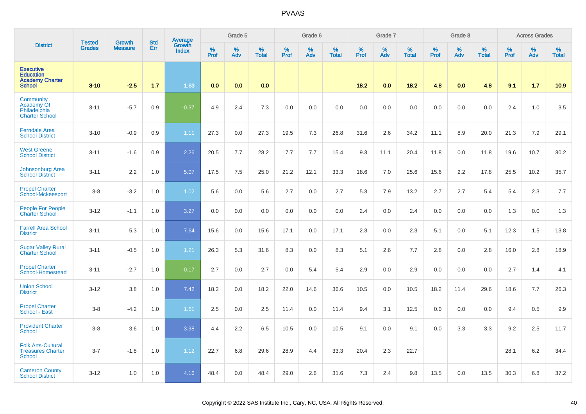|                                                                                 | <b>Tested</b> | Growth         | <b>Std</b> | Average                |                  | Grade 5  |                   |                  | Grade 6  |                   |                  | Grade 7  |                   |           | Grade 8  |                   |           | <b>Across Grades</b> |                   |
|---------------------------------------------------------------------------------|---------------|----------------|------------|------------------------|------------------|----------|-------------------|------------------|----------|-------------------|------------------|----------|-------------------|-----------|----------|-------------------|-----------|----------------------|-------------------|
| <b>District</b>                                                                 | <b>Grades</b> | <b>Measure</b> | Err        | Growth<br><b>Index</b> | %<br><b>Prof</b> | %<br>Adv | %<br><b>Total</b> | %<br><b>Prof</b> | %<br>Adv | %<br><b>Total</b> | %<br><b>Prof</b> | %<br>Adv | %<br><b>Total</b> | %<br>Prof | %<br>Adv | %<br><b>Total</b> | %<br>Prof | %<br>Adv             | %<br><b>Total</b> |
| <b>Executive</b><br><b>Education</b><br><b>Academy Charter</b><br><b>School</b> | $3 - 10$      | $-2.5$         | 1.7        | 1.63                   | 0.0              | 0.0      | 0.0               |                  |          |                   | 18.2             | 0.0      | 18.2              | 4.8       | 0.0      | 4.8               | 9.1       | 1.7                  | 10.9              |
| <b>Community</b><br><b>Academy Of</b><br>Philadelphia<br><b>Charter School</b>  | $3 - 11$      | $-5.7$         | 0.9        | $-0.37$                | 4.9              | 2.4      | 7.3               | 0.0              | 0.0      | 0.0               | 0.0              | 0.0      | 0.0               | 0.0       | 0.0      | 0.0               | 2.4       | 1.0                  | 3.5               |
| <b>Ferndale Area</b><br><b>School District</b>                                  | $3 - 10$      | $-0.9$         | 0.9        | 1.11                   | 27.3             | 0.0      | 27.3              | 19.5             | 7.3      | 26.8              | 31.6             | 2.6      | 34.2              | 11.1      | 8.9      | 20.0              | 21.3      | 7.9                  | 29.1              |
| <b>West Greene</b><br><b>School District</b>                                    | $3 - 11$      | $-1.6$         | 0.9        | 2.26                   | 20.5             | 7.7      | 28.2              | 7.7              | 7.7      | 15.4              | 9.3              | 11.1     | 20.4              | 11.8      | 0.0      | 11.8              | 19.6      | 10.7                 | 30.2              |
| <b>Johnsonburg Area</b><br><b>School District</b>                               | $3 - 11$      | 2.2            | 1.0        | 5.07                   | 17.5             | 7.5      | 25.0              | 21.2             | 12.1     | 33.3              | 18.6             | 7.0      | 25.6              | 15.6      | 2.2      | 17.8              | 25.5      | 10.2                 | 35.7              |
| <b>Propel Charter</b><br>School-Mckeesport                                      | $3 - 8$       | $-3.2$         | 1.0        | 1.02                   | 5.6              | 0.0      | 5.6               | 2.7              | 0.0      | 2.7               | 5.3              | 7.9      | 13.2              | 2.7       | 2.7      | 5.4               | 5.4       | 2.3                  | 7.7               |
| People For People<br><b>Charter School</b>                                      | $3 - 12$      | $-1.1$         | 1.0        | 3.27                   | 0.0              | 0.0      | 0.0               | 0.0              | 0.0      | 0.0               | 2.4              | 0.0      | 2.4               | 0.0       | 0.0      | 0.0               | 1.3       | 0.0                  | 1.3               |
| <b>Farrell Area School</b><br><b>District</b>                                   | $3 - 11$      | 5.3            | 1.0        | 7.64                   | 15.6             | 0.0      | 15.6              | 17.1             | 0.0      | 17.1              | 2.3              | 0.0      | 2.3               | 5.1       | 0.0      | 5.1               | 12.3      | 1.5                  | 13.8              |
| <b>Sugar Valley Rural</b><br><b>Charter School</b>                              | $3 - 11$      | $-0.5$         | 1.0        | 1.21                   | 26.3             | 5.3      | 31.6              | 8.3              | 0.0      | 8.3               | 5.1              | 2.6      | 7.7               | 2.8       | 0.0      | 2.8               | 16.0      | 2.8                  | 18.9              |
| <b>Propel Charter</b><br>School-Homestead                                       | $3 - 11$      | $-2.7$         | 1.0        | $-0.17$                | 2.7              | 0.0      | 2.7               | 0.0              | 5.4      | 5.4               | 2.9              | 0.0      | 2.9               | 0.0       | 0.0      | 0.0               | 2.7       | 1.4                  | 4.1               |
| <b>Union School</b><br><b>District</b>                                          | $3 - 12$      | 3.8            | 1.0        | 7.42                   | 18.2             | 0.0      | 18.2              | 22.0             | 14.6     | 36.6              | 10.5             | 0.0      | 10.5              | 18.2      | 11.4     | 29.6              | 18.6      | 7.7                  | 26.3              |
| <b>Propel Charter</b><br>School - East                                          | $3 - 8$       | $-4.2$         | 1.0        | 1.61                   | 2.5              | 0.0      | 2.5               | 11.4             | 0.0      | 11.4              | 9.4              | 3.1      | 12.5              | 0.0       | 0.0      | 0.0               | 9.4       | 0.5                  | 9.9               |
| <b>Provident Charter</b><br><b>School</b>                                       | $3 - 8$       | 3.6            | 1.0        | 3.98                   | 4.4              | 2.2      | 6.5               | 10.5             | 0.0      | 10.5              | 9.1              | 0.0      | 9.1               | 0.0       | 3.3      | 3.3               | 9.2       | 2.5                  | 11.7              |
| <b>Folk Arts-Cultural</b><br><b>Treasures Charter</b><br><b>School</b>          | $3 - 7$       | $-1.8$         | 1.0        | 1.12                   | 22.7             | 6.8      | 29.6              | 28.9             | 4.4      | 33.3              | 20.4             | 2.3      | 22.7              |           |          |                   | 28.1      | 6.2                  | 34.4              |
| <b>Cameron County</b><br><b>School District</b>                                 | $3 - 12$      | 1.0            | 1.0        | 4.16                   | 48.4             | 0.0      | 48.4              | 29.0             | 2.6      | 31.6              | 7.3              | 2.4      | 9.8               | 13.5      | 0.0      | 13.5              | 30.3      | 6.8                  | 37.2              |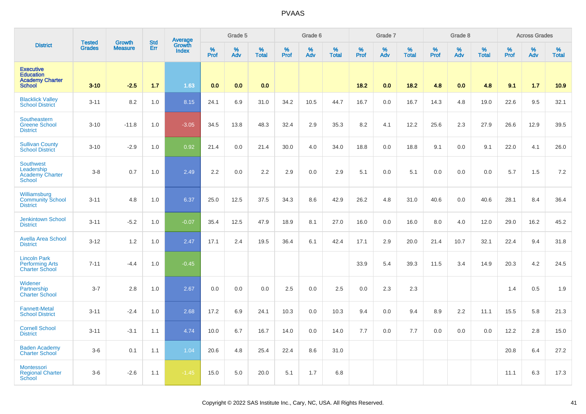|                                                                                 | <b>Tested</b> | Growth         | <b>Std</b> | <b>Average</b><br>Growth |              | Grade 5  |                   |           | Grade 6  |                   |           | Grade 7  |                   |           | Grade 8  |                   |           | <b>Across Grades</b> |                   |
|---------------------------------------------------------------------------------|---------------|----------------|------------|--------------------------|--------------|----------|-------------------|-----------|----------|-------------------|-----------|----------|-------------------|-----------|----------|-------------------|-----------|----------------------|-------------------|
| <b>District</b>                                                                 | <b>Grades</b> | <b>Measure</b> | Err        | <b>Index</b>             | $\%$<br>Prof | %<br>Adv | %<br><b>Total</b> | %<br>Prof | %<br>Adv | %<br><b>Total</b> | %<br>Prof | %<br>Adv | %<br><b>Total</b> | %<br>Prof | %<br>Adv | %<br><b>Total</b> | %<br>Prof | %<br>Adv             | %<br><b>Total</b> |
| <b>Executive</b><br><b>Education</b><br><b>Academy Charter</b><br><b>School</b> | $3 - 10$      | $-2.5$         | 1.7        | 1.63                     | 0.0          | 0.0      | 0.0               |           |          |                   | 18.2      | 0.0      | 18.2              | 4.8       | 0.0      | 4.8               | 9.1       | 1.7                  | 10.9              |
| <b>Blacklick Valley</b><br><b>School District</b>                               | $3 - 11$      | 8.2            | 1.0        | 8.15                     | 24.1         | 6.9      | 31.0              | 34.2      | 10.5     | 44.7              | 16.7      | 0.0      | 16.7              | 14.3      | 4.8      | 19.0              | 22.6      | 9.5                  | 32.1              |
| Southeastern<br><b>Greene School</b><br><b>District</b>                         | $3 - 10$      | $-11.8$        | 1.0        | $-3.05$                  | 34.5         | 13.8     | 48.3              | 32.4      | 2.9      | 35.3              | 8.2       | 4.1      | 12.2              | 25.6      | 2.3      | 27.9              | 26.6      | 12.9                 | 39.5              |
| <b>Sullivan County</b><br><b>School District</b>                                | $3 - 10$      | $-2.9$         | 1.0        | 0.92                     | 21.4         | 0.0      | 21.4              | 30.0      | 4.0      | 34.0              | 18.8      | 0.0      | 18.8              | 9.1       | 0.0      | 9.1               | 22.0      | 4.1                  | 26.0              |
| <b>Southwest</b><br>Leadership<br><b>Academy Charter</b><br>School              | $3 - 8$       | 0.7            | 1.0        | 2.49                     | 2.2          | 0.0      | 2.2               | 2.9       | 0.0      | 2.9               | 5.1       | 0.0      | 5.1               | 0.0       | 0.0      | 0.0               | 5.7       | 1.5                  | 7.2               |
| Williamsburg<br><b>Community School</b><br><b>District</b>                      | $3 - 11$      | 4.8            | 1.0        | 6.37                     | 25.0         | 12.5     | 37.5              | 34.3      | 8.6      | 42.9              | 26.2      | 4.8      | 31.0              | 40.6      | 0.0      | 40.6              | 28.1      | 8.4                  | 36.4              |
| <b>Jenkintown School</b><br><b>District</b>                                     | $3 - 11$      | $-5.2$         | 1.0        | $-0.07$                  | 35.4         | 12.5     | 47.9              | 18.9      | 8.1      | 27.0              | 16.0      | 0.0      | 16.0              | 8.0       | 4.0      | 12.0              | 29.0      | 16.2                 | 45.2              |
| <b>Avella Area School</b><br><b>District</b>                                    | $3 - 12$      | 1.2            | 1.0        | 2.47                     | 17.1         | 2.4      | 19.5              | 36.4      | 6.1      | 42.4              | 17.1      | 2.9      | 20.0              | 21.4      | 10.7     | 32.1              | 22.4      | 9.4                  | 31.8              |
| <b>Lincoln Park</b><br><b>Performing Arts</b><br><b>Charter School</b>          | $7 - 11$      | $-4.4$         | 1.0        | $-0.45$                  |              |          |                   |           |          |                   | 33.9      | 5.4      | 39.3              | 11.5      | 3.4      | 14.9              | 20.3      | 4.2                  | 24.5              |
| Widener<br>Partnership<br><b>Charter School</b>                                 | $3 - 7$       | 2.8            | 1.0        | 2.67                     | 0.0          | 0.0      | 0.0               | 2.5       | 0.0      | 2.5               | 0.0       | 2.3      | 2.3               |           |          |                   | 1.4       | 0.5                  | 1.9               |
| <b>Fannett-Metal</b><br><b>School District</b>                                  | $3 - 11$      | $-2.4$         | 1.0        | 2.68                     | 17.2         | 6.9      | 24.1              | 10.3      | 0.0      | 10.3              | 9.4       | 0.0      | 9.4               | 8.9       | 2.2      | 11.1              | 15.5      | 5.8                  | 21.3              |
| <b>Cornell School</b><br><b>District</b>                                        | $3 - 11$      | $-3.1$         | 1.1        | 4.74                     | 10.0         | 6.7      | 16.7              | 14.0      | 0.0      | 14.0              | 7.7       | 0.0      | 7.7               | 0.0       | 0.0      | 0.0               | 12.2      | 2.8                  | 15.0              |
| <b>Baden Academy</b><br><b>Charter School</b>                                   | $3-6$         | 0.1            | 1.1        | 1.04                     | 20.6         | 4.8      | 25.4              | 22.4      | 8.6      | 31.0              |           |          |                   |           |          |                   | 20.8      | 6.4                  | 27.2              |
| Montessori<br><b>Regional Charter</b><br><b>School</b>                          | $3-6$         | $-2.6$         | 1.1        | $-1.45$                  | 15.0         | 5.0      | 20.0              | 5.1       | 1.7      | 6.8               |           |          |                   |           |          |                   | 11.1      | 6.3                  | 17.3              |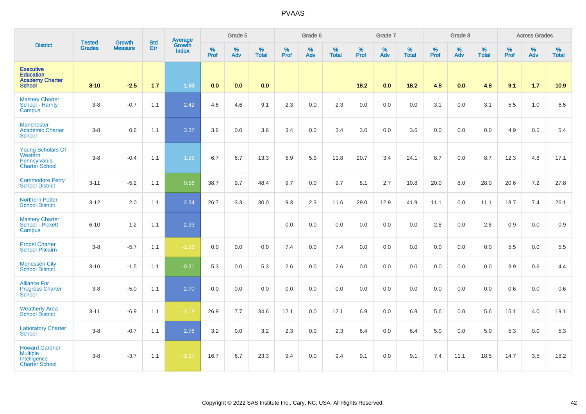|                                                                                   | <b>Tested</b> | <b>Growth</b>  | <b>Std</b> | Average                |           | Grade 5  |                   |                  | Grade 6  |                   |           | Grade 7  |                   |           | Grade 8  |                   |           | <b>Across Grades</b> |                   |
|-----------------------------------------------------------------------------------|---------------|----------------|------------|------------------------|-----------|----------|-------------------|------------------|----------|-------------------|-----------|----------|-------------------|-----------|----------|-------------------|-----------|----------------------|-------------------|
| <b>District</b>                                                                   | <b>Grades</b> | <b>Measure</b> | Err        | Growth<br><b>Index</b> | %<br>Prof | %<br>Adv | %<br><b>Total</b> | %<br><b>Prof</b> | %<br>Adv | %<br><b>Total</b> | %<br>Prof | %<br>Adv | %<br><b>Total</b> | %<br>Prof | %<br>Adv | %<br><b>Total</b> | %<br>Prof | %<br>Adv             | %<br><b>Total</b> |
| <b>Executive</b><br><b>Education</b><br><b>Academy Charter</b><br><b>School</b>   | $3 - 10$      | $-2.5$         | $1.7$      | 1.63                   | 0.0       | 0.0      | 0.0               |                  |          |                   | 18.2      | 0.0      | 18.2              | 4.8       | 0.0      | 4.8               | 9.1       | 1.7                  | 10.9              |
| <b>Mastery Charter</b><br>School - Harrity<br>Campus                              | $3-8$         | $-0.7$         | 1.1        | 2.42                   | 4.6       | 4.6      | 9.1               | 2.3              | 0.0      | 2.3               | 0.0       | 0.0      | 0.0               | 3.1       | 0.0      | 3.1               | 5.5       | 1.0                  | 6.5               |
| <b>Manchester</b><br><b>Academic Charter</b><br><b>School</b>                     | $3 - 8$       | 0.6            | 1.1        | 3.37                   | 3.6       | 0.0      | 3.6               | 3.4              | 0.0      | 3.4               | 3.6       | 0.0      | 3.6               | 0.0       | 0.0      | 0.0               | 4.9       | 0.5                  | 5.4               |
| <b>Young Scholars Of</b><br>Western<br>Pennsylvania<br><b>Charter School</b>      | $3 - 8$       | $-0.4$         | 1.1        | 1.25                   | 6.7       | 6.7      | 13.3              | 5.9              | 5.9      | 11.8              | 20.7      | 3.4      | 24.1              | 8.7       | 0.0      | 8.7               | 12.3      | 4.8                  | 17.1              |
| <b>Commodore Perry</b><br><b>School District</b>                                  | $3 - 11$      | $-5.2$         | 1.1        | 0.56                   | 38.7      | 9.7      | 48.4              | 9.7              | 0.0      | 9.7               | 8.1       | 2.7      | 10.8              | 20.0      | 8.0      | 28.0              | 20.6      | $7.2\,$              | 27.8              |
| <b>Northern Potter</b><br><b>School District</b>                                  | $3 - 12$      | 2.0            | 1.1        | 2.34                   | 26.7      | 3.3      | 30.0              | 9.3              | 2.3      | 11.6              | 29.0      | 12.9     | 41.9              | 11.1      | 0.0      | 11.1              | 18.7      | 7.4                  | 26.1              |
| <b>Mastery Charter</b><br>School - Pickett<br>Campus                              | $6 - 10$      | 1.2            | 1.1        | 2.33                   |           |          |                   | 0.0              | 0.0      | 0.0               | 0.0       | 0.0      | 0.0               | 2.8       | 0.0      | 2.8               | 0.9       | 0.0                  | 0.9               |
| <b>Propel Charter</b><br>School-Pitcairn                                          | $3-8$         | $-5.7$         | 1.1        | $-1.88$                | 0.0       | 0.0      | 0.0               | 7.4              | 0.0      | 7.4               | 0.0       | 0.0      | 0.0               | 0.0       | 0.0      | 0.0               | 5.5       | 0.0                  | $5.5\,$           |
| <b>Monessen City</b><br><b>School District</b>                                    | $3 - 10$      | $-1.5$         | 1.1        | $-0.31$                | 5.3       | 0.0      | 5.3               | 2.6              | 0.0      | 2.6               | 0.0       | 0.0      | 0.0               | 0.0       | 0.0      | 0.0               | 3.9       | 0.6                  | 4.4               |
| <b>Alliance For</b><br><b>Progress Charter</b><br><b>School</b>                   | $3-8$         | $-5.0$         | 1.1        | 2.70                   | 0.0       | 0.0      | 0.0               | 0.0              | 0.0      | 0.0               | 0.0       | 0.0      | 0.0               | 0.0       | 0.0      | 0.0               | 0.6       | 0.0                  | 0.6               |
| <b>Weatherly Area</b><br><b>School District</b>                                   | $3 - 11$      | $-6.9$         | 1.1        | $-1.18$                | 26.9      | 7.7      | 34.6              | 12.1             | 0.0      | 12.1              | 6.9       | 0.0      | 6.9               | 5.6       | 0.0      | 5.6               | 15.1      | 4.0                  | 19.1              |
| <b>Laboratory Charter</b><br><b>School</b>                                        | $3-8$         | $-0.7$         | 1.1        | 2.78                   | 3.2       | 0.0      | 3.2               | 2.3              | 0.0      | 2.3               | 6.4       | 0.0      | 6.4               | 5.0       | 0.0      | 5.0               | 5.3       | 0.0                  | 5.3               |
| <b>Howard Gardner</b><br><b>Multiple</b><br>Intelligence<br><b>Charter School</b> | $3 - 8$       | $-3.7$         | 1.1        | $-1.27$                | 16.7      | 6.7      | 23.3              | 9.4              | 0.0      | 9.4               | 9.1       | 0.0      | 9.1               | 7.4       | 11.1     | 18.5              | 14.7      | 3.5                  | 18.2              |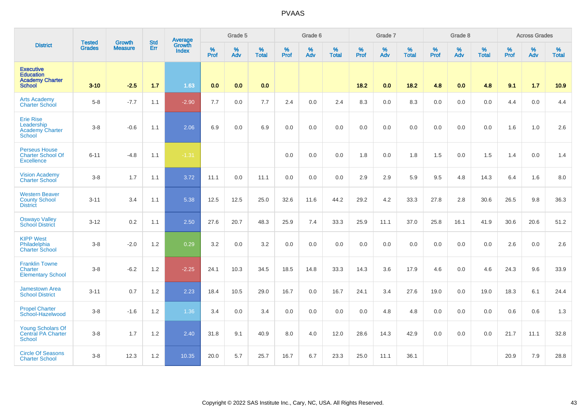|                                                                                 | <b>Tested</b> | <b>Growth</b>  | <b>Std</b> | Average                |           | Grade 5  |                   |           | Grade 6  |                   |           | Grade 7  |                   |           | Grade 8  |                   |           | <b>Across Grades</b> |                   |
|---------------------------------------------------------------------------------|---------------|----------------|------------|------------------------|-----------|----------|-------------------|-----------|----------|-------------------|-----------|----------|-------------------|-----------|----------|-------------------|-----------|----------------------|-------------------|
| <b>District</b>                                                                 | Grades        | <b>Measure</b> | Err        | Growth<br><b>Index</b> | %<br>Prof | %<br>Adv | %<br><b>Total</b> | %<br>Prof | %<br>Adv | %<br><b>Total</b> | %<br>Prof | %<br>Adv | %<br><b>Total</b> | %<br>Prof | %<br>Adv | %<br><b>Total</b> | %<br>Prof | %<br>Adv             | %<br><b>Total</b> |
| <b>Executive</b><br><b>Education</b><br><b>Academy Charter</b><br><b>School</b> | $3 - 10$      | $-2.5$         | 1.7        | 1.63                   | 0.0       | 0.0      | 0.0               |           |          |                   | 18.2      | 0.0      | 18.2              | 4.8       | 0.0      | 4.8               | 9.1       | 1.7                  | 10.9              |
| <b>Arts Academy</b><br><b>Charter School</b>                                    | $5-8$         | $-7.7$         | 1.1        | $-2.90$                | 7.7       | 0.0      | 7.7               | 2.4       | 0.0      | 2.4               | 8.3       | 0.0      | 8.3               | 0.0       | 0.0      | 0.0               | 4.4       | 0.0                  | 4.4               |
| <b>Erie Rise</b><br>Leadership<br><b>Academy Charter</b><br><b>School</b>       | $3 - 8$       | $-0.6$         | 1.1        | 2.06                   | 6.9       | 0.0      | 6.9               | 0.0       | 0.0      | 0.0               | 0.0       | 0.0      | 0.0               | 0.0       | 0.0      | 0.0               | 1.6       | 1.0                  | 2.6               |
| <b>Perseus House</b><br><b>Charter School Of</b><br><b>Excellence</b>           | $6 - 11$      | $-4.8$         | 1.1        | $-1.31$                |           |          |                   | 0.0       | 0.0      | 0.0               | 1.8       | 0.0      | 1.8               | 1.5       | 0.0      | 1.5               | 1.4       | 0.0                  | 1.4               |
| <b>Vision Academy</b><br><b>Charter School</b>                                  | $3-8$         | 1.7            | 1.1        | 3.72                   | 11.1      | 0.0      | 11.1              | 0.0       | 0.0      | 0.0               | 2.9       | 2.9      | 5.9               | 9.5       | 4.8      | 14.3              | 6.4       | 1.6                  | 8.0               |
| <b>Western Beaver</b><br><b>County School</b><br><b>District</b>                | $3 - 11$      | 3.4            | 1.1        | 5.38                   | 12.5      | 12.5     | 25.0              | 32.6      | 11.6     | 44.2              | 29.2      | 4.2      | 33.3              | 27.8      | 2.8      | 30.6              | 26.5      | 9.8                  | 36.3              |
| <b>Oswayo Valley</b><br><b>School District</b>                                  | $3 - 12$      | 0.2            | 1.1        | 2.50                   | 27.6      | 20.7     | 48.3              | 25.9      | 7.4      | 33.3              | 25.9      | 11.1     | 37.0              | 25.8      | 16.1     | 41.9              | 30.6      | 20.6                 | 51.2              |
| <b>KIPP West</b><br>Philadelphia<br><b>Charter School</b>                       | $3 - 8$       | $-2.0$         | 1.2        | 0.29                   | 3.2       | 0.0      | 3.2               | 0.0       | 0.0      | 0.0               | 0.0       | 0.0      | 0.0               | 0.0       | 0.0      | 0.0               | 2.6       | 0.0                  | 2.6               |
| <b>Franklin Towne</b><br><b>Charter</b><br><b>Elementary School</b>             | $3-8$         | $-6.2$         | 1.2        | $-2.25$                | 24.1      | 10.3     | 34.5              | 18.5      | 14.8     | 33.3              | 14.3      | 3.6      | 17.9              | 4.6       | 0.0      | 4.6               | 24.3      | 9.6                  | 33.9              |
| <b>Jamestown Area</b><br><b>School District</b>                                 | $3 - 11$      | 0.7            | 1.2        | 2.23                   | 18.4      | 10.5     | 29.0              | 16.7      | 0.0      | 16.7              | 24.1      | 3.4      | 27.6              | 19.0      | 0.0      | 19.0              | 18.3      | 6.1                  | 24.4              |
| <b>Propel Charter</b><br>School-Hazelwood                                       | $3-8$         | $-1.6$         | 1.2        | 1.36                   | 3.4       | 0.0      | 3.4               | 0.0       | 0.0      | 0.0               | 0.0       | 4.8      | 4.8               | 0.0       | 0.0      | 0.0               | 0.6       | 0.6                  | 1.3               |
| <b>Young Scholars Of</b><br><b>Central PA Charter</b><br><b>School</b>          | $3 - 8$       | 1.7            | 1.2        | 2.40                   | 31.8      | 9.1      | 40.9              | 8.0       | 4.0      | 12.0              | 28.6      | 14.3     | 42.9              | 0.0       | 0.0      | 0.0               | 21.7      | 11.1                 | 32.8              |
| <b>Circle Of Seasons</b><br><b>Charter School</b>                               | $3-8$         | 12.3           | 1.2        | 10.35                  | 20.0      | 5.7      | 25.7              | 16.7      | 6.7      | 23.3              | 25.0      | 11.1     | 36.1              |           |          |                   | 20.9      | 7.9                  | 28.8              |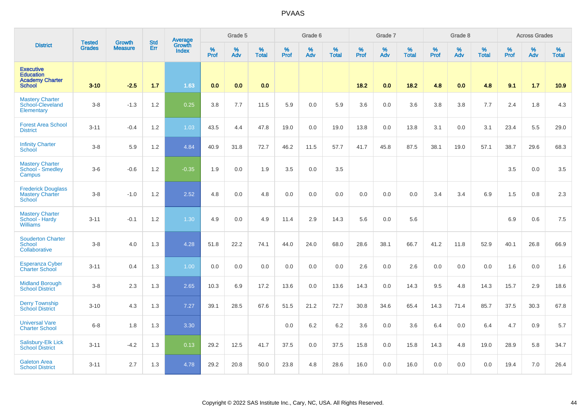|                                                                                 | <b>Tested</b> | <b>Growth</b>  | <b>Std</b> | <b>Average</b><br>Growth |              | Grade 5  |                      |              | Grade 6  |                      |              | Grade 7  |                   |              | Grade 8  |                      |              | <b>Across Grades</b> |                   |
|---------------------------------------------------------------------------------|---------------|----------------|------------|--------------------------|--------------|----------|----------------------|--------------|----------|----------------------|--------------|----------|-------------------|--------------|----------|----------------------|--------------|----------------------|-------------------|
| <b>District</b>                                                                 | <b>Grades</b> | <b>Measure</b> | Err        | <b>Index</b>             | $\%$<br>Prof | %<br>Adv | $\%$<br><b>Total</b> | $\%$<br>Prof | %<br>Adv | $\%$<br><b>Total</b> | $\%$<br>Prof | %<br>Adv | %<br><b>Total</b> | $\%$<br>Prof | %<br>Adv | $\%$<br><b>Total</b> | $\%$<br>Prof | $\%$<br>Adv          | %<br><b>Total</b> |
| <b>Executive</b><br><b>Education</b><br><b>Academy Charter</b><br><b>School</b> | $3 - 10$      | $-2.5$         | 1.7        | 1.63                     | 0.0          | 0.0      | 0.0                  |              |          |                      | 18.2         | 0.0      | 18.2              | 4.8          | 0.0      | 4.8                  | 9.1          | 1.7                  | 10.9              |
| <b>Mastery Charter</b><br>School-Cleveland<br>Elementary                        | $3-8$         | $-1.3$         | 1.2        | 0.25                     | 3.8          | 7.7      | 11.5                 | 5.9          | 0.0      | 5.9                  | 3.6          | 0.0      | 3.6               | 3.8          | 3.8      | 7.7                  | 2.4          | 1.8                  | 4.3               |
| <b>Forest Area School</b><br><b>District</b>                                    | $3 - 11$      | $-0.4$         | 1.2        | 1.03                     | 43.5         | 4.4      | 47.8                 | 19.0         | 0.0      | 19.0                 | 13.8         | 0.0      | 13.8              | 3.1          | 0.0      | 3.1                  | 23.4         | 5.5                  | 29.0              |
| <b>Infinity Charter</b><br>School                                               | $3-8$         | 5.9            | 1.2        | 4.84                     | 40.9         | 31.8     | 72.7                 | 46.2         | 11.5     | 57.7                 | 41.7         | 45.8     | 87.5              | 38.1         | 19.0     | 57.1                 | 38.7         | 29.6                 | 68.3              |
| <b>Mastery Charter</b><br>School - Smedley<br>Campus                            | $3-6$         | $-0.6$         | 1.2        | $-0.35$                  | 1.9          | 0.0      | 1.9                  | 3.5          | 0.0      | 3.5                  |              |          |                   |              |          |                      | 3.5          | 0.0                  | 3.5               |
| <b>Frederick Douglass</b><br><b>Mastery Charter</b><br>School                   | $3-8$         | $-1.0$         | 1.2        | 2.52                     | 4.8          | 0.0      | 4.8                  | $0.0\,$      | $0.0\,$  | 0.0                  | $0.0\,$      | 0.0      | 0.0               | 3.4          | 3.4      | 6.9                  | 1.5          | 0.8                  | 2.3               |
| <b>Mastery Charter</b><br>School - Hardy<br><b>Williams</b>                     | $3 - 11$      | $-0.1$         | 1.2        | 1.30                     | 4.9          | 0.0      | 4.9                  | 11.4         | 2.9      | 14.3                 | 5.6          | 0.0      | 5.6               |              |          |                      | 6.9          | 0.6                  | 7.5               |
| <b>Souderton Charter</b><br><b>School</b><br>Collaborative                      | $3-8$         | 4.0            | 1.3        | 4.28                     | 51.8         | 22.2     | 74.1                 | 44.0         | 24.0     | 68.0                 | 28.6         | 38.1     | 66.7              | 41.2         | 11.8     | 52.9                 | 40.1         | 26.8                 | 66.9              |
| <b>Esperanza Cyber</b><br><b>Charter School</b>                                 | $3 - 11$      | 0.4            | 1.3        | 1.00                     | 0.0          | 0.0      | 0.0                  | 0.0          | 0.0      | 0.0                  | 2.6          | 0.0      | 2.6               | 0.0          | 0.0      | 0.0                  | 1.6          | 0.0                  | 1.6               |
| <b>Midland Borough</b><br><b>School District</b>                                | $3-8$         | 2.3            | 1.3        | 2.65                     | 10.3         | 6.9      | 17.2                 | 13.6         | 0.0      | 13.6                 | 14.3         | 0.0      | 14.3              | 9.5          | 4.8      | 14.3                 | 15.7         | 2.9                  | 18.6              |
| <b>Derry Township</b><br><b>School District</b>                                 | $3 - 10$      | 4.3            | 1.3        | 7.27                     | 39.1         | 28.5     | 67.6                 | 51.5         | 21.2     | 72.7                 | 30.8         | 34.6     | 65.4              | 14.3         | 71.4     | 85.7                 | 37.5         | 30.3                 | 67.8              |
| <b>Universal Vare</b><br><b>Charter School</b>                                  | $6 - 8$       | 1.8            | 1.3        | 3.30                     |              |          |                      | 0.0          | 6.2      | 6.2                  | 3.6          | 0.0      | 3.6               | 6.4          | 0.0      | 6.4                  | 4.7          | 0.9                  | 5.7               |
| Salisbury-Elk Lick<br><b>School District</b>                                    | $3 - 11$      | $-4.2$         | 1.3        | 0.13                     | 29.2         | 12.5     | 41.7                 | 37.5         | 0.0      | 37.5                 | 15.8         | 0.0      | 15.8              | 14.3         | 4.8      | 19.0                 | 28.9         | 5.8                  | 34.7              |
| <b>Galeton Area</b><br><b>School District</b>                                   | $3 - 11$      | 2.7            | 1.3        | 4.78                     | 29.2         | 20.8     | 50.0                 | 23.8         | 4.8      | 28.6                 | 16.0         | 0.0      | 16.0              | 0.0          | 0.0      | 0.0                  | 19.4         | 7.0                  | 26.4              |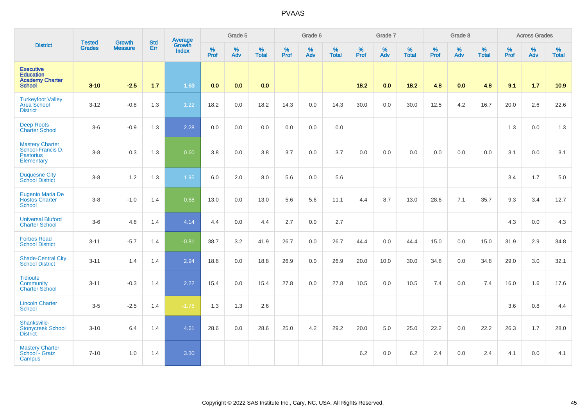|                                                                                 |                                |                                 | <b>Std</b> | Average                |           | Grade 5  |                   |           | Grade 6  |                   |           | Grade 7  |                   |           | Grade 8  |                   |           | <b>Across Grades</b> |                   |
|---------------------------------------------------------------------------------|--------------------------------|---------------------------------|------------|------------------------|-----------|----------|-------------------|-----------|----------|-------------------|-----------|----------|-------------------|-----------|----------|-------------------|-----------|----------------------|-------------------|
| <b>District</b>                                                                 | <b>Tested</b><br><b>Grades</b> | <b>Growth</b><br><b>Measure</b> | Err        | Growth<br><b>Index</b> | %<br>Prof | %<br>Adv | %<br><b>Total</b> | %<br>Prof | %<br>Adv | %<br><b>Total</b> | %<br>Prof | %<br>Adv | %<br><b>Total</b> | %<br>Prof | %<br>Adv | %<br><b>Total</b> | %<br>Prof | %<br>Adv             | %<br><b>Total</b> |
| <b>Executive</b><br><b>Education</b><br><b>Academy Charter</b><br><b>School</b> | $3 - 10$                       | $-2.5$                          | 1.7        | 1.63                   | 0.0       | 0.0      | 0.0               |           |          |                   | 18.2      | 0.0      | 18.2              | 4.8       | 0.0      | 4.8               | 9.1       | 1.7                  | 10.9              |
| <b>Turkeyfoot Valley</b><br>Area School<br><b>District</b>                      | $3 - 12$                       | $-0.8$                          | 1.3        | 1.22                   | 18.2      | 0.0      | 18.2              | 14.3      | 0.0      | 14.3              | 30.0      | 0.0      | 30.0              | 12.5      | 4.2      | 16.7              | 20.0      | 2.6                  | 22.6              |
| <b>Deep Roots</b><br><b>Charter School</b>                                      | $3-6$                          | $-0.9$                          | 1.3        | 2.28                   | 0.0       | 0.0      | 0.0               | 0.0       | 0.0      | 0.0               |           |          |                   |           |          |                   | 1.3       | 0.0                  | 1.3               |
| <b>Mastery Charter</b><br>School-Francis D.<br><b>Pastorius</b><br>Elementary   | $3 - 8$                        | 0.3                             | 1.3        | 0.60                   | 3.8       | 0.0      | 3.8               | 3.7       | 0.0      | 3.7               | 0.0       | 0.0      | 0.0               | 0.0       | 0.0      | 0.0               | 3.1       | 0.0                  | 3.1               |
| <b>Duquesne City</b><br><b>School District</b>                                  | $3 - 8$                        | 1.2                             | 1.3        | 1.95                   | 6.0       | 2.0      | 8.0               | 5.6       | 0.0      | 5.6               |           |          |                   |           |          |                   | 3.4       | 1.7                  | 5.0               |
| Eugenio Maria De<br><b>Hostos Charter</b><br>School                             | $3-8$                          | $-1.0$                          | 1.4        | 0.68                   | 13.0      | 0.0      | 13.0              | 5.6       | 5.6      | 11.1              | 4.4       | 8.7      | 13.0              | 28.6      | 7.1      | 35.7              | 9.3       | 3.4                  | 12.7              |
| <b>Universal Bluford</b><br><b>Charter School</b>                               | $3-6$                          | 4.8                             | 1.4        | 4.14                   | 4.4       | 0.0      | 4.4               | 2.7       | 0.0      | 2.7               |           |          |                   |           |          |                   | 4.3       | 0.0                  | 4.3               |
| <b>Forbes Road</b><br><b>School District</b>                                    | $3 - 11$                       | $-5.7$                          | 1.4        | $-0.81$                | 38.7      | 3.2      | 41.9              | 26.7      | $0.0\,$  | 26.7              | 44.4      | 0.0      | 44.4              | 15.0      | 0.0      | 15.0              | 31.9      | 2.9                  | 34.8              |
| <b>Shade-Central City</b><br><b>School District</b>                             | $3 - 11$                       | 1.4                             | 1.4        | 2.94                   | 18.8      | 0.0      | 18.8              | 26.9      | 0.0      | 26.9              | 20.0      | 10.0     | 30.0              | 34.8      | 0.0      | 34.8              | 29.0      | 3.0                  | 32.1              |
| <b>Tidioute</b><br>Community<br><b>Charter School</b>                           | $3 - 11$                       | $-0.3$                          | 1.4        | 2.22                   | 15.4      | 0.0      | 15.4              | 27.8      | 0.0      | 27.8              | 10.5      | 0.0      | 10.5              | 7.4       | 0.0      | 7.4               | 16.0      | 1.6                  | 17.6              |
| <b>Lincoln Charter</b><br><b>School</b>                                         | $3-5$                          | $-2.5$                          | 1.4        | $-1.78$                | 1.3       | 1.3      | 2.6               |           |          |                   |           |          |                   |           |          |                   | 3.6       | $0.8\,$              | 4.4               |
| Shanksville-<br><b>Stonycreek School</b><br><b>District</b>                     | $3 - 10$                       | 6.4                             | 1.4        | 4.61                   | 28.6      | 0.0      | 28.6              | 25.0      | 4.2      | 29.2              | 20.0      | 5.0      | 25.0              | 22.2      | 0.0      | 22.2              | 26.3      | 1.7                  | 28.0              |
| <b>Mastery Charter</b><br>School - Gratz<br>Campus                              | $7 - 10$                       | 1.0                             | 1.4        | 3.30                   |           |          |                   |           |          |                   | 6.2       | 0.0      | 6.2               | 2.4       | 0.0      | 2.4               | 4.1       | 0.0                  | 4.1               |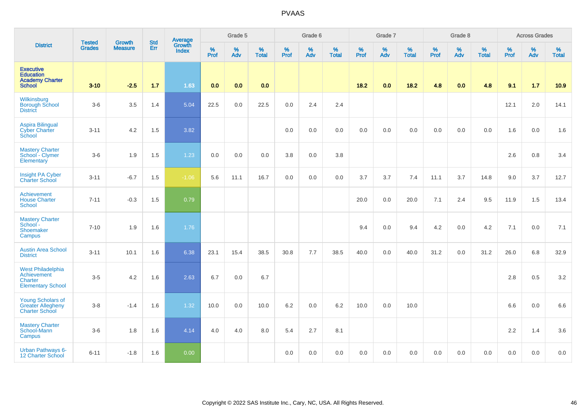|                                                                                 |                                |                                 |                   | Average                |                     | Grade 5  |                   |              | Grade 6  |                   |              | Grade 7  |                   |              | Grade 8  |                   |           | <b>Across Grades</b> |                   |
|---------------------------------------------------------------------------------|--------------------------------|---------------------------------|-------------------|------------------------|---------------------|----------|-------------------|--------------|----------|-------------------|--------------|----------|-------------------|--------------|----------|-------------------|-----------|----------------------|-------------------|
| <b>District</b>                                                                 | <b>Tested</b><br><b>Grades</b> | <b>Growth</b><br><b>Measure</b> | <b>Std</b><br>Err | Growth<br><b>Index</b> | $\%$<br><b>Prof</b> | %<br>Adv | %<br><b>Total</b> | $\%$<br>Prof | %<br>Adv | %<br><b>Total</b> | $\%$<br>Prof | %<br>Adv | %<br><b>Total</b> | $\%$<br>Prof | %<br>Adv | %<br><b>Total</b> | %<br>Prof | %<br>Adv             | %<br><b>Total</b> |
| <b>Executive</b><br><b>Education</b><br><b>Academy Charter</b><br><b>School</b> | $3 - 10$                       | $-2.5$                          | 1.7               | 1.63                   | 0.0                 | 0.0      | 0.0               |              |          |                   | 18.2         | 0.0      | 18.2              | 4.8          | 0.0      | 4.8               | 9.1       | 1.7                  | 10.9              |
| Wilkinsburg<br><b>Borough School</b><br><b>District</b>                         | $3-6$                          | 3.5                             | 1.4               | 5.04                   | 22.5                | 0.0      | 22.5              | 0.0          | 2.4      | 2.4               |              |          |                   |              |          |                   | 12.1      | 2.0                  | 14.1              |
| <b>Aspira Bilingual</b><br><b>Cyber Charter</b><br>School                       | $3 - 11$                       | 4.2                             | 1.5               | 3.82                   |                     |          |                   | 0.0          | 0.0      | 0.0               | 0.0          | 0.0      | 0.0               | 0.0          | 0.0      | 0.0               | 1.6       | 0.0                  | 1.6               |
| <b>Mastery Charter</b><br>School - Clymer<br>Elementary                         | $3-6$                          | 1.9                             | 1.5               | 1.23                   | 0.0                 | 0.0      | 0.0               | 3.8          | $0.0\,$  | 3.8               |              |          |                   |              |          |                   | 2.6       | 0.8                  | 3.4               |
| Insight PA Cyber<br><b>Charter School</b>                                       | $3 - 11$                       | $-6.7$                          | 1.5               | $-1.06$                | 5.6                 | 11.1     | 16.7              | 0.0          | 0.0      | 0.0               | 3.7          | 3.7      | 7.4               | 11.1         | 3.7      | 14.8              | 9.0       | 3.7                  | 12.7              |
| Achievement<br><b>House Charter</b><br>School                                   | $7 - 11$                       | $-0.3$                          | 1.5               | 0.79                   |                     |          |                   |              |          |                   | 20.0         | 0.0      | 20.0              | 7.1          | 2.4      | 9.5               | 11.9      | 1.5                  | 13.4              |
| <b>Mastery Charter</b><br>School -<br>Shoemaker<br>Campus                       | $7 - 10$                       | 1.9                             | 1.6               | 1.76                   |                     |          |                   |              |          |                   | 9.4          | 0.0      | 9.4               | 4.2          | 0.0      | 4.2               | 7.1       | 0.0                  | 7.1               |
| <b>Austin Area School</b><br><b>District</b>                                    | $3 - 11$                       | 10.1                            | 1.6               | 6.38                   | 23.1                | 15.4     | 38.5              | 30.8         | 7.7      | 38.5              | 40.0         | 0.0      | 40.0              | 31.2         | 0.0      | 31.2              | 26.0      | 6.8                  | 32.9              |
| <b>West Philadelphia</b><br>Achievement<br>Charter<br><b>Elementary School</b>  | $3-5$                          | 4.2                             | 1.6               | 2.63                   | 6.7                 | 0.0      | 6.7               |              |          |                   |              |          |                   |              |          |                   | 2.8       | 0.5                  | 3.2               |
| <b>Young Scholars of</b><br><b>Greater Allegheny</b><br><b>Charter School</b>   | $3 - 8$                        | $-1.4$                          | 1.6               | 1.32                   | 10.0                | 0.0      | 10.0              | 6.2          | 0.0      | 6.2               | 10.0         | 0.0      | 10.0              |              |          |                   | 6.6       | 0.0                  | 6.6               |
| <b>Mastery Charter</b><br>School-Mann<br>Campus                                 | $3-6$                          | 1.8                             | 1.6               | 4.14                   | 4.0                 | 4.0      | $8.0\,$           | 5.4          | 2.7      | 8.1               |              |          |                   |              |          |                   | 2.2       | 1.4                  | 3.6               |
| <b>Urban Pathways 6-</b><br><b>12 Charter School</b>                            | $6 - 11$                       | $-1.8$                          | 1.6               | 0.00                   |                     |          |                   | 0.0          | 0.0      | 0.0               | 0.0          | 0.0      | 0.0               | 0.0          | 0.0      | 0.0               | 0.0       | 0.0                  | 0.0               |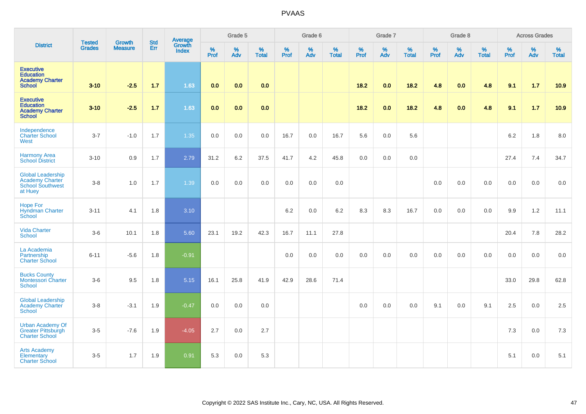|                                                                                          | <b>Tested</b> | <b>Growth</b>  | <b>Std</b> | Average                |                     | Grade 5  |                   |                     | Grade 6  |                   |              | Grade 7  |                   |           | Grade 8  |                   |           | <b>Across Grades</b> |                   |
|------------------------------------------------------------------------------------------|---------------|----------------|------------|------------------------|---------------------|----------|-------------------|---------------------|----------|-------------------|--------------|----------|-------------------|-----------|----------|-------------------|-----------|----------------------|-------------------|
| <b>District</b>                                                                          | <b>Grades</b> | <b>Measure</b> | Err        | Growth<br><b>Index</b> | $\%$<br><b>Prof</b> | %<br>Adv | %<br><b>Total</b> | $\%$<br><b>Prof</b> | %<br>Adv | %<br><b>Total</b> | $\%$<br>Prof | %<br>Adv | %<br><b>Total</b> | %<br>Prof | %<br>Adv | %<br><b>Total</b> | %<br>Prof | %<br>Adv             | %<br><b>Total</b> |
| <b>Executive</b><br><b>Education</b><br><b>Academy Charter</b><br><b>School</b>          | $3 - 10$      | $-2.5$         | 1.7        | 1.63                   | 0.0                 | 0.0      | 0.0               |                     |          |                   | 18.2         | 0.0      | 18.2              | 4.8       | 0.0      | 4.8               | 9.1       | 1.7                  | 10.9              |
| <b>Executive</b><br><b>Education</b><br><b>Academy Charter</b><br><b>School</b>          | $3 - 10$      | $-2.5$         | $1.7$      | 1.63                   | 0.0                 | 0.0      | 0.0               |                     |          |                   | $18.2$       | 0.0      | 18.2              | 4.8       | 0.0      | 4.8               | 9.1       | $1.7$                | 10.9              |
| Independence<br><b>Charter School</b><br>West                                            | $3 - 7$       | $-1.0$         | 1.7        | 1.35                   | 0.0                 | 0.0      | 0.0               | 16.7                | 0.0      | 16.7              | 5.6          | 0.0      | 5.6               |           |          |                   | 6.2       | 1.8                  | 8.0               |
| <b>Harmony Area</b><br><b>School District</b>                                            | $3 - 10$      | 0.9            | 1.7        | 2.79                   | 31.2                | 6.2      | 37.5              | 41.7                | 4.2      | 45.8              | 0.0          | 0.0      | 0.0               |           |          |                   | 27.4      | 7.4                  | 34.7              |
| <b>Global Leadership</b><br><b>Academy Charter</b><br><b>School Southwest</b><br>at Huey | $3 - 8$       | 1.0            | 1.7        | 1.39                   | 0.0                 | 0.0      | 0.0               | 0.0                 | 0.0      | 0.0               |              |          |                   | 0.0       | 0.0      | 0.0               | 0.0       | 0.0                  | 0.0               |
| <b>Hope For</b><br>Hyndman Charter<br>School                                             | $3 - 11$      | 4.1            | 1.8        | 3.10                   |                     |          |                   | 6.2                 | 0.0      | 6.2               | 8.3          | 8.3      | 16.7              | 0.0       | 0.0      | 0.0               | 9.9       | 1.2                  | 11.1              |
| <b>Vida Charter</b><br><b>School</b>                                                     | $3-6$         | 10.1           | 1.8        | 5.60                   | 23.1                | 19.2     | 42.3              | 16.7                | 11.1     | 27.8              |              |          |                   |           |          |                   | 20.4      | 7.8                  | 28.2              |
| La Academia<br>Partnership<br><b>Charter School</b>                                      | $6 - 11$      | $-5.6$         | 1.8        | $-0.91$                |                     |          |                   | 0.0                 | 0.0      | 0.0               | 0.0          | 0.0      | 0.0               | 0.0       | 0.0      | 0.0               | 0.0       | 0.0                  | 0.0               |
| <b>Bucks County</b><br>Montessori Charter<br><b>School</b>                               | $3-6$         | 9.5            | 1.8        | 5.15                   | 16.1                | 25.8     | 41.9              | 42.9                | 28.6     | 71.4              |              |          |                   |           |          |                   | 33.0      | 29.8                 | 62.8              |
| <b>Global Leadership</b><br><b>Academy Charter</b><br><b>School</b>                      | $3-8$         | $-3.1$         | 1.9        | $-0.47$                | 0.0                 | 0.0      | 0.0               |                     |          |                   | 0.0          | 0.0      | 0.0               | 9.1       | 0.0      | 9.1               | 2.5       | 0.0                  | 2.5               |
| <b>Urban Academy Of</b><br><b>Greater Pittsburgh</b><br><b>Charter School</b>            | $3-5$         | $-7.6$         | 1.9        | $-4.05$                | 2.7                 | 0.0      | 2.7               |                     |          |                   |              |          |                   |           |          |                   | 7.3       | 0.0                  | 7.3               |
| <b>Arts Academy</b><br>Elementary<br><b>Charter School</b>                               | $3-5$         | 1.7            | 1.9        | 0.91                   | 5.3                 | 0.0      | 5.3               |                     |          |                   |              |          |                   |           |          |                   | 5.1       | 0.0                  | 5.1               |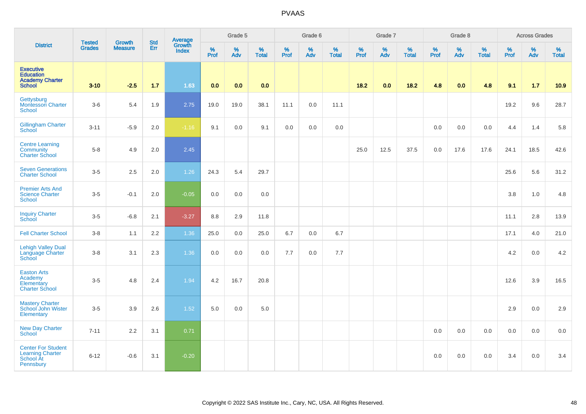| <b>District</b>                                                                 | <b>Tested</b><br><b>Grades</b> | Growth<br><b>Measure</b> | <b>Std</b><br>Err | Average<br>Growth<br><b>Index</b> | Grade 5   |          |                   | Grade 6   |          |                   | Grade 7   |          |                   | Grade 8   |          |                   | <b>Across Grades</b> |          |                   |
|---------------------------------------------------------------------------------|--------------------------------|--------------------------|-------------------|-----------------------------------|-----------|----------|-------------------|-----------|----------|-------------------|-----------|----------|-------------------|-----------|----------|-------------------|----------------------|----------|-------------------|
|                                                                                 |                                |                          |                   |                                   | %<br>Prof | %<br>Adv | %<br><b>Total</b> | %<br>Prof | %<br>Adv | %<br><b>Total</b> | %<br>Prof | %<br>Adv | %<br><b>Total</b> | %<br>Prof | %<br>Adv | %<br><b>Total</b> | %<br>Prof            | %<br>Adv | %<br><b>Total</b> |
| <b>Executive</b><br><b>Education</b><br><b>Academy Charter</b><br><b>School</b> | $3 - 10$                       | $-2.5$                   | $1.7$             | 1.63                              | 0.0       | 0.0      | 0.0               |           |          |                   | 18.2      | 0.0      | 18.2              | 4.8       | 0.0      | 4.8               | 9.1                  | 1.7      | 10.9              |
| Gettysburg<br><b>Montessori Charter</b><br><b>School</b>                        | $3-6$                          | 5.4                      | 1.9               | 2.75                              | 19.0      | 19.0     | 38.1              | 11.1      | 0.0      | 11.1              |           |          |                   |           |          |                   | 19.2                 | 9.6      | 28.7              |
| <b>Gillingham Charter</b><br>School                                             | $3 - 11$                       | $-5.9$                   | 2.0               | $-1.16$                           | 9.1       | 0.0      | 9.1               | 0.0       | 0.0      | 0.0               |           |          |                   | 0.0       | 0.0      | 0.0               | 4.4                  | 1.4      | 5.8               |
| <b>Centre Learning</b><br>Community<br><b>Charter School</b>                    | $5-8$                          | 4.9                      | 2.0               | 2.45                              |           |          |                   |           |          |                   | 25.0      | 12.5     | 37.5              | 0.0       | 17.6     | 17.6              | 24.1                 | 18.5     | 42.6              |
| <b>Seven Generations</b><br><b>Charter School</b>                               | $3 - 5$                        | 2.5                      | $2.0\,$           | 1.26                              | 24.3      | 5.4      | 29.7              |           |          |                   |           |          |                   |           |          |                   | 25.6                 | 5.6      | 31.2              |
| <b>Premier Arts And</b><br><b>Science Charter</b><br><b>School</b>              | $3-5$                          | $-0.1$                   | 2.0               | $-0.05$                           | $0.0\,$   | $0.0\,$  | 0.0               |           |          |                   |           |          |                   |           |          |                   | 3.8                  | $1.0$    | 4.8               |
| <b>Inquiry Charter</b><br>School                                                | $3-5$                          | $-6.8$                   | 2.1               | $-3.27$                           | 8.8       | 2.9      | 11.8              |           |          |                   |           |          |                   |           |          |                   | 11.1                 | 2.8      | 13.9              |
| <b>Fell Charter School</b>                                                      | $3-8$                          | 1.1                      | 2.2               | 1.36                              | 25.0      | 0.0      | 25.0              | 6.7       | 0.0      | 6.7               |           |          |                   |           |          |                   | 17.1                 | 4.0      | 21.0              |
| <b>Lehigh Valley Dual</b><br>Language Charter<br>School                         | $3-8$                          | 3.1                      | 2.3               | 1.36                              | $0.0\,$   | 0.0      | 0.0               | 7.7       | 0.0      | 7.7               |           |          |                   |           |          |                   | 4.2                  | 0.0      | 4.2               |
| <b>Easton Arts</b><br>Academy<br>Elementary<br><b>Charter School</b>            | $3-5$                          | 4.8                      | 2.4               | 1.94                              | 4.2       | 16.7     | 20.8              |           |          |                   |           |          |                   |           |          |                   | 12.6                 | 3.9      | 16.5              |
| <b>Mastery Charter</b><br>School John Wister<br>Elementary                      | $3-5$                          | 3.9                      | 2.6               | 1.52                              | 5.0       | 0.0      | $5.0\,$           |           |          |                   |           |          |                   |           |          |                   | 2.9                  | 0.0      | 2.9               |
| <b>New Day Charter</b><br>School                                                | $7 - 11$                       | 2.2                      | 3.1               | 0.71                              |           |          |                   |           |          |                   |           |          |                   | 0.0       | 0.0      | 0.0               | 0.0                  | 0.0      | 0.0               |
| <b>Center For Student</b><br><b>Learning Charter</b><br>School At<br>Pennsbury  | $6 - 12$                       | $-0.6$                   | 3.1               | $-0.20$                           |           |          |                   |           |          |                   |           |          |                   | 0.0       | 0.0      | 0.0               | 3.4                  | 0.0      | 3.4               |